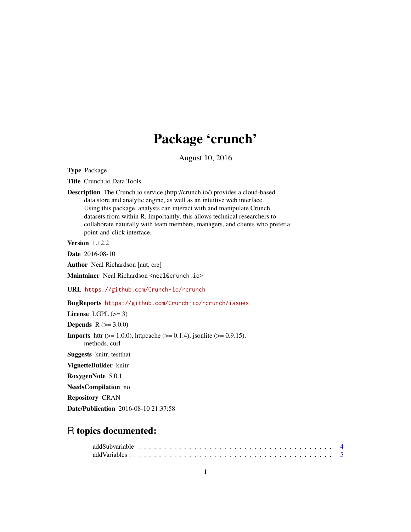# Package 'crunch'

August 10, 2016

<span id="page-0-0"></span>Type Package

Title Crunch.io Data Tools

Description The Crunch.io service (http://crunch.io/) provides a cloud-based data store and analytic engine, as well as an intuitive web interface. Using this package, analysts can interact with and manipulate Crunch datasets from within R. Importantly, this allows technical researchers to collaborate naturally with team members, managers, and clients who prefer a point-and-click interface.

Version 1.12.2

Date 2016-08-10

Author Neal Richardson [aut, cre]

Maintainer Neal Richardson <neal@crunch.io>

URL <https://github.com/Crunch-io/rcrunch>

# BugReports <https://github.com/Crunch-io/rcrunch/issues>

License LGPL  $(>= 3)$ 

**Depends**  $R (= 3.0.0)$ 

**Imports** httr ( $>= 1.0.0$ ), httpcache ( $>= 0.1.4$ ), jsonlite ( $>= 0.9.15$ ), methods, curl

Suggests knitr, testthat

VignetteBuilder knitr

RoxygenNote 5.0.1

NeedsCompilation no

Repository CRAN

Date/Publication 2016-08-10 21:37:58

# R topics documented: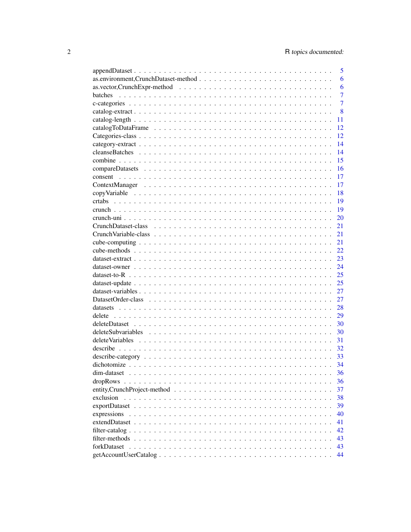|                    | 5              |
|--------------------|----------------|
|                    | 6              |
|                    | 6              |
| batches            | $\overline{7}$ |
|                    | $\overline{7}$ |
|                    | 8              |
|                    | 11             |
|                    | 12             |
|                    | 12             |
|                    | 14             |
|                    | 14             |
|                    | 15             |
|                    | 16             |
|                    | 17             |
|                    | 17             |
|                    | 18             |
|                    | 19             |
|                    | 19             |
|                    | 20             |
|                    | 21             |
|                    | 21             |
|                    | 21             |
|                    | 22.            |
|                    | 23             |
|                    | 24             |
|                    | 25             |
|                    | 25             |
|                    | 27             |
|                    | 27             |
|                    | 28             |
|                    | 29             |
|                    | 30             |
| deleteSubvariables | 30             |
|                    | 31             |
|                    | 32             |
|                    | 33             |
|                    | 34             |
|                    | 36             |
| dropRows           | 36             |
|                    | 37             |
| exclusion          | 38             |
|                    | 39             |
| expressions        | 40             |
|                    | 41             |
|                    | 42             |
|                    | 43             |
| forkDataset        | 43             |
|                    | 44             |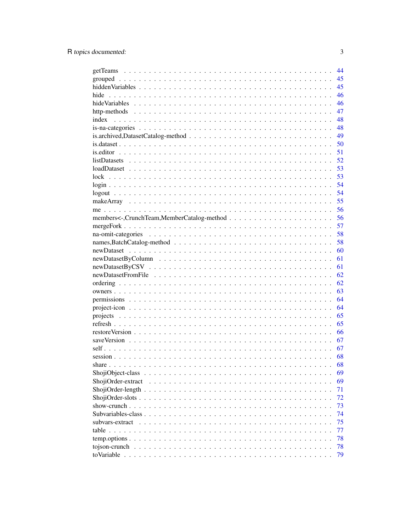|                                                                                                           | 44 |
|-----------------------------------------------------------------------------------------------------------|----|
|                                                                                                           | 45 |
|                                                                                                           | 45 |
| hide                                                                                                      | 46 |
|                                                                                                           | 46 |
|                                                                                                           | 47 |
| index                                                                                                     | 48 |
|                                                                                                           | 48 |
|                                                                                                           | 49 |
|                                                                                                           | 50 |
|                                                                                                           | 51 |
| $listDatasets \ldots \ldots \ldots \ldots \ldots \ldots \ldots \ldots \ldots \ldots \ldots \ldots \ldots$ | 52 |
|                                                                                                           | 53 |
|                                                                                                           | 53 |
|                                                                                                           | 54 |
|                                                                                                           | 54 |
|                                                                                                           | 55 |
|                                                                                                           | 56 |
|                                                                                                           | 56 |
|                                                                                                           | 57 |
|                                                                                                           | 58 |
|                                                                                                           |    |
|                                                                                                           | 58 |
|                                                                                                           | 60 |
|                                                                                                           | 61 |
|                                                                                                           | 61 |
|                                                                                                           | 62 |
|                                                                                                           | 62 |
|                                                                                                           | 63 |
|                                                                                                           | 64 |
|                                                                                                           | 64 |
|                                                                                                           | 65 |
|                                                                                                           | 65 |
|                                                                                                           | 66 |
|                                                                                                           | 67 |
|                                                                                                           | 67 |
|                                                                                                           | 68 |
|                                                                                                           | 68 |
|                                                                                                           | 69 |
| ShojiOrder-extract<br>$\sim$ $\sim$                                                                       | 69 |
|                                                                                                           | 71 |
|                                                                                                           | 72 |
|                                                                                                           | 73 |
|                                                                                                           | 74 |
| subvars-extract<br>$\cdots$                                                                               | 75 |
|                                                                                                           | 77 |
|                                                                                                           | 78 |
| tojson-crunch                                                                                             | 78 |
|                                                                                                           | 79 |
|                                                                                                           |    |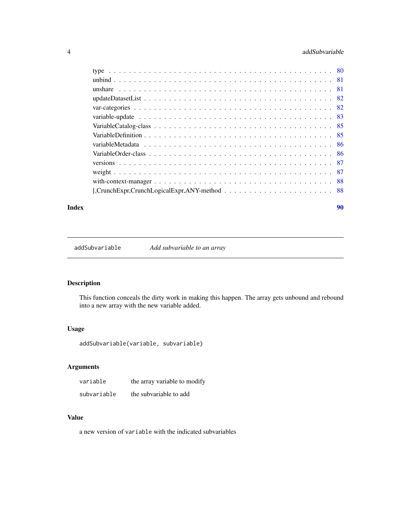# <span id="page-3-0"></span>4 addSubvariable and the state of the state of the state and the state and the state and the state and the state and the state and the state and the state and the state and the state and the state and the state and the sta

| $[$ , Crunch Expr, Crunch Logical Expr, ANY-method $\ldots \ldots \ldots \ldots \ldots \ldots \ldots \ldots \ldots$ |  |
|---------------------------------------------------------------------------------------------------------------------|--|
|                                                                                                                     |  |

#### **Index [90](#page-89-0)**

addSubvariable *Add subvariable to an array*

# Description

This function conceals the dirty work in making this happen. The array gets unbound and rebound into a new array with the new variable added.

# Usage

addSubvariable(variable, subvariable)

# Arguments

| variable    | the array variable to modify |
|-------------|------------------------------|
| subvariable | the subvariable to add       |

# Value

a new version of variable with the indicated subvariables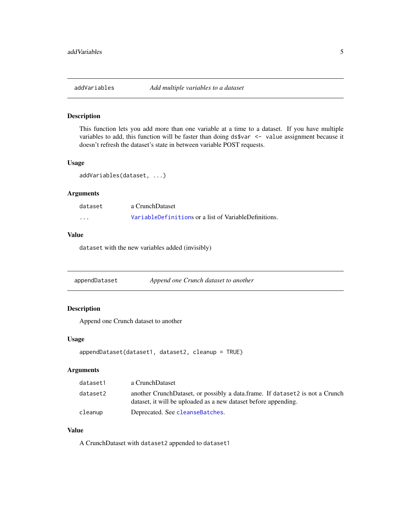<span id="page-4-0"></span>

This function lets you add more than one variable at a time to a dataset. If you have multiple variables to add, this function will be faster than doing ds\$var  $\le$  value assignment because it doesn't refresh the dataset's state in between variable POST requests.

# Usage

addVariables(dataset, ...)

# Arguments

| dataset | a CrunchDataset                                       |
|---------|-------------------------------------------------------|
| .       | VariableDefinitions or a list of VariableDefinitions. |

# Value

dataset with the new variables added (invisibly)

appendDataset *Append one Crunch dataset to another*

# Description

Append one Crunch dataset to another

#### Usage

```
appendDataset(dataset1, dataset2, cleanup = TRUE)
```
# Arguments

| dataset1 | a CrunchDataset                                                                                                                                 |
|----------|-------------------------------------------------------------------------------------------------------------------------------------------------|
| dataset2 | another CrunchDataset, or possibly a data frame. If dataset2 is not a Crunch<br>dataset, it will be uploaded as a new dataset before appending. |
| cleanup  | Deprecated. See cleanseBatches.                                                                                                                 |

# Value

A CrunchDataset with dataset2 appended to dataset1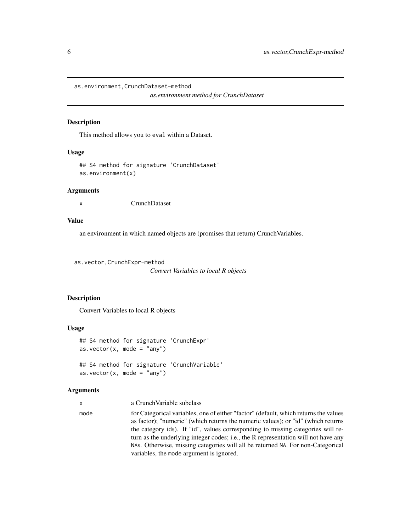<span id="page-5-0"></span>as.environment,CrunchDataset-method

*as.environment method for CrunchDataset*

# Description

This method allows you to eval within a Dataset.

#### Usage

```
## S4 method for signature 'CrunchDataset'
as.environment(x)
```
#### Arguments

x CrunchDataset

# Value

an environment in which named objects are (promises that return) CrunchVariables.

as.vector,CrunchExpr-method

```
Convert Variables to local R objects
```
### Description

Convert Variables to local R objects

#### Usage

```
## S4 method for signature 'CrunchExpr'
as.vector(x, \text{ mode} = "any")## S4 method for signature 'CrunchVariable'
as.vector(x, mode = "any")
```
# Arguments

| a Crunch Variable subclass |
|----------------------------|
|                            |

mode for Categorical variables, one of either "factor" (default, which returns the values as factor); "numeric" (which returns the numeric values); or "id" (which returns the category ids). If "id", values corresponding to missing categories will return as the underlying integer codes; i.e., the R representation will not have any NAs. Otherwise, missing categories will all be returned NA. For non-Categorical variables, the mode argument is ignored.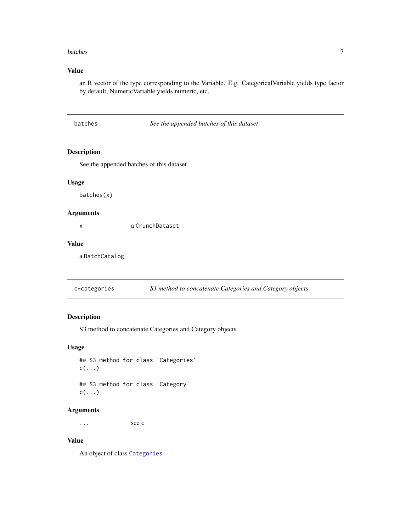#### <span id="page-6-0"></span>batches 7

# Value

an R vector of the type corresponding to the Variable. E.g. CategoricalVariable yields type factor by default, NumericVariable yields numeric, etc.

See the appended batches of this dataset

# Description

See the appended batches of this dataset

#### Usage

batches(x)

# Arguments

x a CrunchDataset

# Value

a BatchCatalog

c-categories *S3 method to concatenate Categories and Category objects*

# Description

S3 method to concatenate Categories and Category objects

# Usage

## S3 method for class 'Categories'  $c(\ldots)$ ## S3 method for class 'Category'  $c(\ldots)$ 

# Arguments

... see [c](#page-0-0)

# Value

An object of class [Categories](#page-11-1)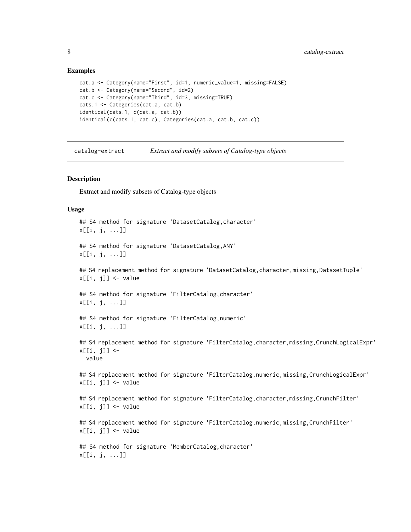#### Examples

```
cat.a <- Category(name="First", id=1, numeric_value=1, missing=FALSE)
cat.b <- Category(name="Second", id=2)
cat.c <- Category(name="Third", id=3, missing=TRUE)
cats.1 <- Categories(cat.a, cat.b)
identical(cats.1, c(cat.a, cat.b))
identical(c(cats.1, cat.c), Categories(cat.a, cat.b, cat.c))
```
catalog-extract *Extract and modify subsets of Catalog-type objects*

#### Description

Extract and modify subsets of Catalog-type objects

#### Usage

```
## S4 method for signature 'DatasetCatalog,character'
x[[i, j, ...]]
## S4 method for signature 'DatasetCatalog,ANY'
x[[i, j, ...]]
## S4 replacement method for signature 'DatasetCatalog, character, missing, DatasetTuple'
x[[i, j]] <- value
## S4 method for signature 'FilterCatalog, character'
x[[i, j, ...]]
## S4 method for signature 'FilterCatalog,numeric'
x[[i, j, ...]]
## S4 replacement method for signature 'FilterCatalog, character, missing, CrunchLogicalExpr'
x[[i, j]] <-
  value
## S4 replacement method for signature 'FilterCatalog,numeric,missing,CrunchLogicalExpr'
x[[i, j]] <- value
## S4 replacement method for signature 'FilterCatalog, character, missing, CrunchFilter'
x[[i, j]] <- value
## S4 replacement method for signature 'FilterCatalog,numeric,missing,CrunchFilter'
x[[i, j]] <- value
## S4 method for signature 'MemberCatalog,character'
x[[i, j, ...]]
```
<span id="page-7-0"></span>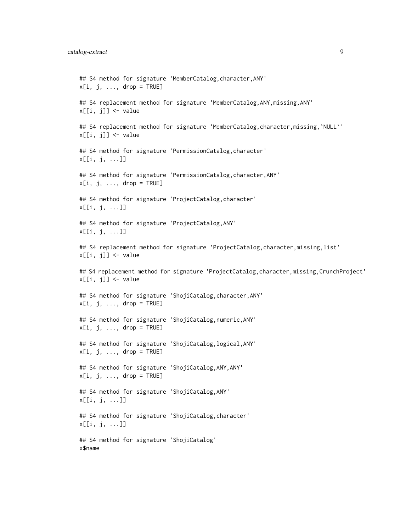```
## S4 method for signature 'MemberCatalog, character, ANY'
x[i, j, \ldots, drop = TRUE]## S4 replacement method for signature 'MemberCatalog, ANY, missing, ANY'
x[[i, j]] <- value
## S4 replacement method for signature 'MemberCatalog, character, missing, `NULL`'
x[[i, j]] <- value
## S4 method for signature 'PermissionCatalog,character'
x[[i, j, ...]]
## S4 method for signature 'PermissionCatalog,character,ANY'
x[i, j, \ldots, drop = TRUE]## S4 method for signature 'ProjectCatalog,character'
x[[i, j, ...]]
## S4 method for signature 'ProjectCatalog,ANY'
x[[i, j, ...]]
## S4 replacement method for signature 'ProjectCatalog, character, missing, list'
x[[i, j]] <- value
## S4 replacement method for signature 'ProjectCatalog, character, missing, CrunchProject'
x[[i, j]] <- value
## S4 method for signature 'ShojiCatalog,character,ANY'
x[i, j, ..., drop = TRUE]## S4 method for signature 'ShojiCatalog,numeric,ANY'
x[i, j, ..., drop = TRUE]## S4 method for signature 'ShojiCatalog,logical,ANY'
x[i, j, \ldots, drop = TRUE]## S4 method for signature 'ShojiCatalog,ANY,ANY'
x[i, j, ..., drop = TRUE]## S4 method for signature 'ShojiCatalog,ANY'
x[[i, j, ...]]
## S4 method for signature 'ShojiCatalog,character'
x[[i, j, ...]]
## S4 method for signature 'ShojiCatalog'
x$name
```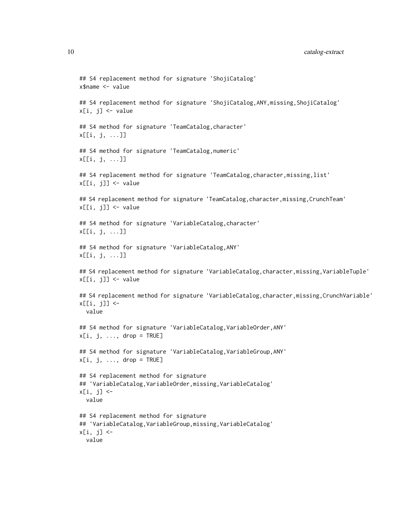```
## S4 replacement method for signature 'ShojiCatalog'
x$name <- value
## S4 replacement method for signature 'ShojiCatalog,ANY,missing,ShojiCatalog'
x[i, j] <- value
## S4 method for signature 'TeamCatalog, character'
x[[i, j, ...]]
## S4 method for signature 'TeamCatalog,numeric'
x[[i, j, ...]]
## S4 replacement method for signature 'TeamCatalog,character,missing,list'
x[[i, j]] <- value
## S4 replacement method for signature 'TeamCatalog, character, missing, CrunchTeam'
x[[i, j]] <- value
## S4 method for signature 'VariableCatalog,character'
x[[i, j, ...]]
## S4 method for signature 'VariableCatalog,ANY'
x[[i, j, ...]]
## S4 replacement method for signature 'VariableCatalog, character, missing, VariableTuple'
x[[i, j]] <- value
## S4 replacement method for signature 'VariableCatalog, character, missing, CrunchVariable'
x[[i, j]] <-
  value
## S4 method for signature 'VariableCatalog,VariableOrder,ANY'
x[i, j, ..., drop = TRUE]## S4 method for signature 'VariableCatalog, VariableGroup, ANY'
x[i, j, \ldots, drop = TRUE]## S4 replacement method for signature
## 'VariableCatalog,VariableOrder,missing,VariableCatalog'
x[i, j] <-
  value
## S4 replacement method for signature
## 'VariableCatalog,VariableGroup,missing,VariableCatalog'
x[i, j] <-
  value
```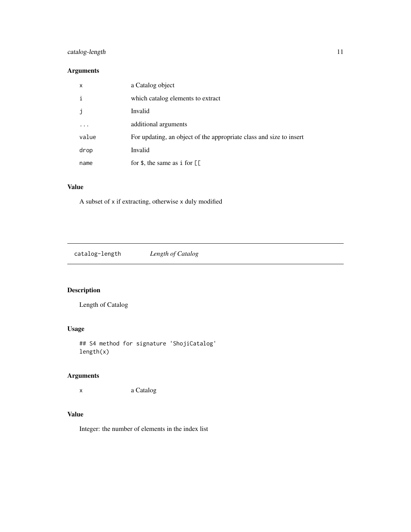# <span id="page-10-0"></span>catalog-length 11

# Arguments

| $\mathsf{x}$ | a Catalog object                                                    |
|--------------|---------------------------------------------------------------------|
| i            | which catalog elements to extract                                   |
| -i           | Invalid                                                             |
|              | additional arguments                                                |
| value        | For updating, an object of the appropriate class and size to insert |
| drop         | Invalid                                                             |
| name         | for $\frac{1}{2}$ , the same as i for $\left[\right]$               |

# Value

A subset of x if extracting, otherwise x duly modified

catalog-length *Length of Catalog*

# Description

Length of Catalog

# Usage

## S4 method for signature 'ShojiCatalog' length(x)

# Arguments

x a Catalog

# Value

Integer: the number of elements in the index list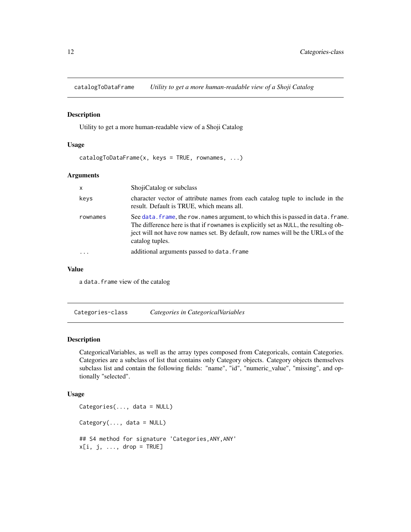<span id="page-11-0"></span>catalogToDataFrame *Utility to get a more human-readable view of a Shoji Catalog*

#### Description

Utility to get a more human-readable view of a Shoji Catalog

#### Usage

 $catalogToDataFrame(x, keys = TRUE, rownames, ...)$ 

#### Arguments

| $\mathsf{x}$ | ShojiCatalog or subclass                                                                                                                                                                                                                                                        |
|--------------|---------------------------------------------------------------------------------------------------------------------------------------------------------------------------------------------------------------------------------------------------------------------------------|
| keys         | character vector of attribute names from each catalog tuple to include in the<br>result. Default is TRUE, which means all.                                                                                                                                                      |
| rownames     | See data, frame, the row, names argument, to which this is passed in data, frame.<br>The difference here is that if rownames is explicitly set as NULL, the resulting ob-<br>ject will not have row names set. By default, row names will be the URLs of the<br>catalog tuples. |
| $\ddotsc$    | additional arguments passed to data. frame                                                                                                                                                                                                                                      |

# Value

a data.frame view of the catalog

Categories-class *Categories in CategoricalVariables*

### <span id="page-11-1"></span>Description

CategoricalVariables, as well as the array types composed from Categoricals, contain Categories. Categories are a subclass of list that contains only Category objects. Category objects themselves subclass list and contain the following fields: "name", "id", "numeric\_value", "missing", and optionally "selected".

#### Usage

```
Categories(..., data = NULL)
Category(..., data = NULL)
## S4 method for signature 'Categories,ANY,ANY'
x[i, j, ..., drop = TRUE]
```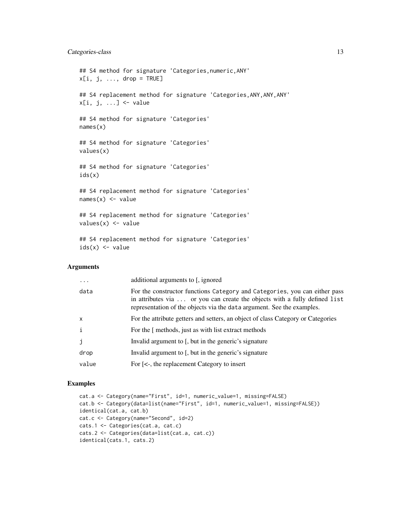# Categories-class 13

```
## S4 method for signature 'Categories,numeric,ANY'
x[i, j, ..., drop = TRUE]## S4 replacement method for signature 'Categories, ANY, ANY, ANY'
x[i, j, ...] <- value
## S4 method for signature 'Categories'
names(x)
## S4 method for signature 'Categories'
values(x)
## S4 method for signature 'Categories'
ids(x)
## S4 replacement method for signature 'Categories'
names(x) <- value
## S4 replacement method for signature 'Categories'
values(x) < - value## S4 replacement method for signature 'Categories'
ids(x) \leftarrow value
```
# Arguments

| $\ddots$     | additional arguments to [, ignored]                                                                                                                                                                                                |
|--------------|------------------------------------------------------------------------------------------------------------------------------------------------------------------------------------------------------------------------------------|
| data         | For the constructor functions Category and Categories, you can either pass<br>in attributes via  or you can create the objects with a fully defined list<br>representation of the objects via the data argument. See the examples. |
| $\mathsf{x}$ | For the attribute getters and setters, an object of class Category or Categories                                                                                                                                                   |
| $\mathbf{i}$ | For the [ methods, just as with list extract methods                                                                                                                                                                               |
| j            | Invalid argument to [, but in the generic's signature                                                                                                                                                                              |
| drop         | Invalid argument to [, but in the generic's signature                                                                                                                                                                              |
| value        | For $\left[ \langle \cdot \rangle \right]$ , the replacement Category to insert                                                                                                                                                    |
|              |                                                                                                                                                                                                                                    |

#### Examples

```
cat.a <- Category(name="First", id=1, numeric_value=1, missing=FALSE)
cat.b <- Category(data=list(name="First", id=1, numeric_value=1, missing=FALSE))
identical(cat.a, cat.b)
cat.c <- Category(name="Second", id=2)
cats.1 <- Categories(cat.a, cat.c)
cats.2 <- Categories(data=list(cat.a, cat.c))
identical(cats.1, cats.2)
```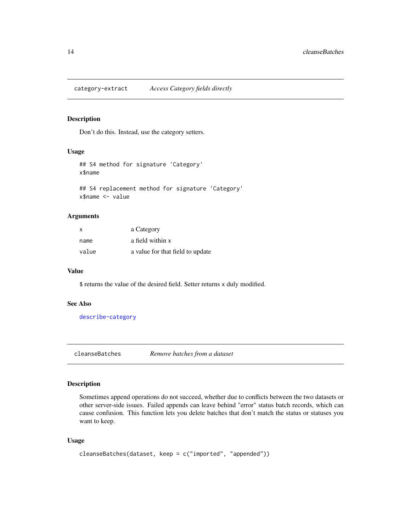<span id="page-13-0"></span>category-extract *Access Category fields directly*

# Description

Don't do this. Instead, use the category setters.

# Usage

```
## S4 method for signature 'Category'
x$name
```
## S4 replacement method for signature 'Category' x\$name <- value

# Arguments

| $\times$ | a Category                       |
|----------|----------------------------------|
| name     | a field within x                 |
| value    | a value for that field to update |

#### Value

\$ returns the value of the desired field. Setter returns x duly modified.

# See Also

[describe-category](#page-32-1)

<span id="page-13-1"></span>cleanseBatches *Remove batches from a dataset*

# Description

Sometimes append operations do not succeed, whether due to conflicts between the two datasets or other server-side issues. Failed appends can leave behind "error" status batch records, which can cause confusion. This function lets you delete batches that don't match the status or statuses you want to keep.

# Usage

```
cleanseBatches(dataset, keep = c("imported", "appended"))
```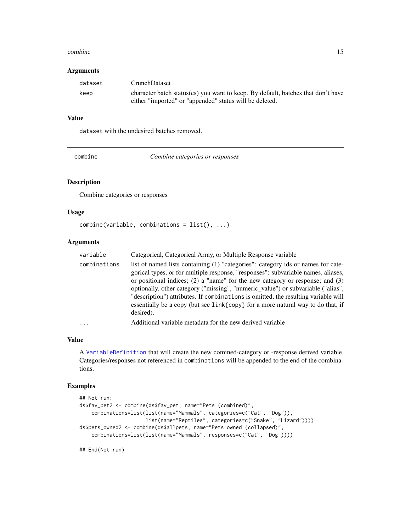#### <span id="page-14-0"></span>combine the combine of the combine of the combine of the combine of the combine of the combine of the combine of the combine of the combine of the combine of the combine of the combine of the combine of the combine of the

#### Arguments

| dataset | <b>CrunchDataset</b>                                                                                                                        |
|---------|---------------------------------------------------------------------------------------------------------------------------------------------|
| keep    | character batch status(es) you want to keep. By default, batches that don't have<br>either "imported" or "appended" status will be deleted. |

# Value

dataset with the undesired batches removed.

| combine |
|---------|

combine *Combine categories or responses*

# Description

Combine categories or responses

# Usage

```
combine(variable, combinations = list(), ...)
```
#### Arguments

| variable     | Categorical, Categorical Array, or Multiple Response variable                                                                                                                                                                                                                                                                                                                                                                                                                                                                                   |
|--------------|-------------------------------------------------------------------------------------------------------------------------------------------------------------------------------------------------------------------------------------------------------------------------------------------------------------------------------------------------------------------------------------------------------------------------------------------------------------------------------------------------------------------------------------------------|
| combinations | list of named lists containing (1) "categories": category ids or names for cate-<br>gorical types, or for multiple response, "responses": subvariable names, aliases,<br>or positional indices; $(2)$ a "name" for the new category or response; and $(3)$<br>optionally, other category ("missing", "numeric_value") or subvariable ("alias",<br>"description") attributes. If combinations is omitted, the resulting variable will<br>essentially be a copy (but see $link\{\text{copy}\}$ for a more natural way to do that, if<br>desired). |
| $\cdots$     | Additional variable metadata for the new derived variable                                                                                                                                                                                                                                                                                                                                                                                                                                                                                       |

# Value

A [VariableDefinition](#page-84-1) that will create the new comined-category or -response derived variable. Categories/responses not referenced in combinations will be appended to the end of the combinations.

# Examples

```
## Not run:
ds$fav_pet2 <- combine(ds$fav_pet, name="Pets (combined)",
   combinations=list(list(name="Mammals", categories=c("Cat", "Dog")),
                     list(name="Reptiles", categories=c("Snake", "Lizard"))))
ds$pets_owned2 <- combine(ds$allpets, name="Pets owned (collapsed)",
    combinations=list(list(name="Mammals", responses=c("Cat", "Dog"))))
```
## End(Not run)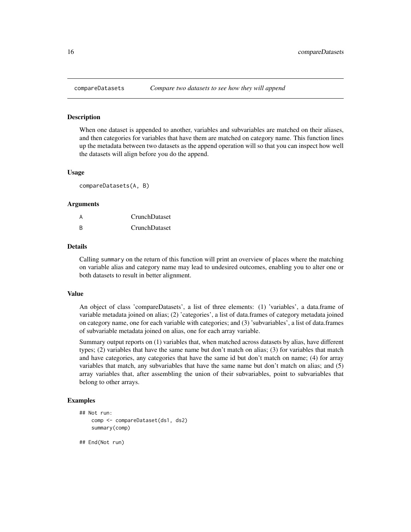<span id="page-15-0"></span>

When one dataset is appended to another, variables and subvariables are matched on their aliases, and then categories for variables that have them are matched on category name. This function lines up the metadata between two datasets as the append operation will so that you can inspect how well the datasets will align before you do the append.

#### Usage

compareDatasets(A, B)

#### Arguments

| A            | CrunchDataset        |
|--------------|----------------------|
| <sup>B</sup> | <b>CrunchDataset</b> |

#### Details

Calling summary on the return of this function will print an overview of places where the matching on variable alias and category name may lead to undesired outcomes, enabling you to alter one or both datasets to result in better alignment.

#### Value

An object of class 'compareDatasets', a list of three elements: (1) 'variables', a data.frame of variable metadata joined on alias; (2) 'categories', a list of data.frames of category metadata joined on category name, one for each variable with categories; and (3) 'subvariables', a list of data.frames of subvariable metadata joined on alias, one for each array variable.

Summary output reports on (1) variables that, when matched across datasets by alias, have different types; (2) variables that have the same name but don't match on alias; (3) for variables that match and have categories, any categories that have the same id but don't match on name; (4) for array variables that match, any subvariables that have the same name but don't match on alias; and (5) array variables that, after assembling the union of their subvariables, point to subvariables that belong to other arrays.

# Examples

```
## Not run:
    comp <- compareDataset(ds1, ds2)
    summary(comp)
```
## End(Not run)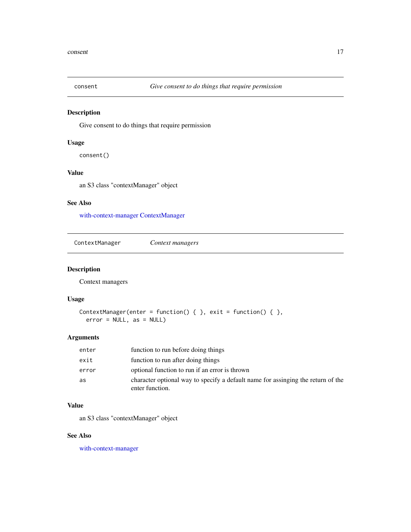<span id="page-16-2"></span><span id="page-16-0"></span>

Give consent to do things that require permission

#### Usage

consent()

# Value

an S3 class "contextManager" object

# See Also

[with-context-manager](#page-87-1) [ContextManager](#page-16-1)

<span id="page-16-1"></span>ContextManager *Context managers*

# Description

Context managers

# Usage

```
ContextManager(enter = function() { }, exit = function() { },
 error = NULL, as = NULL)
```
#### Arguments

| enter | function to run before doing things                                                                 |
|-------|-----------------------------------------------------------------------------------------------------|
| exit  | function to run after doing things                                                                  |
| error | optional function to run if an error is thrown                                                      |
| as    | character optional way to specify a default name for assinging the return of the<br>enter function. |

#### Value

an S3 class "contextManager" object

# See Also

[with-context-manager](#page-87-1)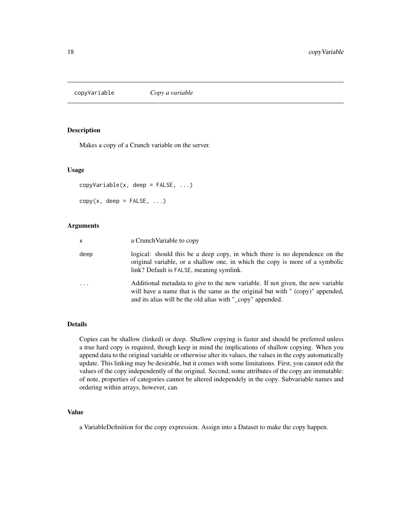<span id="page-17-0"></span>

Makes a copy of a Crunch variable on the server.

#### Usage

```
copyVariable(x, deep = FALSE, ...)
copy(x, deep = FALSE, ...)
```
# Arguments

| $\mathsf{x}$ | a Crunch Variable to copy                                                                                                                                                                                                       |
|--------------|---------------------------------------------------------------------------------------------------------------------------------------------------------------------------------------------------------------------------------|
| deep         | logical: should this be a deep copy, in which there is no dependence on the<br>original variable, or a shallow one, in which the copy is more of a symbolic<br>link? Default is FALSE, meaning symlink.                         |
|              | Additional metadata to give to the new variable. If not given, the new variable<br>will have a name that is the same as the original but with " (copy)" appended,<br>and its alias will be the old alias with "_copy" appended. |

#### Details

Copies can be shallow (linked) or deep. Shallow copying is faster and should be preferred unless a true hard copy is required, though keep in mind the implications of shallow copying. When you append data to the original variable or otherwise alter its values, the values in the copy automatically update. This linking may be desirable, but it comes with some limitations. First, you cannot edit the values of the copy independently of the original. Second, some attributes of the copy are immutable: of note, properties of categories cannot be altered independely in the copy. Subvariable names and ordering within arrays, however, can.

# Value

a VariableDefinition for the copy expression. Assign into a Dataset to make the copy happen.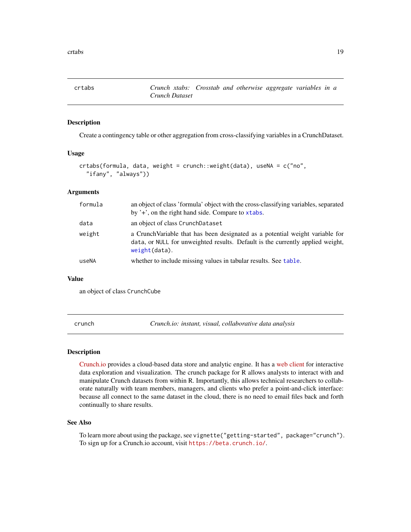<span id="page-18-0"></span>crtabs *Crunch xtabs: Crosstab and otherwise aggregate variables in a Crunch Dataset*

# Description

Create a contingency table or other aggregation from cross-classifying variables in a CrunchDataset.

#### Usage

```
crtabs(formula, data, weight = crunch::weight(data), useNA = c("no",
  "ifany", "always"))
```
# Arguments

| a CrunchVariable that has been designated as a potential weight variable for<br>data, or NULL for unweighted results. Default is the currently applied weight, |
|----------------------------------------------------------------------------------------------------------------------------------------------------------------|
| whether to include missing values in tabular results. See table.                                                                                               |
|                                                                                                                                                                |

#### Value

an object of class CrunchCube

crunch *Crunch.io: instant, visual, collaborative data analysis*

#### **Description**

[Crunch.io](http://crunch.io/) provides a cloud-based data store and analytic engine. It has a [web client](https://beta.crunch.io/) for interactive data exploration and visualization. The crunch package for R allows analysts to interact with and manipulate Crunch datasets from within R. Importantly, this allows technical researchers to collaborate naturally with team members, managers, and clients who prefer a point-and-click interface: because all connect to the same dataset in the cloud, there is no need to email files back and forth continually to share results.

#### See Also

To learn more about using the package, see vignette("getting-started", package="crunch"). To sign up for a Crunch.io account, visit <https://beta.crunch.io/>.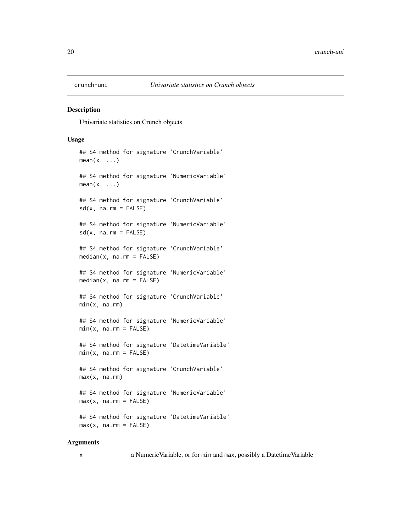<span id="page-19-1"></span><span id="page-19-0"></span>

Univariate statistics on Crunch objects

# Usage

```
## S4 method for signature 'CrunchVariable'
mean(x, \ldots)## S4 method for signature 'NumericVariable'
mean(x, \ldots)## S4 method for signature 'CrunchVariable'
sd(x, na.rm = FALSE)## S4 method for signature 'NumericVariable'
sd(x, na.rm = FALSE)## S4 method for signature 'CrunchVariable'
median(x, na.rm = FALSE)## S4 method for signature 'NumericVariable'
median(x, na.rm = FALSE)
## S4 method for signature 'CrunchVariable'
min(x, na.rm)
## S4 method for signature 'NumericVariable'
min(x, na.rm = FALSE)## S4 method for signature 'DatetimeVariable'
min(x, na.rm = FALSE)## S4 method for signature 'CrunchVariable'
max(x, na.rm)
## S4 method for signature 'NumericVariable'
max(x, na.rm = FALSE)## S4 method for signature 'DatetimeVariable'
max(x, na.rm = FALSE)
```
# Arguments

x a NumericVariable, or for min and max, possibly a DatetimeVariable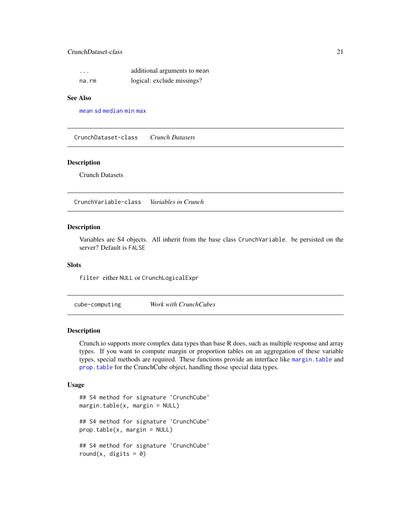# <span id="page-20-0"></span>CrunchDataset-class 21

| $\cdot$ | additional arguments to mean |
|---------|------------------------------|
| na.rm   | logical: exclude missings?   |

# See Also

[mean](#page-19-1) [sd](#page-19-1) [median](#page-19-1) [min](#page-19-1) [max](#page-19-1)

CrunchDataset-class *Crunch Datasets*

# Description

Crunch Datasets

CrunchVariable-class *Variables in Crunch*

#### Description

Variables are S4 objects. All inherit from the base class CrunchVariable. be persisted on the server? Default is FALSE

# Slots

filter either NULL or CrunchLogicalExpr

<span id="page-20-2"></span>cube-computing *Work with CrunchCubes*

# <span id="page-20-1"></span>Description

Crunch.io supports more complex data types than base R does, such as multiple response and array types. If you want to compute margin or proportion tables on an aggregation of these variable types, special methods are required. These functions provide an interface like [margin.table](#page-20-1) and [prop.table](#page-20-1) for the CrunchCube object, handling those special data types.

#### Usage

```
## S4 method for signature 'CrunchCube'
margin.table(x, margin = NULL)
## S4 method for signature 'CrunchCube'
prop.table(x, margin = NULL)
## S4 method for signature 'CrunchCube'
round(x, digits = 0)
```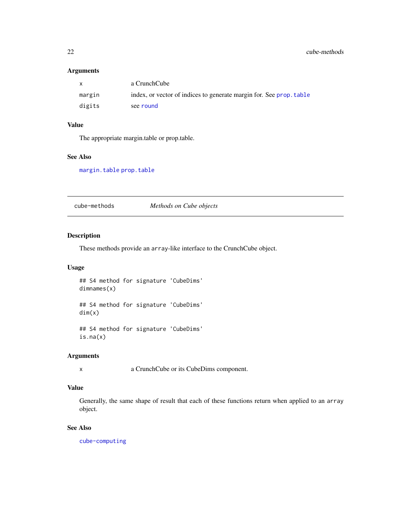## <span id="page-21-0"></span>Arguments

| X      | a CrunchCube                                                        |
|--------|---------------------------------------------------------------------|
| margin | index, or vector of indices to generate margin for. See prop. table |
| digits | see round                                                           |

# Value

The appropriate margin.table or prop.table.

# See Also

[margin.table](#page-20-1) [prop.table](#page-20-1)

cube-methods *Methods on Cube objects*

# Description

These methods provide an array-like interface to the CrunchCube object.

# Usage

## S4 method for signature 'CubeDims' dimnames(x)

## S4 method for signature 'CubeDims' dim(x)

## S4 method for signature 'CubeDims' is.na(x)

#### Arguments

x a CrunchCube or its CubeDims component.

# Value

Generally, the same shape of result that each of these functions return when applied to an array object.

# See Also

[cube-computing](#page-20-2)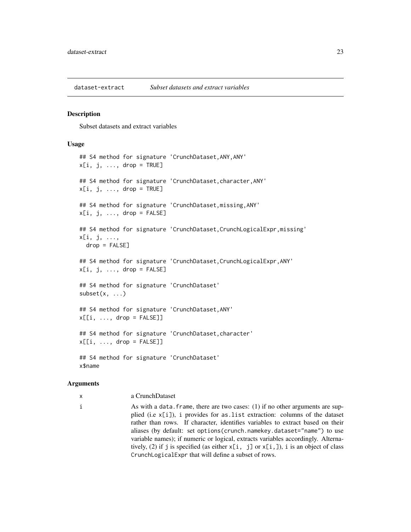<span id="page-22-0"></span>dataset-extract *Subset datasets and extract variables*

#### Description

Subset datasets and extract variables

#### Usage

```
## S4 method for signature 'CrunchDataset,ANY,ANY'
x[i, j, ..., drop = TRUE]## S4 method for signature 'CrunchDataset,character,ANY'
x[i, j, \ldots, drop = TRUE]## S4 method for signature 'CrunchDataset, missing, ANY'
x[i, j, \ldots, drop = FALSE]## S4 method for signature 'CrunchDataset, CrunchLogicalExpr, missing'
x[i, j, ...,
 drop = FALSE]
## S4 method for signature 'CrunchDataset, CrunchLogicalExpr, ANY'
x[i, j, \ldots, drop = FALSE]## S4 method for signature 'CrunchDataset'
subset(x, \ldots)## S4 method for signature 'CrunchDataset,ANY'
x[[i, \ldots, drop = FALSE]]## S4 method for signature 'CrunchDataset,character'
x[[i, ..., drop = FALSE]]## S4 method for signature 'CrunchDataset'
x$name
```
#### Arguments

x a CrunchDataset

i As with a data.frame, there are two cases: (1) if no other arguments are supplied (i.e x[i]), i provides for as.list extraction: columns of the dataset rather than rows. If character, identifies variables to extract based on their aliases (by default: set options(crunch.namekey.dataset="name") to use variable names); if numeric or logical, extracts variables accordingly. Alternatively, (2) if j is specified (as either  $x[i, j]$  or  $x[i, j]$ ), i is an object of class CrunchLogicalExpr that will define a subset of rows.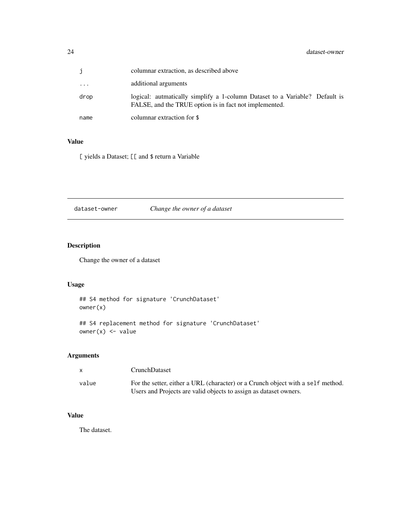<span id="page-23-0"></span>

|      | columnar extraction, as described above                                                                                               |
|------|---------------------------------------------------------------------------------------------------------------------------------------|
| .    | additional arguments                                                                                                                  |
| drop | logical: autmatically simplify a 1-column Dataset to a Variable? Default is<br>FALSE, and the TRUE option is in fact not implemented. |
| name | columnar extraction for \$                                                                                                            |

# Value

[ yields a Dataset; [[ and \$ return a Variable

dataset-owner *Change the owner of a dataset*

# Description

Change the owner of a dataset

# Usage

## S4 method for signature 'CrunchDataset' owner(x)

## S4 replacement method for signature 'CrunchDataset' owner(x) <- value

# Arguments

| X     | CrunchDataset                                                                                                                                        |
|-------|------------------------------------------------------------------------------------------------------------------------------------------------------|
| value | For the setter, either a URL (character) or a Crunch object with a self method.<br>Users and Projects are valid objects to assign as dataset owners. |

# Value

The dataset.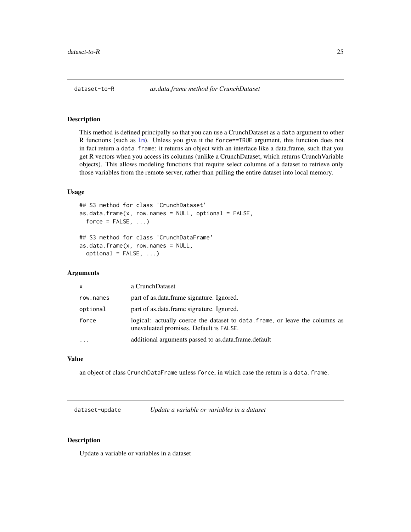<span id="page-24-0"></span>

This method is defined principally so that you can use a CrunchDataset as a data argument to other R functions (such as 1m). Unless you give it the force==TRUE argument, this function does not in fact return a data.frame: it returns an object with an interface like a data.frame, such that you get R vectors when you access its columns (unlike a CrunchDataset, which returns CrunchVariable objects). This allows modeling functions that require select columns of a dataset to retrieve only those variables from the remote server, rather than pulling the entire dataset into local memory.

# Usage

```
## S3 method for class 'CrunchDataset'
as.data.frame(x, row.names = NULL, optional = FALSE,
 force = FALSE, ...)
## S3 method for class 'CrunchDataFrame'
as.data.frame(x, row.names = NULL,
 optional = FALSE, ...)
```
### Arguments

| X         | a CrunchDataset                                                                                                         |  |
|-----------|-------------------------------------------------------------------------------------------------------------------------|--|
| row.names | part of as data frame signature. Ignored.                                                                               |  |
| optional  | part of as.data.frame signature. Ignored.                                                                               |  |
| force     | logical: actually coerce the dataset to data, frame, or leave the columns as<br>unevaluated promises. Default is FALSE. |  |
|           | additional arguments passed to as data frame default                                                                    |  |

# Value

an object of class CrunchDataFrame unless force, in which case the return is a data.frame.

dataset-update *Update a variable or variables in a dataset*

# Description

Update a variable or variables in a dataset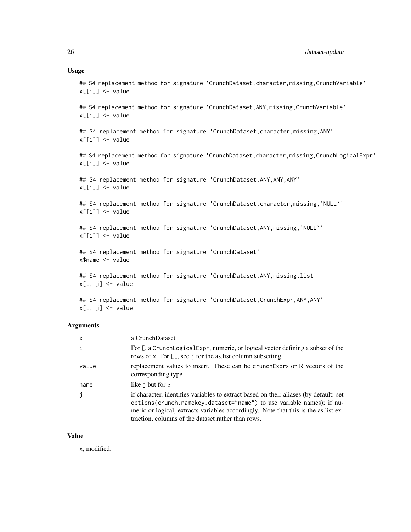#### Usage

## S4 replacement method for signature 'CrunchDataset, character, missing, CrunchVariable' x[[i]] <- value

## S4 replacement method for signature 'CrunchDataset, ANY, missing, CrunchVariable' x[[i]] <- value

## S4 replacement method for signature 'CrunchDataset, character, missing, ANY' x[[i]] <- value

## S4 replacement method for signature 'CrunchDataset, character, missing, CrunchLogicalExpr' x[[i]] <- value

## S4 replacement method for signature 'CrunchDataset, ANY, ANY, ANY' x[[i]] <- value

## S4 replacement method for signature 'CrunchDataset, character, missing, `NULL`' x[[i]] <- value

## S4 replacement method for signature 'CrunchDataset, ANY, missing, `NULL`'  $x[[i]] \leftarrow$  value

## S4 replacement method for signature 'CrunchDataset' x\$name <- value

## S4 replacement method for signature 'CrunchDataset, ANY, missing, list' x[i, j] <- value

## S4 replacement method for signature 'CrunchDataset, CrunchExpr, ANY, ANY' x[i, j] <- value

# Arguments

| $\mathsf{x}$ | a CrunchDataset                                                                                                                                                                                                                                                                                              |
|--------------|--------------------------------------------------------------------------------------------------------------------------------------------------------------------------------------------------------------------------------------------------------------------------------------------------------------|
| $\mathbf{i}$ | For [, a CrunchLogicalExpr, numeric, or logical vector defining a subset of the<br>rows of x. For [[, see j for the as list column subsetting.                                                                                                                                                               |
| value        | replacement values to insert. These can be crunch Exprs or R vectors of the<br>corresponding type                                                                                                                                                                                                            |
| name         | like j but for \$                                                                                                                                                                                                                                                                                            |
| j            | if character, identifies variables to extract based on their aliases (by default: set<br>options (crunch.namekey.dataset="name") to use variable names); if nu-<br>meric or logical, extracts variables accordingly. Note that this is the as list ex-<br>traction, columns of the dataset rather than rows. |

#### Value

x, modified.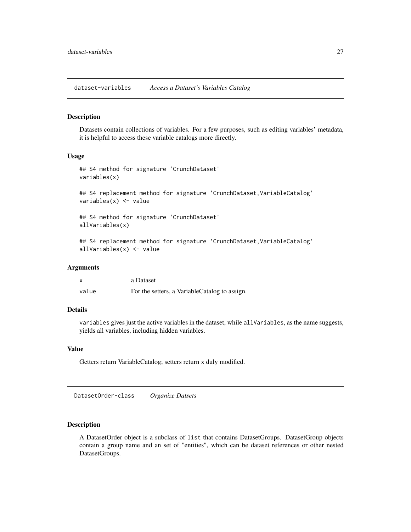<span id="page-26-0"></span>dataset-variables *Access a Dataset's Variables Catalog*

#### **Description**

Datasets contain collections of variables. For a few purposes, such as editing variables' metadata, it is helpful to access these variable catalogs more directly.

#### Usage

```
## S4 method for signature 'CrunchDataset'
variables(x)
## S4 replacement method for signature 'CrunchDataset, VariableCatalog'
variables(x) <- value
## S4 method for signature 'CrunchDataset'
allVariables(x)
## S4 replacement method for signature 'CrunchDataset, VariableCatalog'
allVariables(x) <- value
```
#### Arguments

| X     | a Dataset                                     |
|-------|-----------------------------------------------|
| value | For the setters, a VariableCatalog to assign. |

# Details

variables gives just the active variables in the dataset, while allVariables, as the name suggests, yields all variables, including hidden variables.

#### Value

Getters return VariableCatalog; setters return x duly modified.

DatasetOrder-class *Organize Datsets*

# Description

A DatasetOrder object is a subclass of list that contains DatasetGroups. DatasetGroup objects contain a group name and an set of "entities", which can be dataset references or other nested DatasetGroups.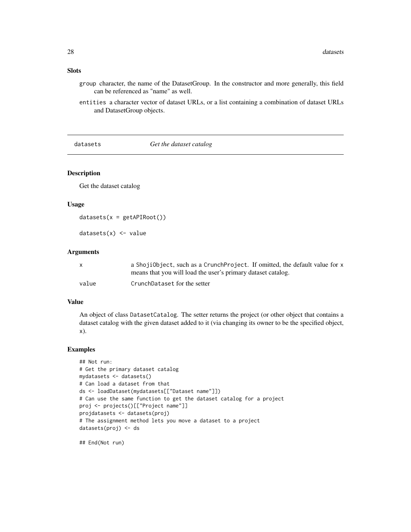- <span id="page-27-0"></span>group character, the name of the DatasetGroup. In the constructor and more generally, this field can be referenced as "name" as well.
- entities a character vector of dataset URLs, or a list containing a combination of dataset URLs and DatasetGroup objects.

datasets *Get the dataset catalog*

# Description

Get the dataset catalog

# Usage

```
datasets(x = getAPIRoot())
```
 $datasets(x) < - value$ 

#### Arguments

|       | a ShojiObject, such as a CrunchProject. If omitted, the default value for x |
|-------|-----------------------------------------------------------------------------|
|       | means that you will load the user's primary dataset catalog.                |
| value | CrunchDataset for the setter                                                |

#### Value

An object of class DatasetCatalog. The setter returns the project (or other object that contains a dataset catalog with the given dataset added to it (via changing its owner to be the specified object, x).

#### Examples

```
## Not run:
# Get the primary dataset catalog
mydatasets <- datasets()
# Can load a dataset from that
ds <- loadDataset(mydatasets[["Dataset name"]])
# Can use the same function to get the dataset catalog for a project
proj <- projects()[["Project name"]]
projdatasets <- datasets(proj)
# The assignment method lets you move a dataset to a project
datasets(proj) <- ds
```
## End(Not run)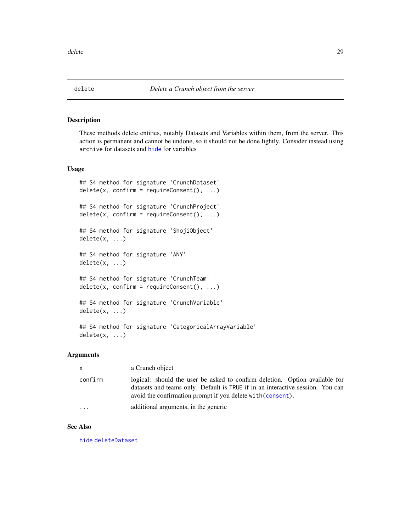<span id="page-28-1"></span><span id="page-28-0"></span>These methods delete entities, notably Datasets and Variables within them, from the server. This action is permanent and cannot be undone, so it should not be done lightly. Consider instead using archive for datasets and [hide](#page-45-1) for variables

#### Usage

```
## S4 method for signature 'CrunchDataset'
delete(x, confirm = requireConsent(), ...)## S4 method for signature 'CrunchProject'
delete(x, confirm = requireConsent(), ...)## S4 method for signature 'ShojiObject'
delete(x, ...)
## S4 method for signature 'ANY'
delete(x, ...)
## S4 method for signature 'CrunchTeam'
delete(x, confirm = requireConsent(), ...)## S4 method for signature 'CrunchVariable'
delete(x, ...)
## S4 method for signature 'CategoricalArrayVariable'
```
delete(x, ...)

# Arguments

| $\mathsf{x}$ | a Crunch object                                                                                                                                                                                                              |  |
|--------------|------------------------------------------------------------------------------------------------------------------------------------------------------------------------------------------------------------------------------|--|
| confirm      | logical: should the user be asked to confirm deletion. Option available for<br>datasets and teams only. Default is TRUE if in an interactive session. You can<br>avoid the confirmation prompt if you delete with (consent). |  |
| $\ddotsc$    | additional arguments, in the generic                                                                                                                                                                                         |  |

#### See Also

[hide](#page-45-1) [deleteDataset](#page-29-1)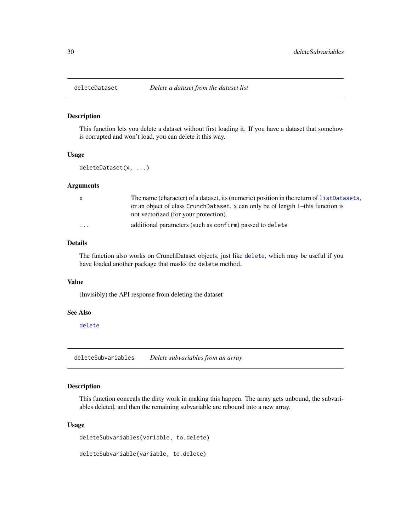<span id="page-29-1"></span><span id="page-29-0"></span>

This function lets you delete a dataset without first loading it. If you have a dataset that somehow is corrupted and won't load, you can delete it this way.

# Usage

```
deleteDataset(x, ...)
```
#### Arguments

| $\mathbf{x}$ | The name (character) of a dataset, its (numeric) position in the return of list Datasets, |
|--------------|-------------------------------------------------------------------------------------------|
|              | or an object of class CrunchDataset. x can only be of length 1-this function is           |
|              | not vectorized (for your protection).                                                     |
| $\cdots$     | additional parameters (such as confirm) passed to delete                                  |

# Details

The function also works on CrunchDataset objects, just like [delete](#page-28-1), which may be useful if you have loaded another package that masks the delete method.

#### Value

(Invisibly) the API response from deleting the dataset

#### See Also

[delete](#page-28-1)

deleteSubvariables *Delete subvariables from an array*

# Description

This function conceals the dirty work in making this happen. The array gets unbound, the subvariables deleted, and then the remaining subvariable are rebound into a new array.

#### Usage

deleteSubvariables(variable, to.delete)

deleteSubvariable(variable, to.delete)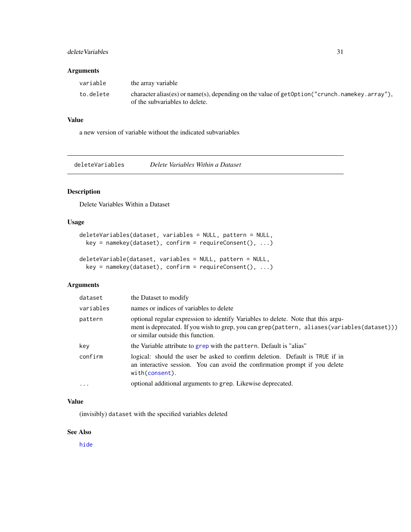# <span id="page-30-0"></span>delete Variables 31

#### Arguments

| variable  | the array variable                                                                                                               |
|-----------|----------------------------------------------------------------------------------------------------------------------------------|
| to.delete | character alias(es) or name(s), depending on the value of $getOption("crunch.namekey.array"),$<br>of the subvariables to delete. |

# Value

a new version of variable without the indicated subvariables

deleteVariables *Delete Variables Within a Dataset*

# Description

Delete Variables Within a Dataset

# Usage

```
deleteVariables(dataset, variables = NULL, pattern = NULL,
 key = namekey(dataset), confirm = requireConsent(), ...)
```

```
deleteVariable(dataset, variables = NULL, pattern = NULL,
 key = namekey(dataset), confirm = requireConsent(), ...)
```
# Arguments

| dataset    | the Dataset to modify                                                                                                                                                                                                 |  |
|------------|-----------------------------------------------------------------------------------------------------------------------------------------------------------------------------------------------------------------------|--|
| variables  | names or indices of variables to delete                                                                                                                                                                               |  |
| pattern    | optional regular expression to identify Variables to delete. Note that this argu-<br>ment is deprecated. If you wish to grep, you can grep(pattern, aliases(variables(dataset)))<br>or similar outside this function. |  |
| key        | the Variable attribute to grep with the pattern. Default is "alias"                                                                                                                                                   |  |
| confirm    | logical: should the user be asked to confirm deletion. Default is TRUE if in<br>an interactive session. You can avoid the confirmation prompt if you delete<br>with(consent).                                         |  |
| $\ddots$ . | optional additional arguments to grep. Likewise deprecated.                                                                                                                                                           |  |

# Value

(invisibly) dataset with the specified variables deleted

# See Also

[hide](#page-45-1)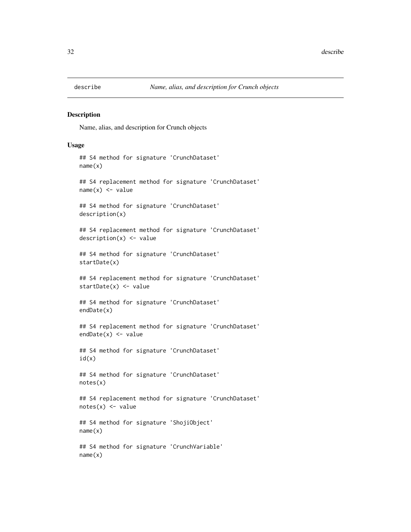<span id="page-31-0"></span>

Name, alias, and description for Crunch objects

#### Usage

```
## S4 method for signature 'CrunchDataset'
name(x)
## S4 replacement method for signature 'CrunchDataset'
name(x) < - value## S4 method for signature 'CrunchDataset'
description(x)
## S4 replacement method for signature 'CrunchDataset'
description(x) <- value
## S4 method for signature 'CrunchDataset'
startDate(x)
## S4 replacement method for signature 'CrunchDataset'
startDate(x) <- value
## S4 method for signature 'CrunchDataset'
endDate(x)
## S4 replacement method for signature 'CrunchDataset'
endDate(x) <- value
## S4 method for signature 'CrunchDataset'
id(x)
## S4 method for signature 'CrunchDataset'
notes(x)
## S4 replacement method for signature 'CrunchDataset'
notes(x) < - value
## S4 method for signature 'ShojiObject'
name(x)
## S4 method for signature 'CrunchVariable'
name(x)
```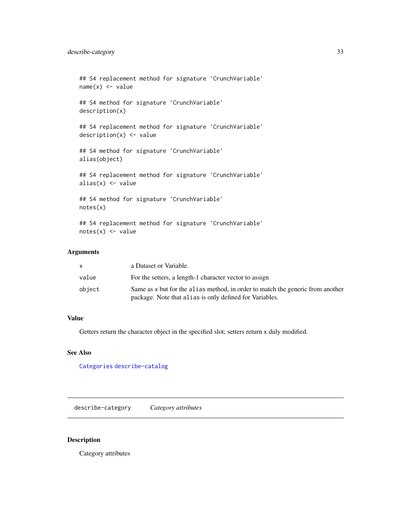```
## S4 replacement method for signature 'CrunchVariable'
name(x) < - value## S4 method for signature 'CrunchVariable'
description(x)
## S4 replacement method for signature 'CrunchVariable'
description(x) <- value
## S4 method for signature 'CrunchVariable'
alias(object)
## S4 replacement method for signature 'CrunchVariable'
alias(x) <- value
## S4 method for signature 'CrunchVariable'
notes(x)
## S4 replacement method for signature 'CrunchVariable'
```

```
notes(x) < - value
```
# Arguments

|        | a Dataset or Variable.                                                         |
|--------|--------------------------------------------------------------------------------|
| value  | For the setters, a length-1 character vector to assign                         |
| object | Same as x but for the alias method, in order to match the generic from another |
|        | package. Note that all as is only defined for Variables.                       |

# Value

Getters return the character object in the specified slot; setters return x duly modified.

# See Also

[Categories](#page-11-1) [describe-catalog](#page-57-1)

<span id="page-32-1"></span>describe-category *Category attributes*

# Description

Category attributes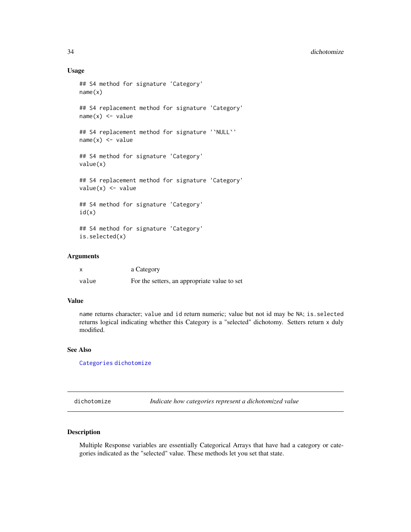#### 34 dichotomize

#### Usage

```
## S4 method for signature 'Category'
name(x)
## S4 replacement method for signature 'Category'
name(x) < - value## S4 replacement method for signature '`NULL`'
name(x) < - value## S4 method for signature 'Category'
value(x)
## S4 replacement method for signature 'Category'
value(x) <- value
## S4 method for signature 'Category'
id(x)## S4 method for signature 'Category'
is.selected(x)
```
### Arguments

|       | a Category                                   |
|-------|----------------------------------------------|
| value | For the setters, an appropriate value to set |

# Value

name returns character; value and id return numeric; value but not id may be NA; is.selected returns logical indicating whether this Category is a "selected" dichotomy. Setters return x duly modified.

#### See Also

[Categories](#page-11-1) [dichotomize](#page-33-1)

<span id="page-33-1"></span>dichotomize *Indicate how categories represent a dichotomized value*

# Description

Multiple Response variables are essentially Categorical Arrays that have had a category or categories indicated as the "selected" value. These methods let you set that state.

<span id="page-33-0"></span>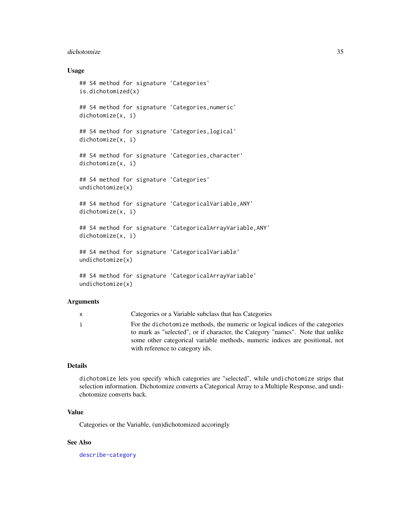#### dichotomize 35

# Usage

```
## S4 method for signature 'Categories'
is.dichotomized(x)
## S4 method for signature 'Categories,numeric'
dichotomize(x, i)
## S4 method for signature 'Categories,logical'
dichotomize(x, i)
## S4 method for signature 'Categories,character'
dichotomize(x, i)
## S4 method for signature 'Categories'
undichotomize(x)
## S4 method for signature 'CategoricalVariable,ANY'
dichotomize(x, i)
## S4 method for signature 'CategoricalArrayVariable,ANY'
dichotomize(x, i)
## S4 method for signature 'CategoricalVariable'
undichotomize(x)
## S4 method for signature 'CategoricalArrayVariable'
undichotomize(x)
```
#### Arguments

| x | Categories or a Variable subclass that has Categories                                                                                                                                                                                                                              |
|---|------------------------------------------------------------------------------------------------------------------------------------------------------------------------------------------------------------------------------------------------------------------------------------|
|   | For the dichotomize methods, the numeric or logical indices of the categories<br>to mark as "selected", or if character, the Category "names". Note that unlike<br>some other categorical variable methods, numeric indices are positional, not<br>with reference to category ids. |
|   |                                                                                                                                                                                                                                                                                    |

# Details

dichotomize lets you specify which categories are "selected", while undichotomize strips that selection information. Dichotomize converts a Categorical Array to a Multiple Response, and undichotomize converts back.

# Value

Categories or the Variable, (un)dichotomized accoringly

# See Also

[describe-category](#page-32-1)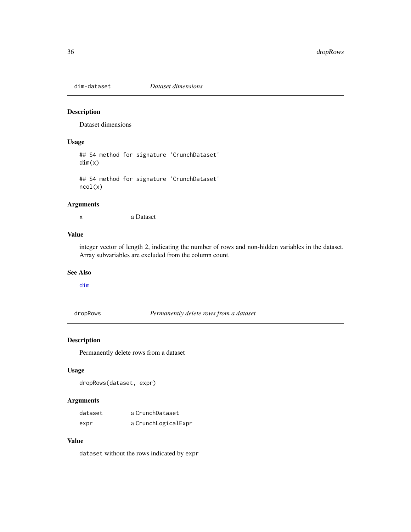<span id="page-35-0"></span>

Dataset dimensions

# Usage

## S4 method for signature 'CrunchDataset' dim(x)

## S4 method for signature 'CrunchDataset' ncol(x)

# Arguments

x a Dataset

# Value

integer vector of length 2, indicating the number of rows and non-hidden variables in the dataset. Array subvariables are excluded from the column count.

#### See Also

# [dim](#page-0-0)

dropRows *Permanently delete rows from a dataset*

# Description

Permanently delete rows from a dataset

# Usage

dropRows(dataset, expr)

# Arguments

| dataset | a CrunchDataset     |
|---------|---------------------|
| expr    | a CrunchLogicalExpr |

# Value

dataset without the rows indicated by expr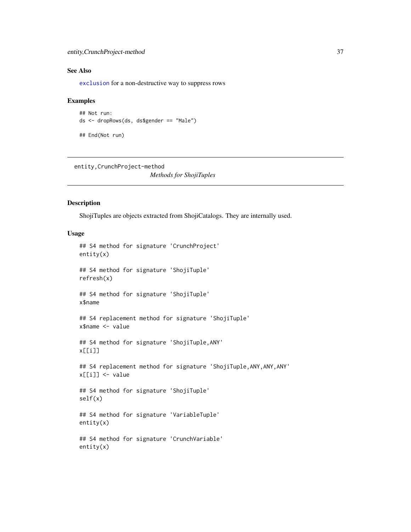## See Also

[exclusion](#page-37-0) for a non-destructive way to suppress rows

#### Examples

```
## Not run:
ds <- dropRows(ds, ds$gender == "Male")
```
## End(Not run)

entity,CrunchProject-method

*Methods for ShojiTuples*

## Description

ShojiTuples are objects extracted from ShojiCatalogs. They are internally used.

```
## S4 method for signature 'CrunchProject'
entity(x)
## S4 method for signature 'ShojiTuple'
refresh(x)
## S4 method for signature 'ShojiTuple'
x$name
## S4 replacement method for signature 'ShojiTuple'
x$name <- value
## S4 method for signature 'ShojiTuple,ANY'
x[[i]]
## S4 replacement method for signature 'ShojiTuple, ANY, ANY, ANY'
x[[i]] <- value
## S4 method for signature 'ShojiTuple'
self(x)
## S4 method for signature 'VariableTuple'
entity(x)
## S4 method for signature 'CrunchVariable'
entity(x)
```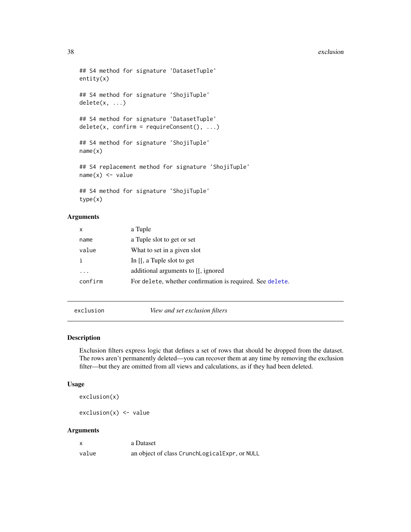#### 38 exclusion

```
## S4 method for signature 'DatasetTuple'
entity(x)
## S4 method for signature 'ShojiTuple'
delete(x, ...)
## S4 method for signature 'DatasetTuple'
delete(x, confirm = requireConsent(), ...)## S4 method for signature 'ShojiTuple'
name(x)
## S4 replacement method for signature 'ShojiTuple'
name(x) < - value## S4 method for signature 'ShojiTuple'
type(x)
```
#### Arguments

| X       | a Tuple                                                   |
|---------|-----------------------------------------------------------|
| name    | a Tuple slot to get or set                                |
| value   | What to set in a given slot                               |
|         | In $[[, a]$ Tuple slot to get                             |
| .       | additional arguments to [[, ignored]                      |
| confirm | For delete, whether confirmation is required. See delete. |

<span id="page-37-0"></span>exclusion *View and set exclusion filters*

## Description

Exclusion filters express logic that defines a set of rows that should be dropped from the dataset. The rows aren't permanently deleted—you can recover them at any time by removing the exclusion filter—but they are omitted from all views and calculations, as if they had been deleted.

#### Usage

exclusion(x)

 $exclusion(x) < - value$ 

#### Arguments

| X     | a Dataset                                     |
|-------|-----------------------------------------------|
| value | an object of class CrunchLogicalExpr, or NULL |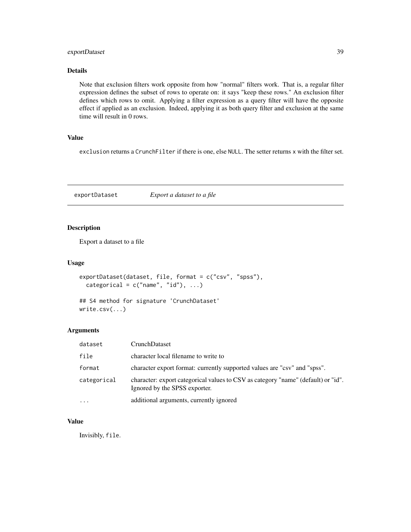## exportDataset 39

# Details

Note that exclusion filters work opposite from how "normal" filters work. That is, a regular filter expression defines the subset of rows to operate on: it says "keep these rows." An exclusion filter defines which rows to omit. Applying a filter expression as a query filter will have the opposite effect if applied as an exclusion. Indeed, applying it as both query filter and exclusion at the same time will result in 0 rows.

#### Value

exclusion returns a CrunchFilter if there is one, else NULL. The setter returns x with the filter set.

exportDataset *Export a dataset to a file*

#### Description

Export a dataset to a file

#### Usage

```
exportDataset(dataset, file, format = c("csv", "spss"),
 categorical = c("name", "id"), ...)
```

```
## S4 method for signature 'CrunchDataset'
write.csv(...)
```
## Arguments

| dataset     | CrunchDataset                                                                                                      |
|-------------|--------------------------------------------------------------------------------------------------------------------|
| file        | character local filename to write to                                                                               |
| format      | character export format: currently supported values are "csv" and "spss".                                          |
| categorical | character: export categorical values to CSV as category "name" (default) or "id".<br>Ignored by the SPSS exporter. |
| $\cdots$    | additional arguments, currently ignored                                                                            |

## Value

Invisibly, file.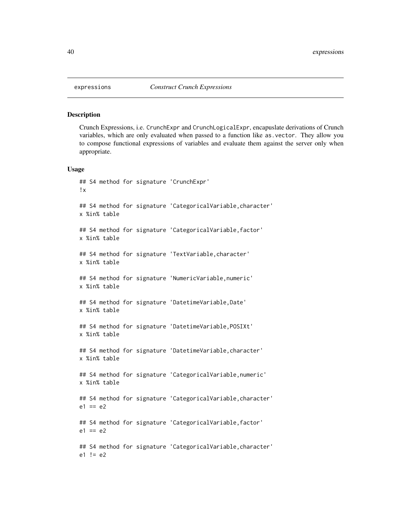Crunch Expressions, i.e. CrunchExpr and CrunchLogicalExpr, encapuslate derivations of Crunch variables, which are only evaluated when passed to a function like as.vector. They allow you to compose functional expressions of variables and evaluate them against the server only when appropriate.

```
## S4 method for signature 'CrunchExpr'
!x
## S4 method for signature 'CategoricalVariable,character'
x %in% table
## S4 method for signature 'CategoricalVariable,factor'
x %in% table
## S4 method for signature 'TextVariable, character'
x %in% table
## S4 method for signature 'NumericVariable,numeric'
x %in% table
## S4 method for signature 'DatetimeVariable,Date'
x %in% table
## S4 method for signature 'DatetimeVariable,POSIXt'
x %in% table
## S4 method for signature 'DatetimeVariable, character'
x %in% table
## S4 method for signature 'CategoricalVariable,numeric'
x %in% table
## S4 method for signature 'CategoricalVariable,character'
e1 == e2## S4 method for signature 'CategoricalVariable,factor'
e1 == e2## S4 method for signature 'CategoricalVariable,character'
e1 != e2
```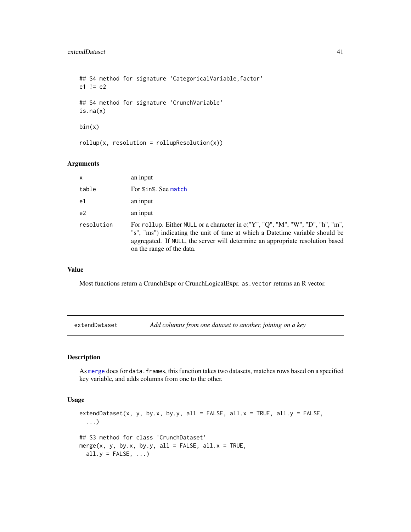```
## S4 method for signature 'CategoricalVariable,factor'
e1 != e2## S4 method for signature 'CrunchVariable'
is.na(x)
bin(x)
rollup(x, resolution = rollupResolution(x))
```
#### Arguments

| $\mathsf{x}$   | an input                                                                                                                                                                                                                                                                       |
|----------------|--------------------------------------------------------------------------------------------------------------------------------------------------------------------------------------------------------------------------------------------------------------------------------|
| table          | For %in%. See match                                                                                                                                                                                                                                                            |
| e1             | an input                                                                                                                                                                                                                                                                       |
| e <sub>2</sub> | an input                                                                                                                                                                                                                                                                       |
| resolution     | For rollup. Either NULL or a character in c("Y", "Q", "M", "W", "D", "h", "m",<br>"s", "ms") indicating the unit of time at which a Datetime variable should be<br>aggregated. If NULL, the server will determine an appropriate resolution based<br>on the range of the data. |

#### Value

Most functions return a CrunchExpr or CrunchLogicalExpr. as.vector returns an R vector.

extendDataset *Add columns from one dataset to another, joining on a key*

## Description

As [merge](#page-0-0) does for data. frames, this function takes two datasets, matches rows based on a specified key variable, and adds columns from one to the other.

## Usage

extendDataset(x, y, by.x, by.y, all = FALSE, all.x = TRUE, all.y = FALSE, ...) ## S3 method for class 'CrunchDataset' merge(x, y, by.x, by.y, all = FALSE, all. $x = TRUE$ , all.y =  $FALSE, ...$ )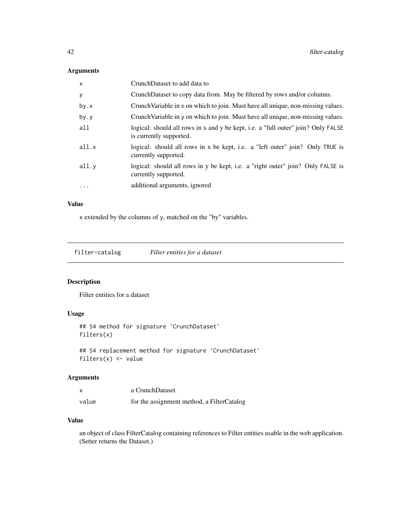# Arguments

| X         | CrunchDataset to add data to                                                                                 |
|-----------|--------------------------------------------------------------------------------------------------------------|
| У         | CrunchDataset to copy data from. May be filtered by rows and/or columns.                                     |
| by.x      | Crunch Variable in x on which to join. Must have all unique, non-missing values.                             |
| by.y      | Crunch Variable in y on which to join. Must have all unique, non-missing values.                             |
| a11       | logical: should all rows in x and y be kept, i.e. a "full outer" join? Only FALSE<br>is currently supported. |
| all.x     | logical: should all rows in x be kept, i.e. a "left outer" join? Only TRUE is<br>currently supported.        |
| all.y     | logical: should all rows in y be kept, i.e. a "right outer" join? Only FALSE is<br>currently supported.      |
| $\ddotsc$ | additional arguments, ignored                                                                                |

# Value

x extended by the columns of y, matched on the "by" variables.

filter-catalog *Filter entities for a dataset*

## Description

Filter entities for a dataset

## Usage

```
## S4 method for signature 'CrunchDataset'
filters(x)
```
## S4 replacement method for signature 'CrunchDataset' filters $(x)$  <- value

## Arguments

|       | a CrunchDataset                            |
|-------|--------------------------------------------|
| value | for the assignment method, a FilterCatalog |

#### Value

an object of class FilterCatalog containing references to Filter entities usable in the web application. (Setter returns the Dataset.)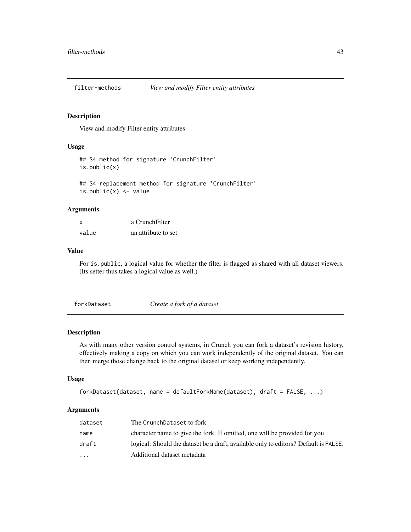View and modify Filter entity attributes

#### Usage

```
## S4 method for signature 'CrunchFilter'
is.public(x)
## S4 replacement method for signature 'CrunchFilter'
is.public(x) <- value
```
#### Arguments

| X     | a CrunchFilter      |
|-------|---------------------|
| value | an attribute to set |

#### Value

For is.public, a logical value for whether the filter is flagged as shared with all dataset viewers. (Its setter thus takes a logical value as well.)

| forkDataset | Create a fork of a dataset |
|-------------|----------------------------|
|-------------|----------------------------|

## Description

As with many other version control systems, in Crunch you can fork a dataset's revision history, effectively making a copy on which you can work independently of the original dataset. You can then merge those change back to the original dataset or keep working independently.

## Usage

```
forkDataset(dataset, name = defaultForkName(dataset), draft = FALSE, ...)
```
#### Arguments

| dataset                 | The CrunchDataset to fork                                                            |
|-------------------------|--------------------------------------------------------------------------------------|
| name                    | character name to give the fork. If omitted, one will be provided for you            |
| draft                   | logical: Should the dataset be a draft, available only to editors? Default is FALSE. |
| $\cdot$ $\cdot$ $\cdot$ | Additional dataset metadata                                                          |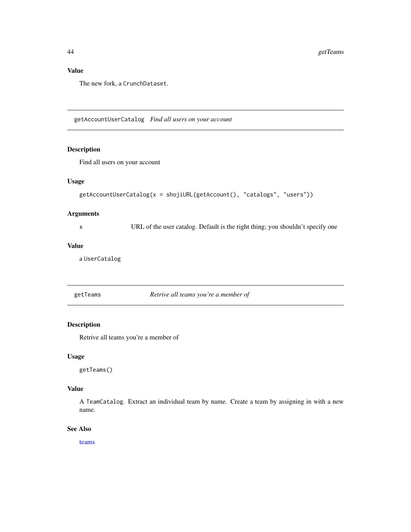# Value

The new fork, a CrunchDataset.

getAccountUserCatalog *Find all users on your account*

#### Description

Find all users on your account

## Usage

```
getAccountUserCatalog(x = shojiURL(getAccount(), "catalogs", "users"))
```
## Arguments

x URL of the user catalog. Default is the right thing; you shouldn't specify one

# Value

a UserCatalog

<span id="page-43-0"></span>getTeams *Retrive all teams you're a member of*

#### Description

Retrive all teams you're a member of

#### Usage

getTeams()

## Value

A TeamCatalog. Extract an individual team by name. Create a team by assigning in with a new name.

## See Also

[teams](#page-55-0)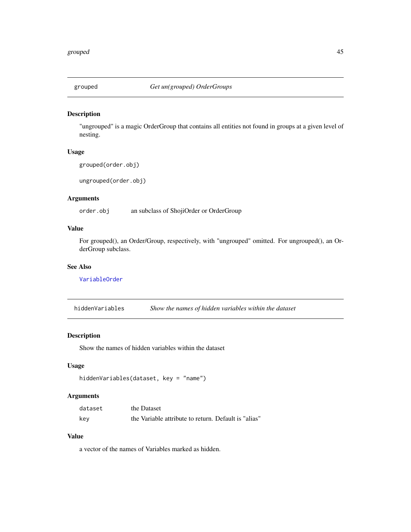"ungrouped" is a magic OrderGroup that contains all entities not found in groups at a given level of nesting.

## Usage

```
grouped(order.obj)
```
ungrouped(order.obj)

#### Arguments

order.obj an subclass of ShojiOrder or OrderGroup

## Value

For grouped(), an Order/Group, respectively, with "ungrouped" omitted. For ungrouped(), an OrderGroup subclass.

#### See Also

[VariableOrder](#page-85-0)

hiddenVariables *Show the names of hidden variables within the dataset*

#### Description

Show the names of hidden variables within the dataset

# Usage

```
hiddenVariables(dataset, key = "name")
```
#### Arguments

| dataset | the Dataset                                          |
|---------|------------------------------------------------------|
| key     | the Variable attribute to return. Default is "alias" |

# Value

a vector of the names of Variables marked as hidden.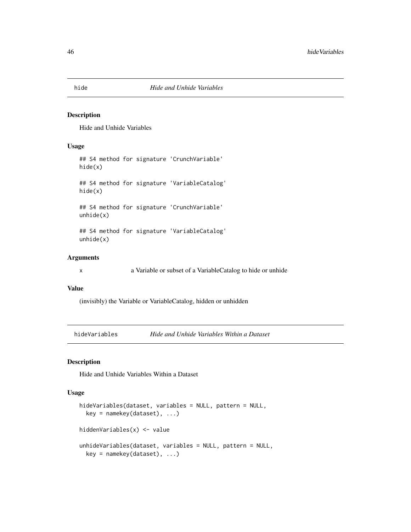Hide and Unhide Variables

#### Usage

```
## S4 method for signature 'CrunchVariable'
hide(x)
## S4 method for signature 'VariableCatalog'
hide(x)
## S4 method for signature 'CrunchVariable'
unhide(x)
## S4 method for signature 'VariableCatalog'
unhide(x)
```
#### Arguments

x a Variable or subset of a VariableCatalog to hide or unhide

## Value

(invisibly) the Variable or VariableCatalog, hidden or unhidden

hideVariables *Hide and Unhide Variables Within a Dataset*

## Description

Hide and Unhide Variables Within a Dataset

```
hideVariables(dataset, variables = NULL, pattern = NULL,
 key = namekey(dataset), ...)
hiddenVariables(x) <- value
unhideVariables(dataset, variables = NULL, pattern = NULL,
 key = namekey(dataset), ...)
```
<span id="page-45-0"></span>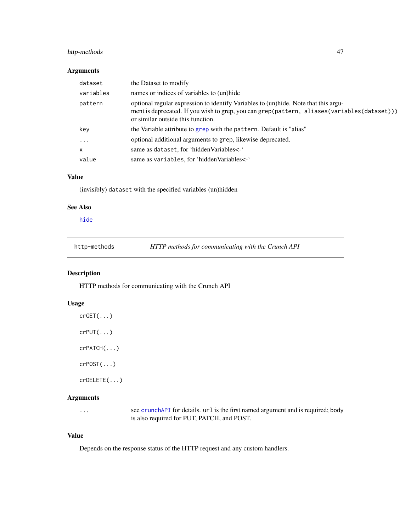## http-methods 47

## Arguments

| dataset      | the Dataset to modify                                                                                                                                                                                                   |
|--------------|-------------------------------------------------------------------------------------------------------------------------------------------------------------------------------------------------------------------------|
| variables    | names or indices of variables to (un)hide                                                                                                                                                                               |
| pattern      | optional regular expression to identify Variables to (un)hide. Note that this argu-<br>ment is deprecated. If you wish to grep, you can grep(pattern, aliases(variables(dataset)))<br>or similar outside this function. |
| key          | the Variable attribute to grep with the pattern. Default is "alias"                                                                                                                                                     |
| $\ddots$ .   | optional additional arguments to grep, likewise deprecated.                                                                                                                                                             |
| $\mathsf{x}$ | same as dataset, for 'hidden Variables<-'                                                                                                                                                                               |
| value        | same as variables, for 'hiddenVariables<-'                                                                                                                                                                              |

# Value

(invisibly) dataset with the specified variables (un)hidden

# See Also

[hide](#page-45-0)

http-methods *HTTP methods for communicating with the Crunch API*

# Description

HTTP methods for communicating with the Crunch API

## Usage

| $crGET(\ldots)$         |
|-------------------------|
| $crPUT(\ldots)$         |
| $cr$ PATCH $( \ldots )$ |
| $cr$ POST $(\ldots)$    |
| crDELETE()              |

## Arguments

... see [crunchAPI](#page-0-0) for details. url is the first named argument and is required; body is also required for PUT, PATCH, and POST.

## Value

Depends on the response status of the HTTP request and any custom handlers.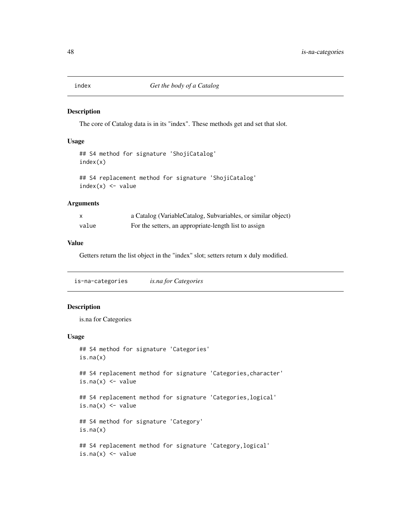The core of Catalog data is in its "index". These methods get and set that slot.

#### Usage

```
## S4 method for signature 'ShojiCatalog'
index(x)
```

```
## S4 replacement method for signature 'ShojiCatalog'
index(x) < - value
```
## Arguments

|       | a Catalog (VariableCatalog, Subvariables, or similar object) |
|-------|--------------------------------------------------------------|
| value | For the setters, an appropriate-length list to assign        |

## Value

Getters return the list object in the "index" slot; setters return x duly modified.

is-na-categories *is.na for Categories*

# Description

is.na for Categories

```
## S4 method for signature 'Categories'
is.na(x)
## S4 replacement method for signature 'Categories, character'
is.na(x) <- value
## S4 replacement method for signature 'Categories,logical'
is.na(x) <- value
## S4 method for signature 'Category'
is.na(x)
## S4 replacement method for signature 'Category,logical'
is.na(x) <- value
```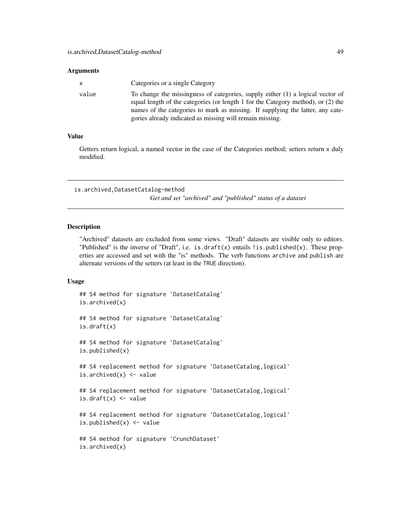#### **Arguments**

| X     | Categories or a single Category                                                                                                                                                                                                                                                                                  |
|-------|------------------------------------------------------------------------------------------------------------------------------------------------------------------------------------------------------------------------------------------------------------------------------------------------------------------|
| value | To change the missingness of categories, supply either (1) a logical vector of<br>equal length of the categories (or length 1 for the Category method), or (2) the<br>names of the categories to mark as missing. If supplying the latter, any cate-<br>gories already indicated as missing will remain missing. |

#### Value

Getters return logical, a named vector in the case of the Categories method; setters return x duly modified.

is.archived,DatasetCatalog-method

*Get and set "archived" and "published" status of a dataset*

#### Description

"Archived" datasets are excluded from some views. "Draft" datasets are visible only to editors. "Published" is the inverse of "Draft", i.e. is.draft(x) entails ! is.published(x). These properties are accessed and set with the "is" methods. The verb functions archive and publish are alternate versions of the setters (at least in the TRUE direction).

```
## S4 method for signature 'DatasetCatalog'
is.archived(x)
## S4 method for signature 'DatasetCatalog'
is.draft(x)
## S4 method for signature 'DatasetCatalog'
is.published(x)
## S4 replacement method for signature 'DatasetCatalog, logical'
is.archived(x) <- value
## S4 replacement method for signature 'DatasetCatalog,logical'
is.draft(x) <- value
## S4 replacement method for signature 'DatasetCatalog,logical'
is.published(x) <- value
## S4 method for signature 'CrunchDataset'
is.archived(x)
```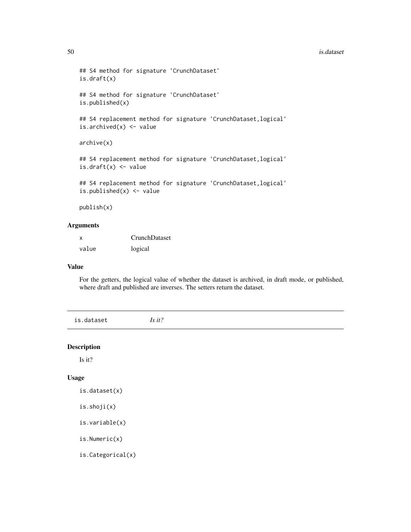#### 50 is.dataset

```
## S4 method for signature 'CrunchDataset'
is.draft(x)
## S4 method for signature 'CrunchDataset'
is.published(x)
## S4 replacement method for signature 'CrunchDataset, logical'
is.archived(x) <- value
archive(x)
## S4 replacement method for signature 'CrunchDataset, logical'
is.draft(x) <- value
## S4 replacement method for signature 'CrunchDataset,logical'
is.published(x) <- value
publish(x)
```
#### Arguments

| X     | CrunchDataset |
|-------|---------------|
| value | logical       |

#### Value

For the getters, the logical value of whether the dataset is archived, in draft mode, or published, where draft and published are inverses. The setters return the dataset.

is.dataset *Is it?*

#### Description

Is it?

#### Usage

```
is.dataset(x)
```
is.shoji(x)

```
is.variable(x)
```
is.Numeric(x)

is.Categorical(x)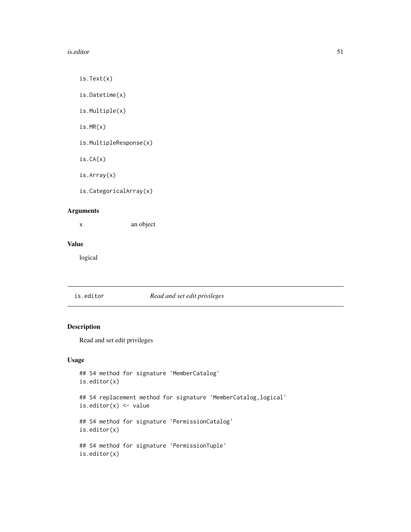#### is.editor 51

is.Text(x)

is.Datetime(x)

is.Multiple(x)

is.MR(x)

is.MultipleResponse(x)

is.CA(x)

is.Array(x)

is.CategoricalArray(x)

# Arguments

x an object

# Value

logical

## is.editor *Read and set edit privileges*

## Description

Read and set edit privileges

```
## S4 method for signature 'MemberCatalog'
is.editor(x)
## S4 replacement method for signature 'MemberCatalog,logical'
is.editor(x) <- value
## S4 method for signature 'PermissionCatalog'
is.editor(x)
## S4 method for signature 'PermissionTuple'
is.editor(x)
```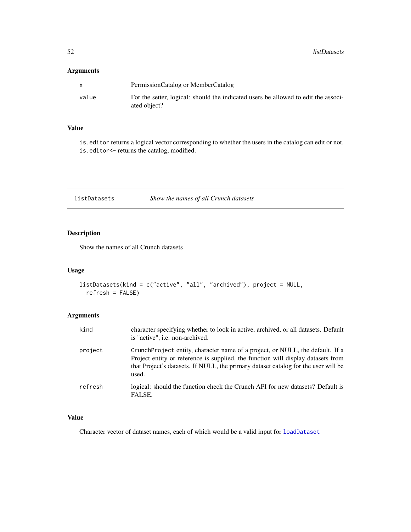# Arguments

|       | PermissionCatalog or MemberCatalog                                                                 |
|-------|----------------------------------------------------------------------------------------------------|
| value | For the setter, logical: should the indicated users be allowed to edit the associ-<br>ated object? |

# Value

is.editor returns a logical vector corresponding to whether the users in the catalog can edit or not. is.editor<- returns the catalog, modified.

listDatasets *Show the names of all Crunch datasets*

# Description

Show the names of all Crunch datasets

## Usage

```
listDatasets(kind = c("active", "all", "archived"), project = NULL,
  refresh = FALSE)
```
## Arguments

| kind    | character specifying whether to look in active, archived, or all datasets. Default<br>is "active", <i>i.e.</i> non-archived.                                                                                                                                     |
|---------|------------------------------------------------------------------------------------------------------------------------------------------------------------------------------------------------------------------------------------------------------------------|
| project | CrunchProject entity, character name of a project, or NULL, the default. If a<br>Project entity or reference is supplied, the function will display datasets from<br>that Project's datasets. If NULL, the primary dataset catalog for the user will be<br>used. |
| refresh | logical: should the function check the Crunch API for new datasets? Default is<br>FALSE.                                                                                                                                                                         |

# Value

Character vector of dataset names, each of which would be a valid input for [loadDataset](#page-52-0)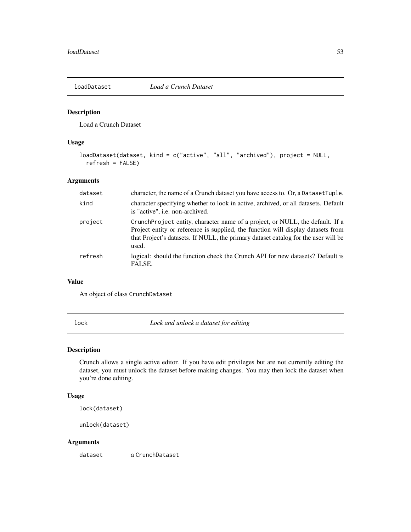<span id="page-52-0"></span>

Load a Crunch Dataset

## Usage

```
loadDataset(dataset, kind = c("active", "all", "archived"), project = NULL,
 refresh = FALSE)
```
# Arguments

| dataset | character, the name of a Crunch dataset you have access to. Or, a Dataset Tuple.                                                                                                                                                                                 |
|---------|------------------------------------------------------------------------------------------------------------------------------------------------------------------------------------------------------------------------------------------------------------------|
| kind    | character specifying whether to look in active, archived, or all datasets. Default<br>is "active", i.e. non-archived.                                                                                                                                            |
| project | CrunchProject entity, character name of a project, or NULL, the default. If a<br>Project entity or reference is supplied, the function will display datasets from<br>that Project's datasets. If NULL, the primary dataset catalog for the user will be<br>used. |
| refresh | logical: should the function check the Crunch API for new datasets? Default is<br>FALSE.                                                                                                                                                                         |

# Value

An object of class CrunchDataset

lock *Lock and unlock a dataset for editing*

## Description

Crunch allows a single active editor. If you have edit privileges but are not currently editing the dataset, you must unlock the dataset before making changes. You may then lock the dataset when you're done editing.

#### Usage

lock(dataset)

unlock(dataset)

#### Arguments

dataset a CrunchDataset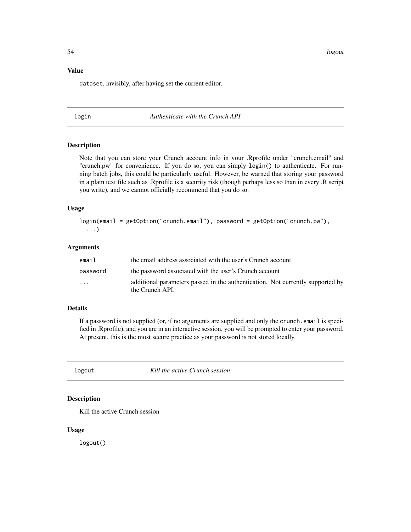54 logout

#### Value

dataset, invisibly, after having set the current editor.

#### login *Authenticate with the Crunch API*

#### Description

Note that you can store your Crunch account info in your .Rprofile under "crunch.email" and "crunch.pw" for convenience. If you do so, you can simply login() to authenticate. For running batch jobs, this could be particularly useful. However, be warned that storing your password in a plain text file such as .Rprofile is a security risk (though perhaps less so than in every .R script you write), and we cannot officially recommend that you do so.

#### Usage

login(email = getOption("crunch.email"), password = getOption("crunch.pw"), ...)

## Arguments

| email                   | the email address associated with the user's Crunch account                                       |
|-------------------------|---------------------------------------------------------------------------------------------------|
| password                | the password associated with the user's Crunch account                                            |
| $\cdot$ $\cdot$ $\cdot$ | additional parameters passed in the authentication. Not currently supported by<br>the Crunch API. |

#### Details

If a password is not supplied (or, if no arguments are supplied and only the crunch.email is specified in .Rprofile), and you are in an interactive session, you will be prompted to enter your password. At present, this is the most secure practice as your password is not stored locally.

logout *Kill the active Crunch session*

#### Description

Kill the active Crunch session

#### Usage

logout()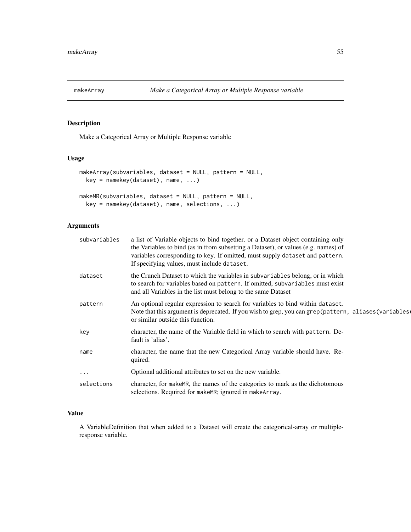Make a Categorical Array or Multiple Response variable

## Usage

```
makeArray(subvariables, dataset = NULL, pattern = NULL,
 key = namekey(dataset), name, ...)
makeMR(subvariables, dataset = NULL, pattern = NULL,
 key = namekey(dataset), name, selections, ...)
```
## Arguments

| subvariables | a list of Variable objects to bind together, or a Dataset object containing only<br>the Variables to bind (as in from subsetting a Dataset), or values (e.g. names) of<br>variables corresponding to key. If omitted, must supply dataset and pattern.<br>If specifying values, must include dataset. |
|--------------|-------------------------------------------------------------------------------------------------------------------------------------------------------------------------------------------------------------------------------------------------------------------------------------------------------|
| dataset      | the Crunch Dataset to which the variables in subvariables belong, or in which<br>to search for variables based on pattern. If omitted, subvariables must exist<br>and all Variables in the list must belong to the same Dataset                                                                       |
| pattern      | An optional regular expression to search for variables to bind within dataset.<br>Note that this argument is deprecated. If you wish to grep, you can grep (pattern, aliases (variables)<br>or similar outside this function.                                                                         |
| key          | character, the name of the Variable field in which to search with pattern. De-<br>fault is 'alias'.                                                                                                                                                                                                   |
| name         | character, the name that the new Categorical Array variable should have. Re-<br>quired.                                                                                                                                                                                                               |
| $\ddotsc$    | Optional additional attributes to set on the new variable.                                                                                                                                                                                                                                            |
| selections   | character, for makeMR, the names of the categories to mark as the dichotomous<br>selections. Required for make MR; ignored in make Array.                                                                                                                                                             |

#### Value

A VariableDefinition that when added to a Dataset will create the categorical-array or multipleresponse variable.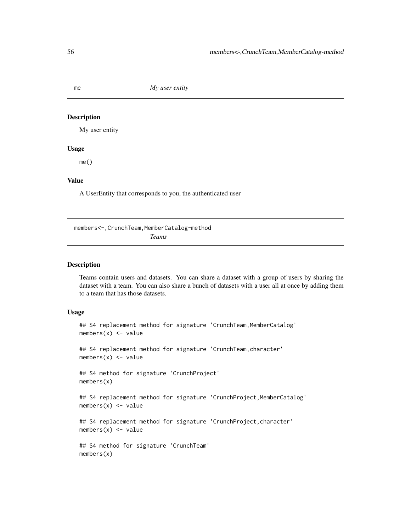me *My user entity*

#### Description

My user entity

#### Usage

me()

## Value

A UserEntity that corresponds to you, the authenticated user

members<-,CrunchTeam,MemberCatalog-method *Teams*

#### <span id="page-55-0"></span>Description

Teams contain users and datasets. You can share a dataset with a group of users by sharing the dataset with a team. You can also share a bunch of datasets with a user all at once by adding them to a team that has those datasets.

```
## S4 replacement method for signature 'CrunchTeam, MemberCatalog'
members(x) <- value
## S4 replacement method for signature 'CrunchTeam, character'
members(x) \leftarrow value## S4 method for signature 'CrunchProject'
members(x)
## S4 replacement method for signature 'CrunchProject, MemberCatalog'
members(x) <- value
## S4 replacement method for signature 'CrunchProject,character'
members(x) <- value
## S4 method for signature 'CrunchTeam'
members(x)
```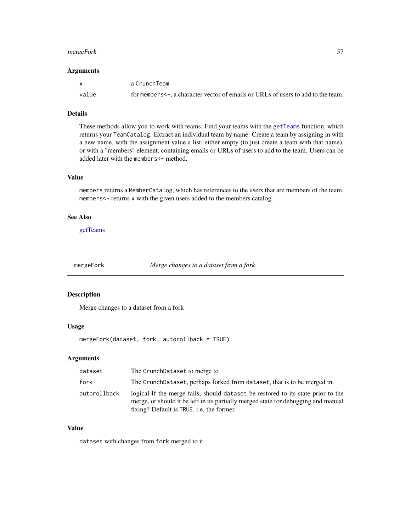## mergeFork 57

#### Arguments

| $\mathbf{x}$ | a CrunchTeam                                                                            |
|--------------|-----------------------------------------------------------------------------------------|
| value        | for members $\leq$ -, a character vector of emails or URLs of users to add to the team. |

#### Details

These methods allow you to work with teams. Find your teams with the [getTeams](#page-43-0) function, which returns your TeamCatalog. Extract an individual team by name. Create a team by assigning in with a new name, with the assignment value a list, either empty (to just create a team with that name), or with a "members" element, containing emails or URLs of users to add to the team. Users can be added later with the members <- method.

# Value

members returns a MemberCatalog, which has references to the users that are members of the team. members<- returns x with the given users added to the members catalog.

## See Also

[getTeams](#page-43-0)

mergeFork *Merge changes to a dataset from a fork*

#### Description

Merge changes to a dataset from a fork

#### Usage

mergeFork(dataset, fork, autorollback = TRUE)

# Arguments

| dataset      | The CrunchDataset to merge to                                                                                                                                                                                       |
|--------------|---------------------------------------------------------------------------------------------------------------------------------------------------------------------------------------------------------------------|
| fork         | The CrunchDataset, perhaps forked from dataset, that is to be merged in.                                                                                                                                            |
| autorollback | logical If the merge fails, should dataset be restored to its state prior to the<br>merge, or should it be left in its partially merged state for debugging and manual<br>fixing? Default is TRUE, i.e. the former. |

# Value

dataset with changes from fork merged to it.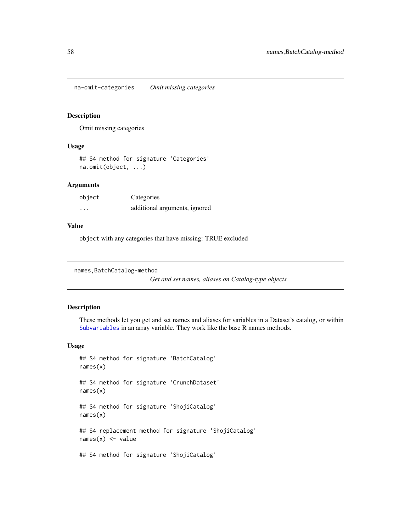na-omit-categories *Omit missing categories*

#### Description

Omit missing categories

#### Usage

```
## S4 method for signature 'Categories'
na.omit(object, ...)
```
## Arguments

| object   | Categories                    |
|----------|-------------------------------|
| $\cdots$ | additional arguments, ignored |

## Value

object with any categories that have missing: TRUE excluded

```
names, BatchCatalog-method
```
*Get and set names, aliases on Catalog-type objects*

# Description

These methods let you get and set names and aliases for variables in a Dataset's catalog, or within [Subvariables](#page-73-0) in an array variable. They work like the base R names methods.

```
## S4 method for signature 'BatchCatalog'
names(x)
## S4 method for signature 'CrunchDataset'
names(x)
## S4 method for signature 'ShojiCatalog'
names(x)
## S4 replacement method for signature 'ShojiCatalog'
names(x) <- value
## S4 method for signature 'ShojiCatalog'
```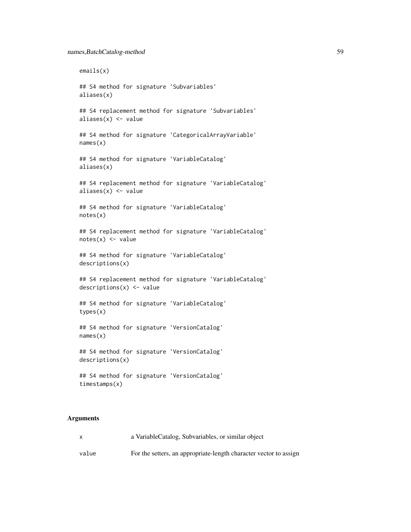```
emails(x)
## S4 method for signature 'Subvariables'
aliases(x)
## S4 replacement method for signature 'Subvariables'
aliases(x) <- value
## S4 method for signature 'CategoricalArrayVariable'
names(x)
## S4 method for signature 'VariableCatalog'
aliases(x)
## S4 replacement method for signature 'VariableCatalog'
aliases(x) <- value
## S4 method for signature 'VariableCatalog'
notes(x)
## S4 replacement method for signature 'VariableCatalog'
notes(x) < - value
## S4 method for signature 'VariableCatalog'
descriptions(x)
## S4 replacement method for signature 'VariableCatalog'
descriptions(x) <- value
## S4 method for signature 'VariableCatalog'
types(x)
## S4 method for signature 'VersionCatalog'
names(x)
## S4 method for signature 'VersionCatalog'
descriptions(x)
## S4 method for signature 'VersionCatalog'
timestamps(x)
```
#### Arguments

| $\mathsf{x}$ | a VariableCatalog, Subvariables, or similar object                |
|--------------|-------------------------------------------------------------------|
| value        | For the setters, an appropriate-length character vector to assign |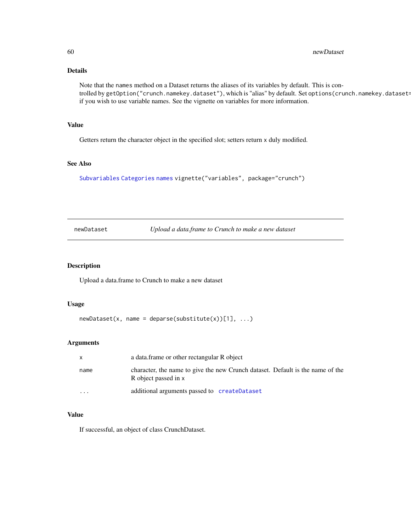# Details

Note that the names method on a Dataset returns the aliases of its variables by default. This is controlled by getOption("crunch.namekey.dataset"), which is "alias" by default. Set options(crunch.namekey.dataset= if you wish to use variable names. See the vignette on variables for more information.

#### Value

Getters return the character object in the specified slot; setters return x duly modified.

# See Also

[Subvariables](#page-73-0) [Categories](#page-11-0) [names](#page-0-0) vignette("variables", package="crunch")

<span id="page-59-0"></span>newDataset *Upload a data.frame to Crunch to make a new dataset*

## Description

Upload a data.frame to Crunch to make a new dataset

#### Usage

```
newDatasets(x, name = deparse(substitute(x))[1], ...)
```
#### Arguments

| $\mathsf{X}$ | a data frame or other rectangular R object                                                             |
|--------------|--------------------------------------------------------------------------------------------------------|
| name         | character, the name to give the new Crunch dataset. Default is the name of the<br>R object passed in x |
| .            | additional arguments passed to createDataset                                                           |

## Value

If successful, an object of class CrunchDataset.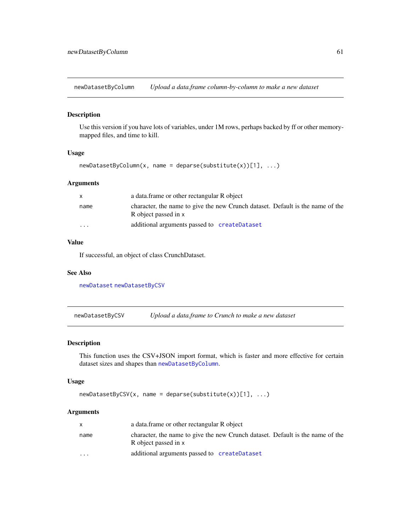<span id="page-60-1"></span>newDatasetByColumn *Upload a data.frame column-by-column to make a new dataset*

## Description

Use this version if you have lots of variables, under 1M rows, perhaps backed by ff or other memorymapped files, and time to kill.

#### Usage

```
newDatasetByColumn(x, name = deparse(substitute(x))[1], ...)
```
#### Arguments

| $\mathsf{x}$            | a data frame or other rectangular R object                                                             |
|-------------------------|--------------------------------------------------------------------------------------------------------|
| name                    | character, the name to give the new Crunch dataset. Default is the name of the<br>R object passed in x |
| $\cdot$ $\cdot$ $\cdot$ | additional arguments passed to createDataset                                                           |

## Value

If successful, an object of class CrunchDataset.

#### See Also

[newDataset](#page-59-0) [newDatasetByCSV](#page-60-0)

<span id="page-60-0"></span>newDatasetByCSV *Upload a data.frame to Crunch to make a new dataset*

## Description

This function uses the CSV+JSON import format, which is faster and more effective for certain dataset sizes and shapes than [newDatasetByColumn](#page-60-1).

#### Usage

```
newDatasetByCSV(x, name = deparse(substitute(x))[1], ...)
```
#### Arguments

|                         | a data frame or other rectangular R object                                                             |
|-------------------------|--------------------------------------------------------------------------------------------------------|
| name                    | character, the name to give the new Crunch dataset. Default is the name of the<br>R object passed in x |
| $\cdot$ $\cdot$ $\cdot$ | additional arguments passed to createDataset                                                           |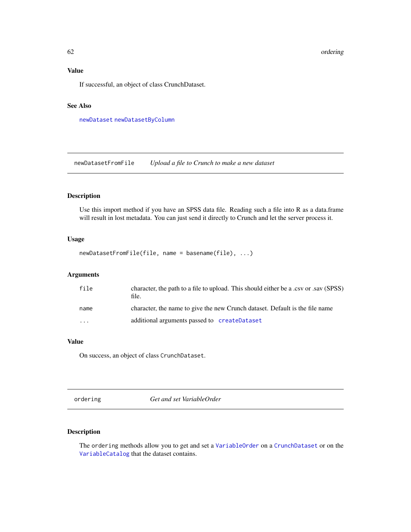# Value

If successful, an object of class CrunchDataset.

#### See Also

[newDataset](#page-59-0) [newDatasetByColumn](#page-60-1)

newDatasetFromFile *Upload a file to Crunch to make a new dataset*

# Description

Use this import method if you have an SPSS data file. Reading such a file into R as a data.frame will result in lost metadata. You can just send it directly to Crunch and let the server process it.

#### Usage

```
newDatasetFromFile(file, name = basename(file), ...)
```
## Arguments

| file                    | character, the path to a file to upload. This should either be a .csv or .sav (SPSS)<br>file. |
|-------------------------|-----------------------------------------------------------------------------------------------|
| name                    | character, the name to give the new Crunch dataset. Default is the file name                  |
| $\cdot$ $\cdot$ $\cdot$ | additional arguments passed to createDataset                                                  |

#### Value

On success, an object of class CrunchDataset.

ordering *Get and set VariableOrder*

## Description

The ordering methods allow you to get and set a [VariableOrder](#page-85-0) on a [CrunchDataset](#page-20-0) or on the [VariableCatalog](#page-84-0) that the dataset contains.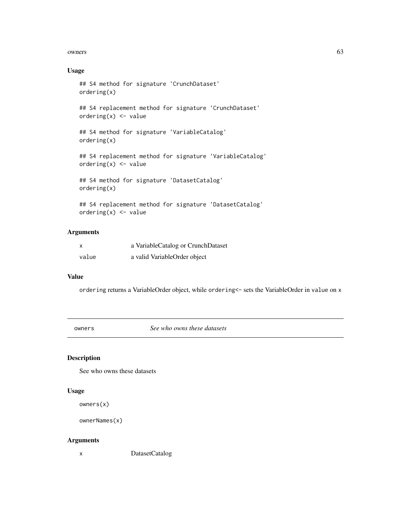#### owners 63

## Usage

```
## S4 method for signature 'CrunchDataset'
ordering(x)
## S4 replacement method for signature 'CrunchDataset'
ordering(x) <- value
## S4 method for signature 'VariableCatalog'
ordering(x)
## S4 replacement method for signature 'VariableCatalog'
ordering(x) <- value
## S4 method for signature 'DatasetCatalog'
ordering(x)
## S4 replacement method for signature 'DatasetCatalog'
```

```
ordering(x) <- value
```
# Arguments

| x     | a VariableCatalog or CrunchDataset |
|-------|------------------------------------|
| value | a valid VariableOrder object       |

#### Value

ordering returns a VariableOrder object, while ordering<- sets the VariableOrder in value on x

owners *See who owns these datasets*

## Description

See who owns these datasets

#### Usage

owners(x)

```
ownerNames(x)
```
#### Arguments

x DatasetCatalog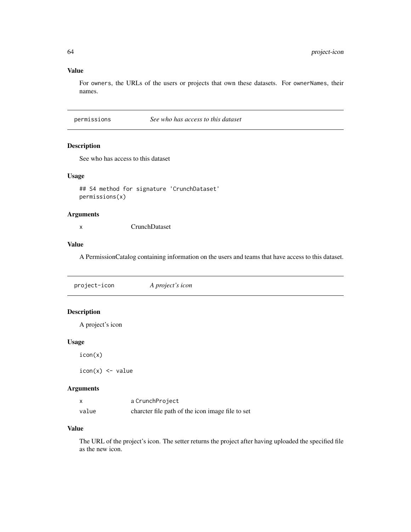# Value

For owners, the URLs of the users or projects that own these datasets. For ownerNames, their names.

permissions *See who has access to this dataset*

## Description

See who has access to this dataset

#### Usage

```
## S4 method for signature 'CrunchDataset'
permissions(x)
```
## Arguments

x CrunchDataset

## Value

A PermissionCatalog containing information on the users and teams that have access to this dataset.

project-icon *A project's icon*

# Description

A project's icon

#### Usage

icon(x)

 $icon(x) < -$  value

## Arguments

|       | a CrunchProject                                  |
|-------|--------------------------------------------------|
| value | charcter file path of the icon image file to set |

# Value

The URL of the project's icon. The setter returns the project after having uploaded the specified file as the new icon.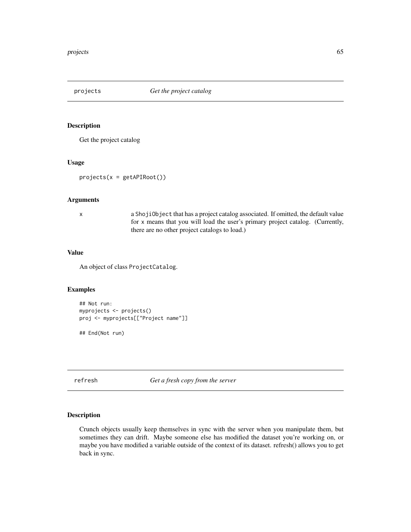Get the project catalog

## Usage

```
projects(x = getAPIRoot())
```
#### Arguments

x a ShojiObject that has a project catalog associated. If omitted, the default value for x means that you will load the user's primary project catalog. (Currently, there are no other project catalogs to load.)

#### Value

An object of class ProjectCatalog.

## Examples

```
## Not run:
myprojects <- projects()
proj <- myprojects[["Project name"]]
```
## End(Not run)

refresh *Get a fresh copy from the server*

#### Description

Crunch objects usually keep themselves in sync with the server when you manipulate them, but sometimes they can drift. Maybe someone else has modified the dataset you're working on, or maybe you have modified a variable outside of the context of its dataset. refresh() allows you to get back in sync.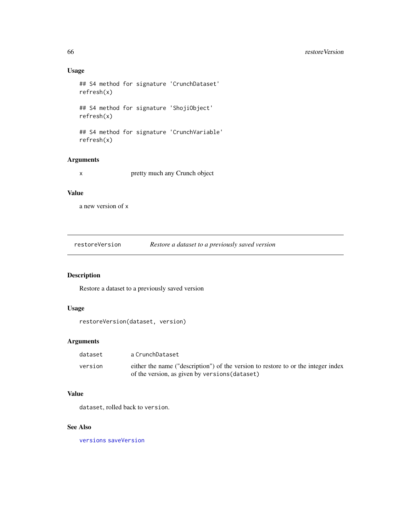## Usage

```
## S4 method for signature 'CrunchDataset'
refresh(x)
## S4 method for signature 'ShojiObject'
refresh(x)
## S4 method for signature 'CrunchVariable'
```

```
refresh(x)
```
## Arguments

x pretty much any Crunch object

# Value

a new version of x

<span id="page-65-0"></span>restoreVersion *Restore a dataset to a previously saved version*

## Description

Restore a dataset to a previously saved version

# Usage

restoreVersion(dataset, version)

#### Arguments

| dataset | a CrunchDataset                                                                                                                     |
|---------|-------------------------------------------------------------------------------------------------------------------------------------|
| version | either the name ("description") of the version to restore to or the integer index<br>of the version, as given by versions (dataset) |

#### Value

dataset, rolled back to version.

#### See Also

[versions](#page-86-0) [saveVersion](#page-66-0)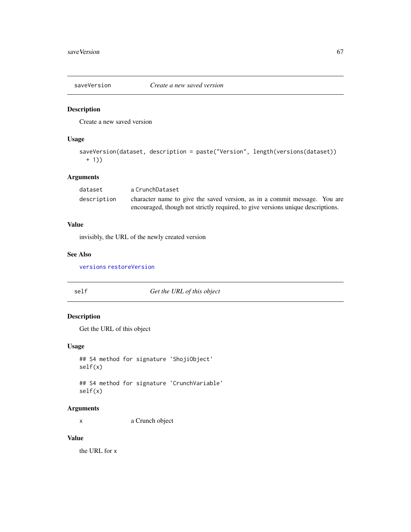<span id="page-66-0"></span>

Create a new saved version

## Usage

```
saveVersion(dataset, description = paste("Version", length(versions(dataset))
 + 1))
```
## Arguments

| dataset     | a CrunchDataset                                                                 |  |
|-------------|---------------------------------------------------------------------------------|--|
| description | character name to give the saved version, as in a commit message. You are       |  |
|             | encouraged, though not strictly required, to give versions unique descriptions. |  |

## Value

invisibly, the URL of the newly created version

## See Also

[versions](#page-86-0) [restoreVersion](#page-65-0)

self *Get the URL of this object*

# Description

Get the URL of this object

#### Usage

```
## S4 method for signature 'ShojiObject'
self(x)
```
## S4 method for signature 'CrunchVariable' self(x)

## Arguments

x a Crunch object

## Value

the URL for x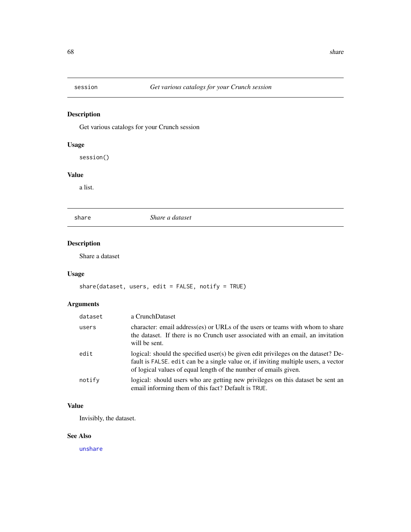Get various catalogs for your Crunch session

# Usage

session()

# Value

a list.

share *Share a dataset*

# Description

Share a dataset

# Usage

```
share(dataset, users, edit = FALSE, notify = TRUE)
```
# Arguments

| dataset | a CrunchDataset                                                                                                                                                                                                                               |
|---------|-----------------------------------------------------------------------------------------------------------------------------------------------------------------------------------------------------------------------------------------------|
| users   | character: email address(es) or URLs of the users or teams with whom to share<br>the dataset. If there is no Crunch user associated with an email, an invitation<br>will be sent.                                                             |
| edit    | logical: should the specified user(s) be given edit privileges on the dataset? De-<br>fault is FALSE, edit can be a single value or, if inviting multiple users, a vector<br>of logical values of equal length of the number of emails given. |
| notify  | logical: should users who are getting new privileges on this dataset be sent an<br>email informing them of this fact? Default is TRUE.                                                                                                        |

## Value

Invisibly, the dataset.

# See Also

[unshare](#page-80-0)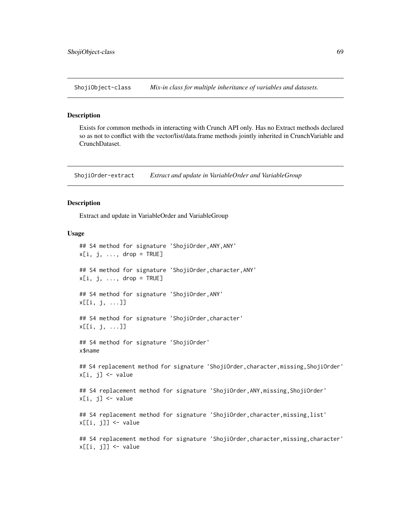ShojiObject-class *Mix-in class for multiple inheritance of variables and datasets.*

#### **Description**

Exists for common methods in interacting with Crunch API only. Has no Extract methods declared so as not to conflict with the vector/list/data.frame methods jointly inherited in CrunchVariable and CrunchDataset.

ShojiOrder-extract *Extract and update in VariableOrder and VariableGroup*

## Description

Extract and update in VariableOrder and VariableGroup

#### Usage

## S4 method for signature 'ShojiOrder,ANY,ANY'  $x[i, j, ..., drop = TRUE]$ ## S4 method for signature 'ShojiOrder,character,ANY'  $x[i, j, ..., drop = TRUE]$ ## S4 method for signature 'ShojiOrder,ANY' x[[i, j, ...]] ## S4 method for signature 'ShojiOrder,character' x[[i, j, ...]] ## S4 method for signature 'ShojiOrder' x\$name ## S4 replacement method for signature 'ShojiOrder, character, missing, ShojiOrder'  $x[i, j]$  <- value ## S4 replacement method for signature 'ShojiOrder,ANY,missing,ShojiOrder'  $x[i, j]$  <- value ## S4 replacement method for signature 'ShojiOrder,character,missing,list' x[[i, j]] <- value ## S4 replacement method for signature 'ShojiOrder, character, missing, character' x[[i, j]] <- value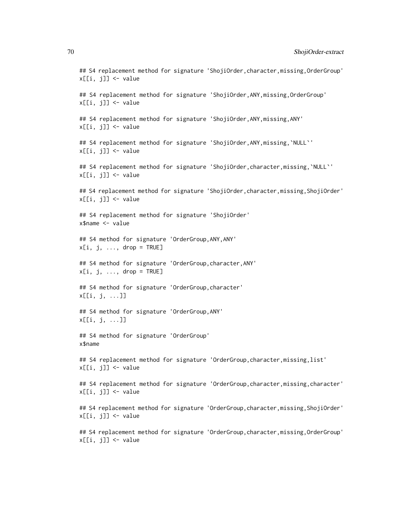## S4 replacement method for signature 'ShojiOrder,character,missing,OrderGroup'  $x[[i, j]]$  <- value ## S4 replacement method for signature 'ShojiOrder, ANY, missing, OrderGroup'  $x[[i, j]]$  <- value ## S4 replacement method for signature 'ShojiOrder,ANY,missing,ANY'  $x[[i, j]]$  <- value ## S4 replacement method for signature 'ShojiOrder, ANY, missing, `NULL`'  $x[[i, j]]$  <- value ## S4 replacement method for signature 'ShojiOrder, character, missing, `NULL`'  $x[[i, j]]$  <- value ## S4 replacement method for signature 'ShojiOrder,character,missing,ShojiOrder' x[[i, j]] <- value ## S4 replacement method for signature 'ShojiOrder' x\$name <- value ## S4 method for signature 'OrderGroup,ANY,ANY'  $x[i, j, ..., drop = TRUE]$ ## S4 method for signature 'OrderGroup,character,ANY'  $x[i, j, \ldots, drop = TRUE]$ ## S4 method for signature 'OrderGroup,character' x[[i, j, ...]] ## S4 method for signature 'OrderGroup,ANY' x[[i, j, ...]] ## S4 method for signature 'OrderGroup' x\$name ## S4 replacement method for signature 'OrderGroup,character,missing,list'  $x[[i, j]]$  <- value ## S4 replacement method for signature 'OrderGroup, character, missing, character' x[[i, j]] <- value ## S4 replacement method for signature 'OrderGroup,character,missing,ShojiOrder'  $x[[i, j]]$   $\leq$  value ## S4 replacement method for signature 'OrderGroup,character,missing,OrderGroup'  $x[[i, j]]$  <- value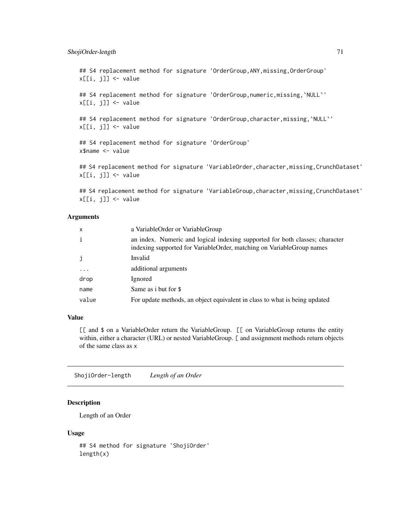## ShojiOrder-length 71

## S4 replacement method for signature 'OrderGroup, ANY, missing, OrderGroup'  $x[[i, j]]$  <- value

## S4 replacement method for signature 'OrderGroup, numeric, missing, `NULL`' x[[i, j]] <- value

## S4 replacement method for signature 'OrderGroup, character, missing, `NULL`'  $x[[i, j]]$  <- value

## S4 replacement method for signature 'OrderGroup' x\$name <- value

## S4 replacement method for signature 'VariableOrder, character, missing, CrunchDataset'  $x[[i, j]]$  <- value

## S4 replacement method for signature 'VariableGroup, character, missing, CrunchDataset' x[[i, j]] <- value

#### Arguments

| $\mathsf{x}$ | a VariableOrder or VariableGroup                                                                                                                      |
|--------------|-------------------------------------------------------------------------------------------------------------------------------------------------------|
| j.           | an index. Numeric and logical indexing supported for both classes; character<br>indexing supported for VariableOrder, matching on VariableGroup names |
| j            | Invalid                                                                                                                                               |
| $\ddotsc$    | additional arguments                                                                                                                                  |
| drop         | Ignored                                                                                                                                               |
| name         | Same as i but for \$                                                                                                                                  |
| value        | For update methods, an object equivalent in class to what is being updated                                                                            |

## Value

[[ and \$ on a VariableOrder return the VariableGroup. [[ on VariableGroup returns the entity within, either a character (URL) or nested VariableGroup. [ and assignment methods return objects of the same class as x

ShojiOrder-length *Length of an Order*

# Description

Length of an Order

```
## S4 method for signature 'ShojiOrder'
length(x)
```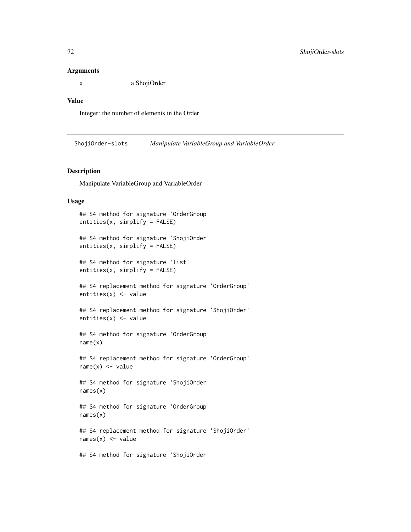#### **Arguments**

x a ShojiOrder

#### Value

Integer: the number of elements in the Order

ShojiOrder-slots *Manipulate VariableGroup and VariableOrder*

#### Description

Manipulate VariableGroup and VariableOrder

```
## S4 method for signature 'OrderGroup'
entities(x, simplify = FALSE)
## S4 method for signature 'ShojiOrder'
entities(x, simplify = FALSE)
## S4 method for signature 'list'
entities(x, simplify = FALSE)
## S4 replacement method for signature 'OrderGroup'
entities(x) <- value
## S4 replacement method for signature 'ShojiOrder'
entities(x) <- value
## S4 method for signature 'OrderGroup'
name(x)
## S4 replacement method for signature 'OrderGroup'
name(x) < - value## S4 method for signature 'ShojiOrder'
names(x)
## S4 method for signature 'OrderGroup'
names(x)
## S4 replacement method for signature 'ShojiOrder'
names(x) <- value
## S4 method for signature 'ShojiOrder'
```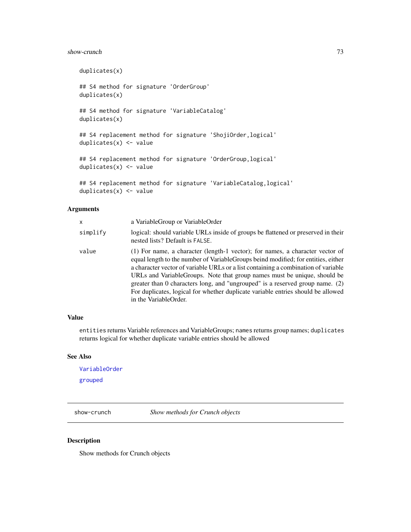#### <span id="page-72-0"></span>show-crunch 73

```
duplicates(x)
## S4 method for signature 'OrderGroup'
duplicates(x)
## S4 method for signature 'VariableCatalog'
duplicates(x)
## S4 replacement method for signature 'ShojiOrder,logical'
duplicates(x) <- value
## S4 replacement method for signature 'OrderGroup, logical'
duplicates(x) <- value
## S4 replacement method for signature 'VariableCatalog,logical'
duplicates(x) <- value
```
## Arguments

| x        | a VariableGroup or VariableOrder                                                                                                                                                                                                                                                                                                                                                                                                                                                                                                      |
|----------|---------------------------------------------------------------------------------------------------------------------------------------------------------------------------------------------------------------------------------------------------------------------------------------------------------------------------------------------------------------------------------------------------------------------------------------------------------------------------------------------------------------------------------------|
| simplify | logical: should variable URLs inside of groups be flattened or preserved in their<br>nested lists? Default is FALSE.                                                                                                                                                                                                                                                                                                                                                                                                                  |
| value    | (1) For name, a character (length-1 vector); for names, a character vector of<br>equal length to the number of Variable Groups beind modified; for entities, either<br>a character vector of variable URLs or a list containing a combination of variable<br>URLs and VariableGroups. Note that group names must be unique, should be<br>greater than 0 characters long, and "ungrouped" is a reserved group name. $(2)$<br>For duplicates, logical for whether duplicate variable entries should be allowed<br>in the VariableOrder. |

# Value

entities returns Variable references and VariableGroups; names returns group names; duplicates returns logical for whether duplicate variable entries should be allowed

#### See Also

[VariableOrder](#page-85-0)

[grouped](#page-44-0)

show-crunch *Show methods for Crunch objects*

## Description

Show methods for Crunch objects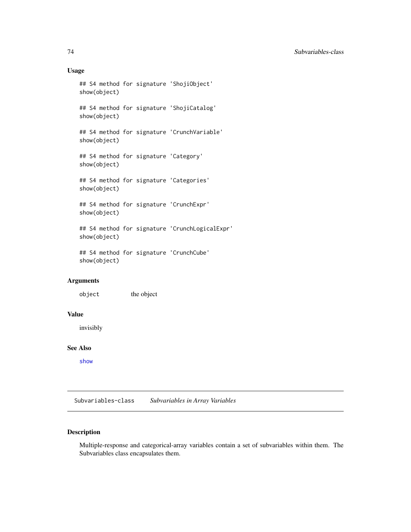## Usage

```
## S4 method for signature 'ShojiObject'
show(object)
## S4 method for signature 'ShojiCatalog'
show(object)
## S4 method for signature 'CrunchVariable'
show(object)
## S4 method for signature 'Category'
show(object)
## S4 method for signature 'Categories'
show(object)
## S4 method for signature 'CrunchExpr'
show(object)
## S4 method for signature 'CrunchLogicalExpr'
show(object)
## S4 method for signature 'CrunchCube'
show(object)
```
# Arguments

object the object

# Value

invisibly

# See Also

[show](#page-0-0)

Subvariables-class *Subvariables in Array Variables*

# Description

Multiple-response and categorical-array variables contain a set of subvariables within them. The Subvariables class encapsulates them.

<span id="page-73-0"></span>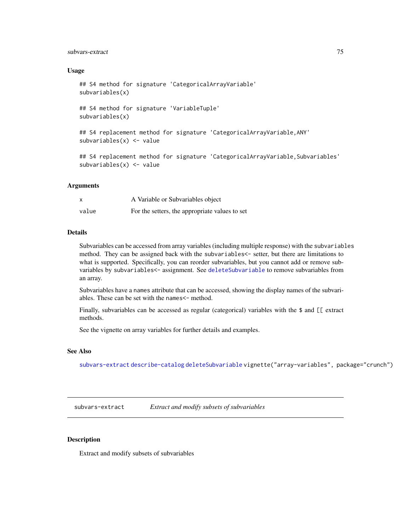# <span id="page-74-1"></span>subvars-extract 75

#### Usage

```
## S4 method for signature 'CategoricalArrayVariable'
subvariables(x)
## S4 method for signature 'VariableTuple'
subvariables(x)
## S4 replacement method for signature 'CategoricalArrayVariable,ANY'
subvariables(x) <- value
## S4 replacement method for signature 'CategoricalArrayVariable,Subvariables'
subvariable(x) < -value
```
#### Arguments

|       | A Variable or Subvariables object              |
|-------|------------------------------------------------|
| value | For the setters, the appropriate values to set |

## Details

Subvariables can be accessed from array variables (including multiple response) with the subvariables method. They can be assigned back with the subvariables<- setter, but there are limitations to what is supported. Specifically, you can reorder subvariables, but you cannot add or remove subvariables by subvariables<- assignment. See [deleteSubvariable](#page-29-0) to remove subvariables from an array.

Subvariables have a names attribute that can be accessed, showing the display names of the subvariables. These can be set with the names  $\leq$ - method.

Finally, subvariables can be accessed as regular (categorical) variables with the \$ and [[ extract methods.

See the vignette on array variables for further details and examples.

#### See Also

[subvars-extract](#page-74-0) [describe-catalog](#page-57-0) [deleteSubvariable](#page-29-0) vignette("array-variables", package="crunch")

<span id="page-74-0"></span>subvars-extract *Extract and modify subsets of subvariables*

## Description

Extract and modify subsets of subvariables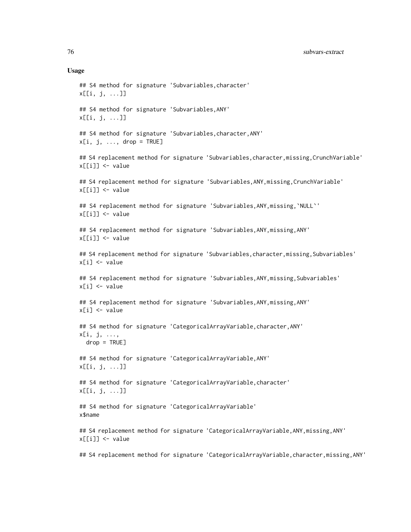#### Usage

## S4 method for signature 'Subvariables,character' x[[i, j, ...]] ## S4 method for signature 'Subvariables,ANY' x[[i, j, ...]] ## S4 method for signature 'Subvariables,character,ANY'  $x[i, j, \ldots, drop = TRUE]$ ## S4 replacement method for signature 'Subvariables, character, missing, CrunchVariable'  $x[[i]] \leftarrow$  value ## S4 replacement method for signature 'Subvariables, ANY, missing, CrunchVariable' x[[i]] <- value ## S4 replacement method for signature 'Subvariables,ANY,missing,`NULL`' x[[i]] <- value ## S4 replacement method for signature 'Subvariables, ANY, missing, ANY' x[[i]] <- value ## S4 replacement method for signature 'Subvariables, character, missing, Subvariables' x[i] <- value ## S4 replacement method for signature 'Subvariables,ANY,missing,Subvariables'  $x[i]$  <- value ## S4 replacement method for signature 'Subvariables, ANY, missing, ANY' x[i] <- value ## S4 method for signature 'CategoricalArrayVariable,character,ANY' x[i, j, ...,  $drop = TRUE$ ] ## S4 method for signature 'CategoricalArrayVariable,ANY' x[[i, j, ...]] ## S4 method for signature 'CategoricalArrayVariable,character' x[[i, j, ...]] ## S4 method for signature 'CategoricalArrayVariable' x\$name ## S4 replacement method for signature 'CategoricalArrayVariable,ANY, missing,ANY' x[[i]] <- value ## S4 replacement method for signature 'CategoricalArrayVariable, character, missing, ANY'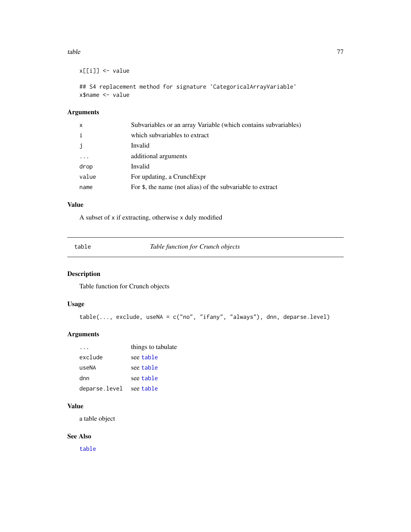#### <span id="page-76-1"></span>table 77

```
x[[i]] <- value
```

```
## S4 replacement method for signature 'CategoricalArrayVariable'
x$name <- value
```
# Arguments

| X     | Subvariables or an array Variable (which contains subvariables) |
|-------|-----------------------------------------------------------------|
|       | which subvariables to extract                                   |
| j.    | Invalid                                                         |
|       | additional arguments                                            |
| drop  | Invalid                                                         |
| value | For updating, a Crunch Expr                                     |
| name  | For \$, the name (not alias) of the subvariable to extract      |

# Value

A subset of x if extracting, otherwise x duly modified

<span id="page-76-0"></span>table *Table function for Crunch objects*

# Description

Table function for Crunch objects

# Usage

```
table(..., exclude, useNA = c("no", "ifany", "always"), dnn, deparse.level)
```
# Arguments

|               | things to tabulate |
|---------------|--------------------|
| exclude       | see table          |
| useNA         | see table          |
| dnn           | see table          |
| deparse.level | see table          |

## Value

a table object

# See Also

[table](#page-76-0)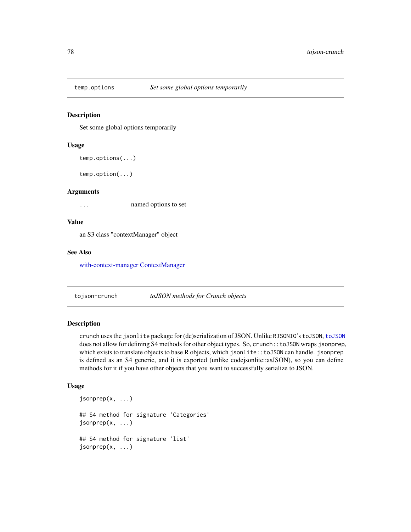<span id="page-77-1"></span>

#### Description

Set some global options temporarily

#### Usage

```
temp.options(...)
```
temp.option(...)

## Arguments

... named options to set

## Value

an S3 class "contextManager" object

## See Also

[with-context-manager](#page-87-0) [ContextManager](#page-16-0)

tojson-crunch *toJSON methods for Crunch objects*

#### <span id="page-77-0"></span>Description

crunch uses the jsonlite package for (de)serialization of JSON. Unlike RJSONIO's toJSON, [toJSON](#page-77-0) does not allow for defining S4 methods for other object types. So, crunch::toJSON wraps jsonprep, which exists to translate objects to base R objects, which jsonlite::toJSON can handle. jsonprep is defined as an S4 generic, and it is exported (unlike codejsonlite::asJSON), so you can define methods for it if you have other objects that you want to successfully serialize to JSON.

## Usage

```
jsonprep(x, ...)
## S4 method for signature 'Categories'
jsonprep(x, \ldots)## S4 method for signature 'list'
jsonprep(x, ...)
```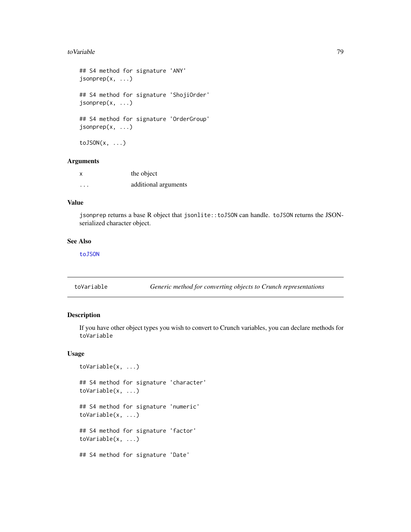#### <span id="page-78-1"></span>toVariable 79

```
## S4 method for signature 'ANY'
jsonprep(x, ...)
## S4 method for signature 'ShojiOrder'
jsonprep(x, ...)
## S4 method for signature 'OrderGroup'
jsonprep(x, ...)
toJSON(x, \ldots)
```
#### Arguments

| X        | the object           |
|----------|----------------------|
| $\cdots$ | additional arguments |

#### Value

jsonprep returns a base R object that jsonlite::toJSON can handle. toJSON returns the JSONserialized character object.

## See Also

[toJSON](#page-77-0)

<span id="page-78-0"></span>toVariable *Generic method for converting objects to Crunch representations*

# Description

If you have other object types you wish to convert to Crunch variables, you can declare methods for toVariable

# Usage

```
toVariable(x, ...)
## S4 method for signature 'character'
toVariable(x, ...)
## S4 method for signature 'numeric'
toVariable(x, ...)
## S4 method for signature 'factor'
toVariable(x, ...)
## S4 method for signature 'Date'
```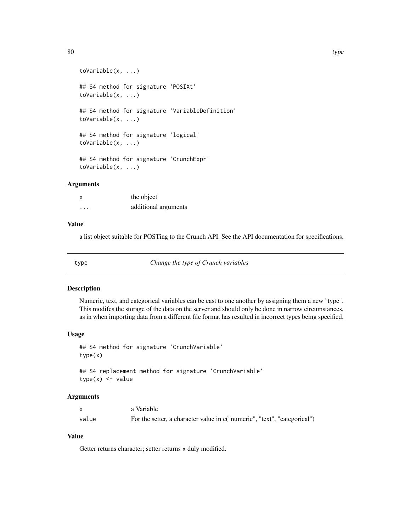```
toVariable(x, ...)
## S4 method for signature 'POSIXt'
toVariable(x, ...)
## S4 method for signature 'VariableDefinition'
toVariable(x, ...)
## S4 method for signature 'logical'
toVariable(x, ...)
## S4 method for signature 'CrunchExpr'
toVariable(x, ...)
```
## **Arguments**

| X        | the object           |
|----------|----------------------|
| $\cdots$ | additional arguments |

# Value

a list object suitable for POSTing to the Crunch API. See the API documentation for specifications.

type *Change the type of Crunch variables*

## Description

Numeric, text, and categorical variables can be cast to one another by assigning them a new "type". This modifes the storage of the data on the server and should only be done in narrow circumstances, as in when importing data from a different file format has resulted in incorrect types being specified.

#### Usage

```
## S4 method for signature 'CrunchVariable'
type(x)
## S4 replacement method for signature 'CrunchVariable'
```

```
type(x) <- value
```
# Arguments

|       | a Variable                                                               |
|-------|--------------------------------------------------------------------------|
| value | For the setter, a character value in c("numeric", "text", "categorical") |

# Value

Getter returns character; setter returns x duly modified.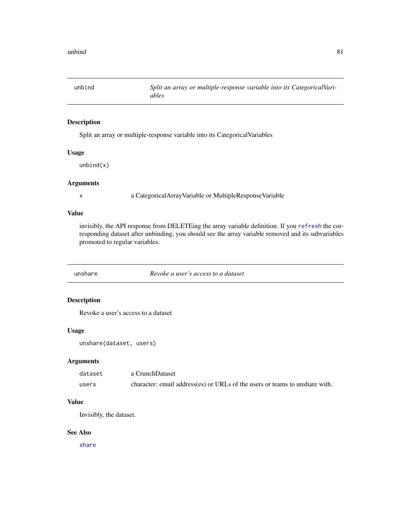<span id="page-80-0"></span>unbind *Split an array or multiple-response variable into its CategoricalVariables*

# Description

Split an array or multiple-response variable into its CategoricalVariables

## Usage

unbind(x)

# Arguments

x a CategoricalArrayVariable or MultipleResponseVariable

# Value

invisibly, the API response from DELETEing the array variable definition. If you [refresh](#page-64-0) the corresponding dataset after unbinding, you should see the array variable removed and its subvariables promoted to regular variables.

unshare *Revoke a user's access to a dataset*

# Description

Revoke a user's access to a dataset

# Usage

unshare(dataset, users)

## Arguments

| dataset | a CrunchDataset                                                             |
|---------|-----------------------------------------------------------------------------|
| users   | character: email address(es) or URLs of the users or teams to unshare with. |

# Value

Invisibly, the dataset.

## See Also

[share](#page-67-0)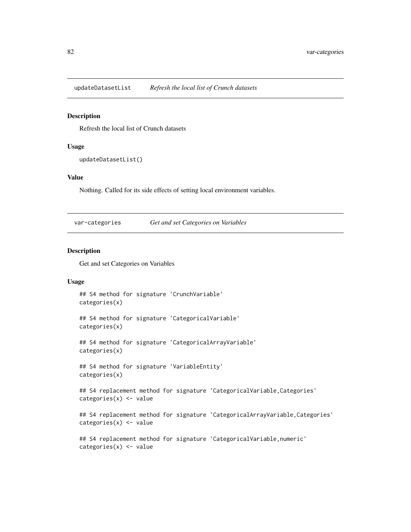<span id="page-81-0"></span>updateDatasetList *Refresh the local list of Crunch datasets*

#### Description

Refresh the local list of Crunch datasets

#### Usage

updateDatasetList()

#### Value

Nothing. Called for its side effects of setting local environment variables.

var-categories *Get and set Categories on Variables*

# Description

Get and set Categories on Variables

#### Usage

```
## S4 method for signature 'CrunchVariable'
categories(x)
```
## S4 method for signature 'CategoricalVariable' categories(x)

```
## S4 method for signature 'CategoricalArrayVariable'
categories(x)
```

```
## S4 method for signature 'VariableEntity'
categories(x)
```
## S4 replacement method for signature 'CategoricalVariable,Categories' categories(x) <- value

## S4 replacement method for signature 'CategoricalArrayVariable,Categories' categories(x) <- value

```
## S4 replacement method for signature 'CategoricalVariable, numeric'
categories(x) <- value
```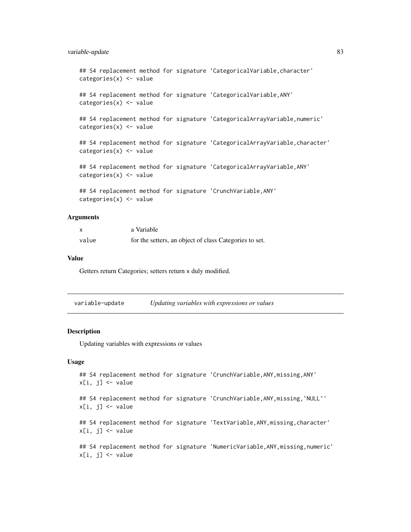# <span id="page-82-0"></span>variable-update 83

```
## S4 replacement method for signature 'CategoricalVariable, character'
categories(x) <- value
## S4 replacement method for signature 'CategoricalVariable, ANY'
categories(x) < - value
## S4 replacement method for signature 'CategoricalArrayVariable,numeric'
categories(x) <- value
## S4 replacement method for signature 'CategoricalArrayVariable, character'
categories(x) <- value
## S4 replacement method for signature 'CategoricalArrayVariable,ANY'
categories(x) < - value
## S4 replacement method for signature 'CrunchVariable,ANY'
```
categories(x) <- value

# Arguments

|       | a Variable                                             |
|-------|--------------------------------------------------------|
| value | for the setters, an object of class Categories to set. |

# Value

Getters return Categories; setters return x duly modified.

| variable-update | Updating variables with expressions or values |
|-----------------|-----------------------------------------------|
|                 |                                               |

#### Description

Updating variables with expressions or values

#### Usage

```
## S4 replacement method for signature 'CrunchVariable,ANY,missing,ANY'
x[i, j] <- value
```

```
## S4 replacement method for signature 'CrunchVariable,ANY,missing,`NULL`'
x[i, j] <- value
```
## S4 replacement method for signature 'TextVariable, ANY, missing, character'  $x[i, i]$   $\leq$  value

```
## S4 replacement method for signature 'NumericVariable,ANY,missing,numeric'
x[i, j] <- value
```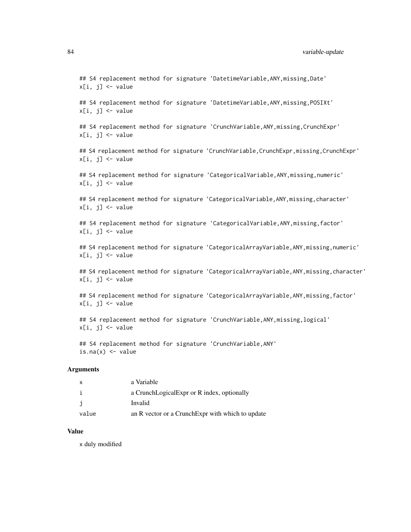## 84 variable-update

## S4 replacement method for signature 'DatetimeVariable, ANY, missing, Date'  $x[i, i]$   $\leq$  value

## S4 replacement method for signature 'DatetimeVariable,ANY,missing,POSIXt'  $x[i, j]$  <- value

## S4 replacement method for signature 'CrunchVariable, ANY, missing, CrunchExpr'  $x[i, j]$  <- value

## S4 replacement method for signature 'CrunchVariable, CrunchExpr, missing, CrunchExpr' x[i, j] <- value

## S4 replacement method for signature 'CategoricalVariable,ANY,missing,numeric'  $x[i, j]$   $\leftarrow$  value

## S4 replacement method for signature 'CategoricalVariable, ANY, missing, character'  $x[i, j]$  <- value

## S4 replacement method for signature 'CategoricalVariable, ANY, missing, factor'  $x[i, j]$  <- value

## S4 replacement method for signature 'CategoricalArrayVariable, ANY, missing, numeric'  $x[i, j]$  <- value

## S4 replacement method for signature 'CategoricalArrayVariable, ANY, missing, character'  $x[i, j]$  <- value

## S4 replacement method for signature 'CategoricalArrayVariable, ANY, missing, factor'  $x[i, j]$  <- value

## S4 replacement method for signature 'CrunchVariable,ANY,missing,logical'  $x[i, j]$  <- value

## S4 replacement method for signature 'CrunchVariable, ANY' is.na $(x)$  <- value

## Arguments

| x     | a Variable                                        |
|-------|---------------------------------------------------|
| i     | a CrunchLogicalExpr or R index, optionally        |
| j     | Invalid                                           |
| value | an R vector or a Crunch Expr with which to update |

# Value

x duly modified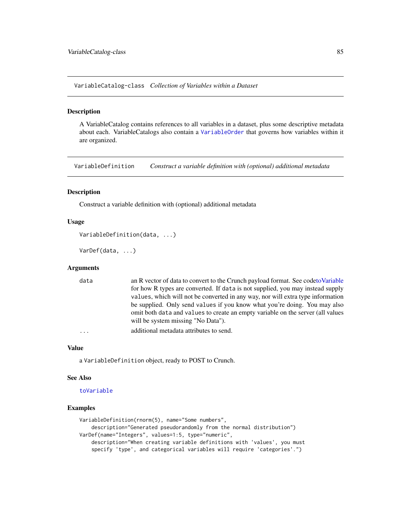<span id="page-84-1"></span>VariableCatalog-class *Collection of Variables within a Dataset*

#### <span id="page-84-0"></span>Description

A VariableCatalog contains references to all variables in a dataset, plus some descriptive metadata about each. VariableCatalogs also contain a [VariableOrder](#page-85-0) that governs how variables within it are organized.

VariableDefinition *Construct a variable definition with (optional) additional metadata*

## Description

Construct a variable definition with (optional) additional metadata

#### Usage

```
VariableDefinition(data, ...)
```
VarDef(data, ...)

#### **Arguments**

| data | an R vector of data to convert to the Crunch payload format. See codeto Variable |
|------|----------------------------------------------------------------------------------|
|      | for how R types are converted. If data is not supplied, you may instead supply   |
|      | values, which will not be converted in any way, nor will extra type information  |
|      | be supplied. Only send values if you know what you're doing. You may also        |
|      | omit both data and values to create an empty variable on the server (all values  |
|      | will be system missing "No Data").                                               |
| .    | additional metadata attributes to send.                                          |

## Value

a VariableDefinition object, ready to POST to Crunch.

#### See Also

#### [toVariable](#page-78-0)

#### Examples

```
VariableDefinition(rnorm(5), name="Some numbers",
    description="Generated pseudorandomly from the normal distribution")
VarDef(name="Integers", values=1:5, type="numeric",
   description="When creating variable definitions with 'values', you must
    specify 'type', and categorical variables will require 'categories'.")
```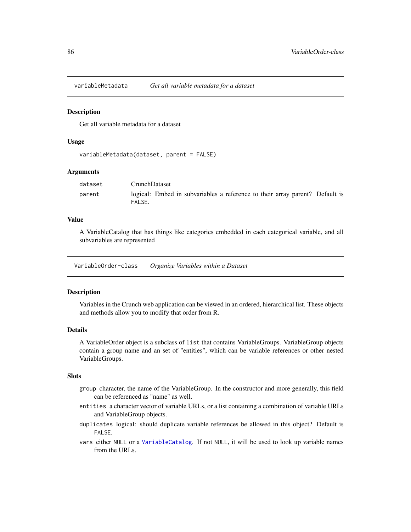<span id="page-85-1"></span>

#### **Description**

Get all variable metadata for a dataset

#### Usage

```
variableMetadata(dataset, parent = FALSE)
```
#### Arguments

| dataset | <b>CrunchDataset</b>                                                                   |
|---------|----------------------------------------------------------------------------------------|
| parent  | logical: Embed in subvariables a reference to their array parent? Default is<br>FALSE. |

#### Value

A VariableCatalog that has things like categories embedded in each categorical variable, and all subvariables are represented

VariableOrder-class *Organize Variables within a Dataset*

#### <span id="page-85-0"></span>Description

Variables in the Crunch web application can be viewed in an ordered, hierarchical list. These objects and methods allow you to modify that order from R.

#### Details

A VariableOrder object is a subclass of list that contains VariableGroups. VariableGroup objects contain a group name and an set of "entities", which can be variable references or other nested VariableGroups.

# Slots

- group character, the name of the VariableGroup. In the constructor and more generally, this field can be referenced as "name" as well.
- entities a character vector of variable URLs, or a list containing a combination of variable URLs and VariableGroup objects.
- duplicates logical: should duplicate variable references be allowed in this object? Default is FALSE.
- vars either NULL or a [VariableCatalog](#page-84-0). If not NULL, it will be used to look up variable names from the URLs.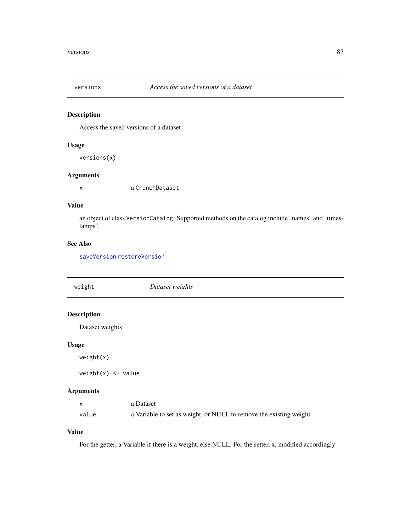<span id="page-86-0"></span>

# Description

Access the saved versions of a dataset

# Usage

versions(x)

# Arguments

x a CrunchDataset

# Value

an object of class VersionCatalog. Supported methods on the catalog include "names" and "timestamps".

# See Also

[saveVersion](#page-66-0) [restoreVersion](#page-65-0)

| weight             | Dataset weights |
|--------------------|-----------------|
|                    |                 |
| <b>Description</b> |                 |
| Dataset weights    |                 |
| <b>Usage</b>       |                 |
| weight(x)          |                 |

 $weight(x)$  <- value

# Arguments

|       | a Dataset                                                          |
|-------|--------------------------------------------------------------------|
| value | a Variable to set as weight, or NULL to remove the existing weight |

# Value

For the getter, a Variable if there is a weight, else NULL. For the setter, x, modified accordingly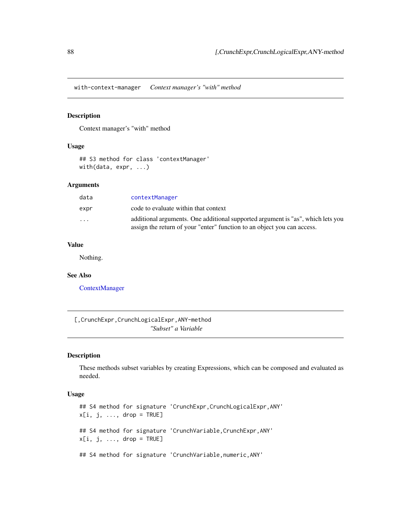<span id="page-87-1"></span><span id="page-87-0"></span>with-context-manager *Context manager's "with" method*

# Description

Context manager's "with" method

## Usage

```
## S3 method for class 'contextManager'
with(data, expr, ...)
```
# Arguments

| data     | contextManager                                                                                                                                             |
|----------|------------------------------------------------------------------------------------------------------------------------------------------------------------|
| expr     | code to evaluate within that context                                                                                                                       |
| $\cdots$ | additional arguments. One additional supported argument is "as", which lets you<br>assign the return of your "enter" function to an object you can access. |

# Value

Nothing.

# See Also

[ContextManager](#page-16-0)

[,CrunchExpr,CrunchLogicalExpr,ANY-method *"Subset" a Variable*

# Description

These methods subset variables by creating Expressions, which can be composed and evaluated as needed.

## Usage

```
## S4 method for signature 'CrunchExpr,CrunchLogicalExpr,ANY'
x[i, j, ..., drop = TRUE]## S4 method for signature 'CrunchVariable, CrunchExpr, ANY'
x[i, j, ..., drop = TRUE]## S4 method for signature 'CrunchVariable, numeric, ANY'
```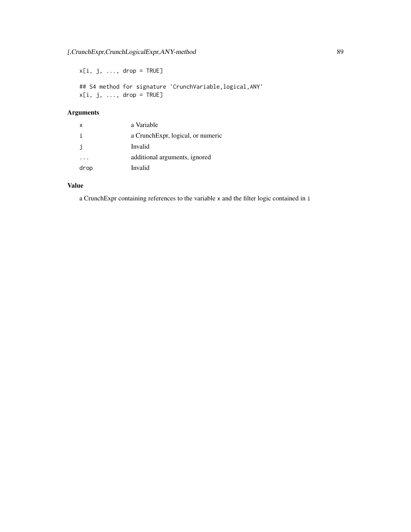$x[i, j, ..., drop = TRUE]$ ## S4 method for signature 'CrunchVariable,logical,ANY'  $x[i, j, ..., drop = TRUE]$ 

# Arguments

| $\mathsf{x}$ | a Variable                        |
|--------------|-----------------------------------|
| j.           | a CrunchExpr, logical, or numeric |
| j            | Invalid                           |
|              | additional arguments, ignored     |
| drop         | Invalid                           |

# Value

a CrunchExpr containing references to the variable x and the filter logic contained in i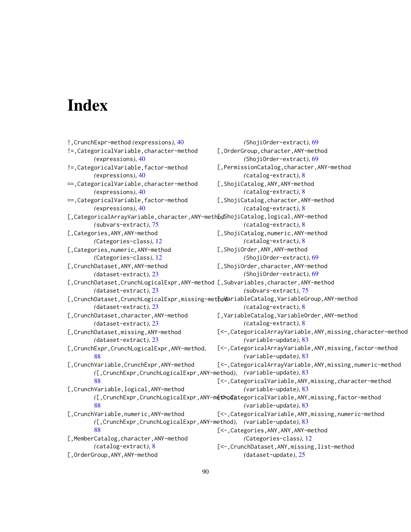# **Index**

```
!,CrunchExpr-method (expressions), 40
!=,CategoricalVariable,character-method
        (expressions), 40
!=,CategoricalVariable,factor-method
        (expressions), 40
==,CategoricalVariable,character-method
        (expressions), 40
==,CategoricalVariable,factor-method
        (expressions), 40
[,CategoricalArrayVariable, character, ANY-methodShojiCatalog, logical, ANY-method
        (subvars-extract), 75
[,Categories,ANY,ANY-method
        (Categories-class), 12
[,Categories,numeric,ANY-method
        (Categories-class), 12
[,CrunchDataset,ANY,ANY-method
        (dataset-extract), 23
[,CrunchDataset,CrunchLogicalExpr,ANY-method
[,Subvariables,character,ANY-method
        (dataset-extract), 23
[,CrunchDataset,CrunchLogicalExpr,missing-methodariableCatalog,VariableGroup,ANY-method
        (dataset-extract), 23
[,CrunchDataset,character,ANY-method
        (dataset-extract), 23
[,CrunchDataset,missing,ANY-method
        (dataset-extract), 23
[,CrunchExpr,CrunchLogicalExpr,ANY-method,
        88
[,CrunchVariable,CrunchExpr,ANY-method
        ([,CrunchExpr,CrunchLogicalExpr,ANY-method),
(variable-update), 83
        88
[,CrunchVariable,logical,ANY-method
        ([,CrunchExpr,CrunchLogicalExpr,ANY-method),
[<-,CategoricalVariable,ANY,missing,factor-method
        88
[,CrunchVariable,numeric,ANY-method
        ([,CrunchExpr,CrunchLogicalExpr,ANY-method),
(variable-update), 83
        88
[,MemberCatalog,character,ANY-method
        (catalog-extract), 8
[,OrderGroup,ANY,ANY-method
                                                       (ShojiOrder-extract), 69
                                               [,OrderGroup,character,ANY-method
                                                       (ShojiOrder-extract), 69
                                               [,PermissionCatalog,character,ANY-method
                                                       (catalog-extract), 8
                                              [,ShojiCatalog,ANY,ANY-method
                                                       (catalog-extract), 8
                                               [,ShojiCatalog,character,ANY-method
                                                       (catalog-extract), 8
                                                       (catalog-extract), 8
                                              [,ShojiCatalog,numeric,ANY-method
                                                       (catalog-extract), 8
                                               [,ShojiOrder,ANY,ANY-method
                                                       (ShojiOrder-extract), 69
                                               [,ShojiOrder,character,ANY-method
                                                       (ShojiOrder-extract), 69
                                                       (subvars-extract), 75
                                                       (catalog-extract), 8
                                               [,VariableCatalog,VariableOrder,ANY-method
                                                       (catalog-extract), 8
                                              [<-,CategoricalArrayVariable,ANY,missing,character-method
                                                       (variable-update), 83
                                              [<-,CategoricalArrayVariable,ANY,missing,factor-method
                                                       (variable-update), 83
                                              [<-,CategoricalArrayVariable,ANY,missing,numeric-method
                                               [<-,CategoricalVariable,ANY,missing,character-method
                                                       (variable-update), 83
                                                       (variable-update), 83
                                               [<-,CategoricalVariable,ANY,missing,numeric-method
                                               [<-,Categories,ANY,ANY,ANY-method
                                                       (Categories-class), 12
                                               [<-,CrunchDataset,ANY,missing,list-method
                                                       (dataset-update), 25
```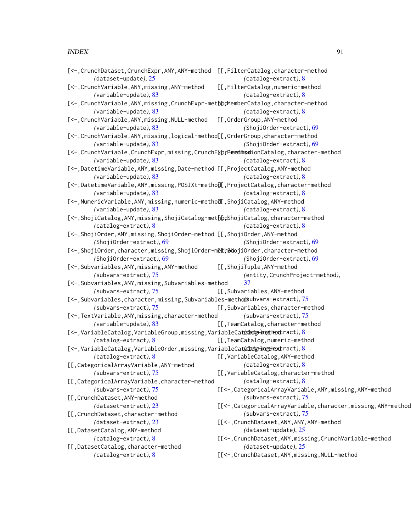#### INDEX  $91$

| [<-, CrunchDataset, CrunchExpr, ANY, ANY-method [[,FilterCatalog, character-method<br>(dataset-update), 25 | $(catalog-extract), 8$                                         |
|------------------------------------------------------------------------------------------------------------|----------------------------------------------------------------|
| [<-, CrunchVariable, ANY, missing, ANY-method                                                              | [[,FilterCatalog,numeric-method                                |
| (variable-update), 83                                                                                      | $(catalog-extract), 8$                                         |
| [<-, CrunchVariable, ANY, missing, CrunchExpr-methbdMemberCatalog, character-method                        |                                                                |
| (variable-update), 83                                                                                      | $(catalog-extract), 8$                                         |
| [<-, CrunchVariable, ANY, missing, NULL-method                                                             | [[,OrderGroup,ANY-method                                       |
| (variable-update), 83                                                                                      | (ShojiOrder-extract), 69                                       |
| [<-, CrunchVariable, ANY, missing, logical-method[[, OrderGroup, character-method                          |                                                                |
| $(variable-update), 83$                                                                                    | (ShojiOrder-extract), 69                                       |
| [<-, CrunchVariable, CrunchExpr, missing, CrunchE&prPementhsslionCatalog, character-method                 |                                                                |
| $(variable-update), 83$                                                                                    | (catalog-extract), 8                                           |
| [<-,DatetimeVariable,ANY,missing,Date-method [[,ProjectCatalog,ANY-method                                  |                                                                |
| $(variable-update), 83$                                                                                    | $(catalog-extract), 8$                                         |
| [<-,DatetimeVariable,ANY,missing,POSIXt-methol[,ProjectCatalog,character-method                            |                                                                |
| $(variable-update), 83$                                                                                    | $(catalog-extract), 8$                                         |
| [<-, NumericVariable, ANY, missing, numeric-metho[I], ShojiCatalog, ANY-method                             |                                                                |
| (variable-update), 83                                                                                      | $(catalog-extract), 8$                                         |
| [<-, ShojiCatalog, ANY, missing, ShojiCatalog-methbdShojiCatalog, character-method                         |                                                                |
| $(catalog-extract), 8$                                                                                     | $(catalog-extract), 8$                                         |
| [<-, ShojiOrder, ANY, missing, ShojiOrder-method [[, ShojiOrder, ANY-method                                |                                                                |
| (ShojiOrder-extract), 69                                                                                   | (ShojiOrder-extract), 69                                       |
| [<-, ShojiOrder, character, missing, ShojiOrder-methSolojiOrder, character-method                          |                                                                |
| (ShojiOrder-extract), 69                                                                                   | (ShojiOrder-extract), 69                                       |
| [<-, Subvariables, ANY, missing, ANY-method                                                                | [[,ShojiTuple,ANY-method                                       |
| (subvars-extract), 75                                                                                      | (entity, CrunchProject-method),                                |
| [<-, Subvariables, ANY, missing, Subvariables-method                                                       | 37                                                             |
| (subvars-extract), 75                                                                                      | [[,Subvariables,ANY-method                                     |
| [<-, Subvariables, character, missing, Subvariables-metho(subvars-extract), 75                             |                                                                |
| (subvars-extract), 75                                                                                      | [[,Subvariables,character-method                               |
| [<-, TextVariable, ANY, missing, character-method                                                          | (subvars-extract), 75                                          |
| $(variable-update), 83$                                                                                    | [[, TeamCatalog, character-method                              |
| [<-,VariableCatalog,VariableGroup,missing,VariableCatalatghmagHeodtract), 8                                |                                                                |
| $(catalog-extract), 8$                                                                                     | [[, TeamCatalog, numeric-method                                |
| [<-,VariableCatalog,VariableOrder,missing,VariableCatalatgahnegtheodtract), 8                              |                                                                |
| $(catalog-extract), 8$                                                                                     | [[,VariableCatalog,ANY-method                                  |
| [[,CategoricalArrayVariable,ANY-method                                                                     | $(catalog-extract), 8$                                         |
| $(subvars-extract), 75$                                                                                    | [[,VariableCatalog,character-method                            |
| [[, CategoricalArrayVariable, character-method                                                             | (catalog-extract), 8                                           |
| (subvars-extract), 75                                                                                      | [[<-, CategoricalArrayVariable, ANY, missing, ANY-method       |
| [[, CrunchDataset, ANY-method                                                                              | (subvars-extract), 75                                          |
| (dataset-extract), 23                                                                                      | [[<-, CategoricalArrayVariable, character, missing, ANY-method |
| [[, CrunchDataset, character-method                                                                        | (subvars-extract), 75                                          |
| (dataset-extract), 23                                                                                      | [[<-, CrunchDataset, ANY, ANY, ANY-method                      |
| [[,DatasetCatalog,ANY-method                                                                               | $(dataset-update), 25$                                         |
| $(catalog-extract), 8$                                                                                     | [[<-, CrunchDataset, ANY, missing, CrunchVariable-method       |
| [[, DatasetCatalog, character-method                                                                       | (dataset-update), $25$                                         |
| $(catalog-extract), 8$                                                                                     | [[<-, CrunchDataset, ANY, missing, NULL-method                 |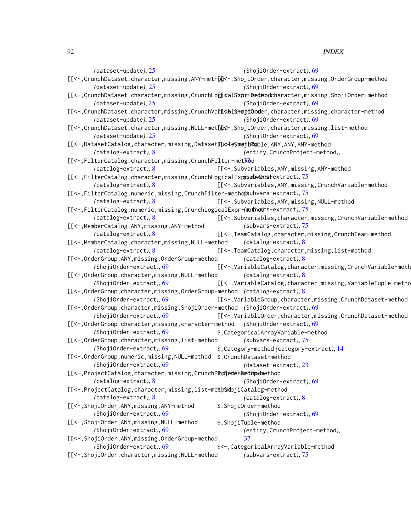92 **INDEX** 

*(*dataset-update*)*, [25](#page-24-0) [[<-, CrunchDataset, character, missing, ANY-methbdk-, ShojiOrder, character, missing, OrderGroup-method *(*dataset-update*)*, [25](#page-24-0) [[<-, CrunchDataset, character, missing, CrunchLogicalExpji@edencharacter, missing, ShojiOrder-method *(*dataset-update*)*, [25](#page-24-0) [[<-, CrunchDataset, character, missing, CrunchVar[ab]&howitOoder, character, missing, character-method *(*dataset-update*)*, [25](#page-24-0) [[<-, CrunchDataset, character, missing, NULL-method, ShojiOrder, character, missing, list-method *(*dataset-update*)*, [25](#page-24-0) [[<-,DatasetCatalog,character,missing,Dataset[[ppleShethodple,ANY,ANY,ANY-method *(*catalog-extract*)*, [8](#page-7-0) [[<-,FilterCatalog, character, missing, CrunchFilter-me[tho](#page-36-0)d *(*catalog-extract*)*, [8](#page-7-0) [[<-,FilterCatalog,character,missing,CrunchLogicalExproundednostextract), [75](#page-74-1) *(*catalog-extract*)*, [8](#page-7-0) [[<-,FilterCatalog,numeric,missing,CrunchFilter-method *(*subvars-extract*)*, [75](#page-74-1) *(*catalog-extract*)*, [8](#page-7-0) [[<-,FilterCatalog,numeric,missing,CrunchLogicalExpr-methodrs-extract), [75](#page-74-1) *(*catalog-extract*)*, [8](#page-7-0) [[<-,MemberCatalog,ANY,missing,ANY-method *(*catalog-extract*)*, [8](#page-7-0) [[<-,MemberCatalog,character,missing,NULL-method *(*catalog-extract*)*, [8](#page-7-0) [[<-,OrderGroup,ANY,missing,OrderGroup-method *(*ShojiOrder-extract*)*, [69](#page-68-0) [[<-,OrderGroup,character,missing,NULL-method *(*ShojiOrder-extract*)*, [69](#page-68-0) [[<-,OrderGroup,character,missing,OrderGroup-method *(*catalog-extract*)*, [8](#page-7-0) *(*ShojiOrder-extract*)*, [69](#page-68-0) [[<-,OrderGroup,character,missing,ShojiOrder-method *(*ShojiOrder-extract*)*, [69](#page-68-0) *(*ShojiOrder-extract*)*, [69](#page-68-0) [[<-,OrderGroup,character,missing,character-method *(*ShojiOrder-extract*)*, [69](#page-68-0) *(*ShojiOrder-extract*)*, [69](#page-68-0) [[<-,OrderGroup,character,missing,list-method *(*ShojiOrder-extract*)*, [69](#page-68-0) [[<-, OrderGroup, numeric, missing, NULL-method \$, CrunchDataset-method *(*ShojiOrder-extract*)*, [69](#page-68-0) [[<-,ProjectCatalog,character,missing,CrunchP\$ojederGedupemethod *(*catalog-extract*)*, [8](#page-7-0) [[<-,ProjectCatalog, character, missing, list-me\$hShojiCatalog-method *(*catalog-extract*)*, [8](#page-7-0) [[<-,ShojiOrder,ANY,missing,ANY-method *(*ShojiOrder-extract*)*, [69](#page-68-0) [[<-,ShojiOrder,ANY,missing,NULL-method *(*ShojiOrder-extract*)*, [69](#page-68-0) [[<-,ShojiOrder,ANY,missing,OrderGroup-method *(*ShojiOrder-extract*)*, [69](#page-68-0) [[<-,ShojiOrder,character,missing,NULL-method *(*ShojiOrder-extract*)*, [69](#page-68-0) *(*ShojiOrder-extract*)*, [69](#page-68-0) *(*ShojiOrder-extract*)*, [69](#page-68-0) *(*ShojiOrder-extract*)*, [69](#page-68-0) *(*ShojiOrder-extract*)*, [69](#page-68-0) *(*entity,CrunchProject-method*)*, [[<-,Subvariables,ANY,missing,ANY-method [[<-,Subvariables,ANY,missing,CrunchVariable-method [[<-,Subvariables,ANY,missing,NULL-method [[<-,Subvariables,character,missing,CrunchVariable-method *(*subvars-extract*)*, [75](#page-74-1) [[<-,TeamCatalog,character,missing,CrunchTeam-method *(*catalog-extract*)*, [8](#page-7-0) [[<-,TeamCatalog,character,missing,list-method *(*catalog-extract*)*, [8](#page-7-0) [[<-,VariableCatalog,character,missing,CrunchVariable-meth *(*catalog-extract*)*, [8](#page-7-0) [[<-,VariableCatalog,character,missing,VariableTuple-method [[<-,VariableGroup,character,missing,CrunchDataset-method [[<-,VariableOrder,character,missing,CrunchDataset-method \$,CategoricalArrayVariable-method *(*subvars-extract*)*, [75](#page-74-1) \$,Category-method *(*category-extract*)*, [14](#page-13-0) *(*dataset-extract*)*, [23](#page-22-0) *(*ShojiOrder-extract*)*, [69](#page-68-0) *(*catalog-extract*)*, [8](#page-7-0) \$,ShojiOrder-method *(*ShojiOrder-extract*)*, [69](#page-68-0) \$,ShojiTuple-method *(*entity,CrunchProject-method*)*, [37](#page-36-0) \$<-,CategoricalArrayVariable-method *(*subvars-extract*)*, [75](#page-74-1)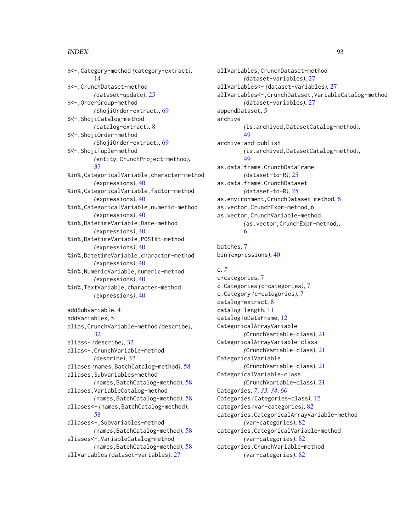#### INDEX  $\sim$  93

\$<-,Category-method *(*category-extract*)*, [14](#page-13-0) \$<-,CrunchDataset-method *(*dataset-update*)*, [25](#page-24-0) \$<-,OrderGroup-method *(*ShojiOrder-extract*)*, [69](#page-68-0) \$<-,ShojiCatalog-method *(*catalog-extract*)*, [8](#page-7-0) \$<-,ShojiOrder-method *(*ShojiOrder-extract*)*, [69](#page-68-0) \$<-,ShojiTuple-method *(*entity,CrunchProject-method*)*, [37](#page-36-0) %in%,CategoricalVariable,character-method *(*expressions*)*, [40](#page-39-0) %in%,CategoricalVariable,factor-method *(*expressions*)*, [40](#page-39-0) %in%,CategoricalVariable,numeric-method *(*expressions*)*, [40](#page-39-0) %in%,DatetimeVariable,Date-method *(*expressions*)*, [40](#page-39-0) %in%,DatetimeVariable,POSIXt-method *(*expressions*)*, [40](#page-39-0) %in%,DatetimeVariable,character-method *(*expressions*)*, [40](#page-39-0) %in%,NumericVariable,numeric-method *(*expressions*)*, [40](#page-39-0) %in%,TextVariable,character-method *(*expressions*)*, [40](#page-39-0) addSubvariable, [4](#page-3-0) addVariables, [5](#page-4-0) alias,CrunchVariable-method *(*describe*)*, [32](#page-31-0) alias<- *(*describe*)*, [32](#page-31-0) alias<-,CrunchVariable-method *(*describe*)*, [32](#page-31-0) aliases *(*names,BatchCatalog-method*)*, [58](#page-57-1) aliases,Subvariables-method *(*names,BatchCatalog-method*)*, [58](#page-57-1) aliases,VariableCatalog-method *(*names,BatchCatalog-method*)*, [58](#page-57-1) aliases<- *(*names,BatchCatalog-method*)*, [58](#page-57-1) aliases<-,Subvariables-method *(*names,BatchCatalog-method*)*, [58](#page-57-1) aliases<-,VariableCatalog-method *(*names,BatchCatalog-method*)*, [58](#page-57-1) allVariables *(*dataset-variables*)*, [27](#page-26-0)

allVariables,CrunchDataset-method *(*dataset-variables*)*, [27](#page-26-0) allVariables<- *(*dataset-variables*)*, [27](#page-26-0) allVariables<-,CrunchDataset,VariableCatalog-method *(*dataset-variables*)*, [27](#page-26-0) appendDataset, [5](#page-4-0) archive *(*is.archived,DatasetCatalog-method*)*, [49](#page-48-0) archive-and-publish *(*is.archived,DatasetCatalog-method*)*, [49](#page-48-0) as.data.frame.CrunchDataFrame *(*dataset-to-R*)*, [25](#page-24-0) as.data.frame.CrunchDataset *(*dataset-to-R*)*, [25](#page-24-0) as.environment,CrunchDataset-method, [6](#page-5-0) as.vector,CrunchExpr-method, [6](#page-5-0) as.vector,CrunchVariable-method *(*as.vector,CrunchExpr-method*)*, [6](#page-5-0)

batches, [7](#page-6-0) bin *(*expressions*)*, [40](#page-39-0)

# c, *[7](#page-6-0)*

c-categories, [7](#page-6-0) c.Categories *(*c-categories*)*, [7](#page-6-0) c.Category *(*c-categories*)*, [7](#page-6-0) catalog-extract, [8](#page-7-0) catalog-length, [11](#page-10-0) catalogToDataFrame, [12](#page-11-0) CategoricalArrayVariable *(*CrunchVariable-class*)*, [21](#page-20-0) CategoricalArrayVariable-class *(*CrunchVariable-class*)*, [21](#page-20-0) CategoricalVariable *(*CrunchVariable-class*)*, [21](#page-20-0) CategoricalVariable-class *(*CrunchVariable-class*)*, [21](#page-20-0) Categories, *[7](#page-6-0)*, *[33,](#page-32-0) [34](#page-33-0)*, *[60](#page-59-0)* Categories *(*Categories-class*)*, [12](#page-11-0) categories *(*var-categories*)*, [82](#page-81-0) categories,CategoricalArrayVariable-method *(*var-categories*)*, [82](#page-81-0) categories,CategoricalVariable-method *(*var-categories*)*, [82](#page-81-0) categories,CrunchVariable-method *(*var-categories*)*, [82](#page-81-0)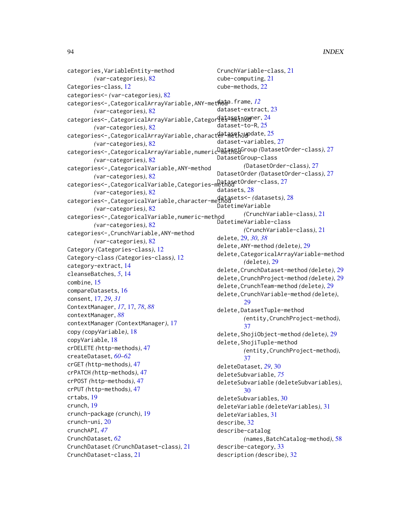```
categories,VariableEntity-method
       (var-categories), 82
Categories-class, 12
categories<- (var-categories), 82
categories<-,CategoricalArrayVariable,ANY-metHata.frame,l2
       (var-categories), 82
24
       (var-categories), 82
25
       (var-categories), 82
27
       (var-categories), 82
categories<-,CategoricalVariable,ANY-method
       (var-categories), 82
categories<-,CategoricalVariable,Categories-method
DatasetOrder-class, 27
       (var-categories), 82
categories<-,CategoricalVariable,character-method
datasets<- (datasets), 28
       (var-categories), 82
categories<-,CategoricalVariable,numeric-method
       (var-categories), 82
categories<-,CrunchVariable,ANY-method
       (var-categories), 82
Category (Categories-class), 12
Category-class (Categories-class), 12
category-extract, 14
cleanseBatches, 5, 14
combine, 15
compareDatasets, 16
consent, 17, 29, 31
ContextManager, 17, 17, 78, 88
contextManager, 88
contextManager (ContextManager), 17
copy (copyVariable), 18
copyVariable, 18
crDELETE (http-methods), 47
createDataset, 60–62
crGET (http-methods), 47
crPATCH (http-methods), 47
crPOST (http-methods), 47
crPUT (http-methods), 47
crtabs, 19
crunch, 19
crunch-package (crunch), 19
crunch-uni, 20
crunchAPI, 47
CrunchDataset, 62
CrunchDataset (CrunchDataset-class), 21
CrunchDataset-class, 21
                                            CrunchVariable-class, 21
                                            cube-computing, 21
                                            cube-methods, 22
                                            dataset-extract, 23
                                            dataset-to-R, 25
                                            dataset-variables, 27
                                            DatasetGroup-class
                                                    (DatasetOrder-class), 27
                                            DatasetOrder (DatasetOrder-class), 27
                                            28
                                            DatetimeVariable
                                                    (CrunchVariable-class), 21
                                            DatetimeVariable-class
                                                    (CrunchVariable-class), 21
                                            delete, 29, 30, 38
                                            delete,ANY-method (delete), 29
                                            delete,CategoricalArrayVariable-method
                                                    (delete), 29
                                            delete,CrunchDataset-method (delete), 29
                                            delete,CrunchProject-method (delete), 29
                                            delete,CrunchTeam-method (delete), 29
                                            delete,CrunchVariable-method (delete),
                                                    29delete,DatasetTuple-method
                                                    (entity,CrunchProject-method),
                                                    37
                                            delete,ShojiObject-method (delete), 29
                                            delete,ShojiTuple-method
                                                    (entity,CrunchProject-method),
                                                    37
                                            deleteDataset, 29, 30
                                            deleteSubvariable, 75
                                            deleteSubvariable (deleteSubvariables),
                                                    30
                                            deleteSubvariables, 30
                                            deleteVariable (deleteVariables), 31
                                            deleteVariables, 31
                                            describe, 32
                                            describe-catalog
                                                    (names,BatchCatalog-method), 58
                                            describe-category, 33
                                            description (describe), 32
```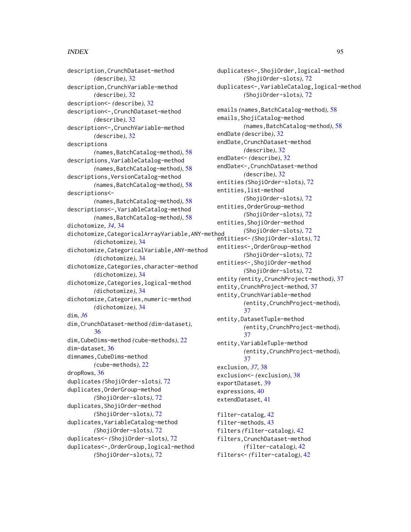## INDEX 95

description,CrunchDataset-method *(*describe*)*, [32](#page-31-0) description,CrunchVariable-method *(*describe*)*, [32](#page-31-0) description<- *(*describe*)*, [32](#page-31-0) description<-,CrunchDataset-method *(*describe*)*, [32](#page-31-0) description<-,CrunchVariable-method *(*describe*)*, [32](#page-31-0) descriptions *(*names,BatchCatalog-method*)*, [58](#page-57-1) descriptions,VariableCatalog-method *(*names,BatchCatalog-method*)*, [58](#page-57-1) descriptions,VersionCatalog-method *(*names,BatchCatalog-method*)*, [58](#page-57-1) descriptions<- *(*names,BatchCatalog-method*)*, [58](#page-57-1) descriptions<-,VariableCatalog-method *(*names,BatchCatalog-method*)*, [58](#page-57-1) dichotomize, *[34](#page-33-0)*, [34](#page-33-0) dichotomize,CategoricalArrayVariable,ANY-method *(*dichotomize*)*, [34](#page-33-0) dichotomize,CategoricalVariable,ANY-method *(*dichotomize*)*, [34](#page-33-0) dichotomize,Categories,character-method *(*dichotomize*)*, [34](#page-33-0) dichotomize,Categories,logical-method *(*dichotomize*)*, [34](#page-33-0) dichotomize,Categories,numeric-method *(*dichotomize*)*, [34](#page-33-0) dim, *[36](#page-35-0)* dim,CrunchDataset-method *(*dim-dataset*)*, [36](#page-35-0) dim,CubeDims-method *(*cube-methods*)*, [22](#page-21-0) dim-dataset, [36](#page-35-0) dimnames,CubeDims-method *(*cube-methods*)*, [22](#page-21-0) dropRows, [36](#page-35-0) duplicates *(*ShojiOrder-slots*)*, [72](#page-71-0) duplicates,OrderGroup-method *(*ShojiOrder-slots*)*, [72](#page-71-0) duplicates,ShojiOrder-method *(*ShojiOrder-slots*)*, [72](#page-71-0) duplicates,VariableCatalog-method *(*ShojiOrder-slots*)*, [72](#page-71-0) duplicates<- *(*ShojiOrder-slots*)*, [72](#page-71-0) duplicates<-,OrderGroup,logical-method *(*ShojiOrder-slots*)*, [72](#page-71-0)

duplicates<-,ShojiOrder,logical-method *(*ShojiOrder-slots*)*, [72](#page-71-0) duplicates<-,VariableCatalog,logical-method *(*ShojiOrder-slots*)*, [72](#page-71-0) emails *(*names,BatchCatalog-method*)*, [58](#page-57-1) emails,ShojiCatalog-method *(*names,BatchCatalog-method*)*, [58](#page-57-1) endDate *(*describe*)*, [32](#page-31-0) endDate,CrunchDataset-method *(*describe*)*, [32](#page-31-0) endDate<- *(*describe*)*, [32](#page-31-0) endDate<-,CrunchDataset-method *(*describe*)*, [32](#page-31-0) entities *(*ShojiOrder-slots*)*, [72](#page-71-0) entities,list-method *(*ShojiOrder-slots*)*, [72](#page-71-0) entities,OrderGroup-method *(*ShojiOrder-slots*)*, [72](#page-71-0) entities,ShojiOrder-method *(*ShojiOrder-slots*)*, [72](#page-71-0) entities<- *(*ShojiOrder-slots*)*, [72](#page-71-0) entities<-,OrderGroup-method *(*ShojiOrder-slots*)*, [72](#page-71-0) entities<-,ShojiOrder-method *(*ShojiOrder-slots*)*, [72](#page-71-0) entity *(*entity,CrunchProject-method*)*, [37](#page-36-0) entity,CrunchProject-method, [37](#page-36-0) entity,CrunchVariable-method *(*entity,CrunchProject-method*)*, [37](#page-36-0) entity,DatasetTuple-method *(*entity,CrunchProject-method*)*, [37](#page-36-0) entity,VariableTuple-method *(*entity,CrunchProject-method*)*, [37](#page-36-0) exclusion, *[37](#page-36-0)*, [38](#page-37-0) exclusion<- *(*exclusion*)*, [38](#page-37-0) exportDataset, [39](#page-38-0) expressions, [40](#page-39-0) extendDataset, [41](#page-40-0) filter-catalog, [42](#page-41-0) filter-methods, [43](#page-42-0) filters *(*filter-catalog*)*, [42](#page-41-0) filters,CrunchDataset-method *(*filter-catalog*)*, [42](#page-41-0) filters<- *(*filter-catalog*)*, [42](#page-41-0)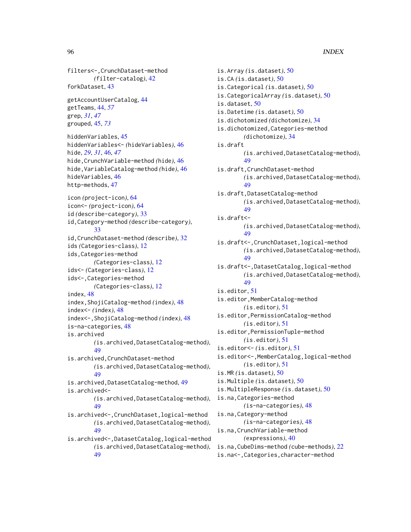filters<-,CrunchDataset-method *(*filter-catalog*)*, [42](#page-41-0) forkDataset, [43](#page-42-0)

getAccountUserCatalog, [44](#page-43-0) getTeams, [44,](#page-43-0) *[57](#page-56-0)* grep, *[31](#page-30-0)*, *[47](#page-46-0)* grouped, [45,](#page-44-1) *[73](#page-72-0)*

hiddenVariables, [45](#page-44-1) hiddenVariables<- *(*hideVariables*)*, [46](#page-45-0) hide, *[29](#page-28-0)*, *[31](#page-30-0)*, [46,](#page-45-0) *[47](#page-46-0)* hide,CrunchVariable-method *(*hide*)*, [46](#page-45-0) hide,VariableCatalog-method *(*hide*)*, [46](#page-45-0) hideVariables, [46](#page-45-0) http-methods, [47](#page-46-0)

icon *(*project-icon*)*, [64](#page-63-0) icon<- *(*project-icon*)*, [64](#page-63-0) id *(*describe-category*)*, [33](#page-32-0) id,Category-method *(*describe-category*)*, [33](#page-32-0) id,CrunchDataset-method *(*describe*)*, [32](#page-31-0) ids *(*Categories-class*)*, [12](#page-11-0) ids,Categories-method *(*Categories-class*)*, [12](#page-11-0) ids<- *(*Categories-class*)*, [12](#page-11-0) ids<-,Categories-method *(*Categories-class*)*, [12](#page-11-0) index, [48](#page-47-0) index,ShojiCatalog-method *(*index*)*, [48](#page-47-0) index<- *(*index*)*, [48](#page-47-0) index<-,ShojiCatalog-method *(*index*)*, [48](#page-47-0) is-na-categories, [48](#page-47-0) is.archived *(*is.archived,DatasetCatalog-method*)*, [49](#page-48-0) is.archived,CrunchDataset-method *(*is.archived,DatasetCatalog-method*)*, [49](#page-48-0) is.archived,DatasetCatalog-method, [49](#page-48-0) is.archived<- *(*is.archived,DatasetCatalog-method*)*, [49](#page-48-0) is.archived<-,CrunchDataset,logical-method *(*is.archived,DatasetCatalog-method*)*, [49](#page-48-0) is.archived<-,DatasetCatalog,logical-method

*(*is.archived,DatasetCatalog-method*)*, [49](#page-48-0)

is.Array *(*is.dataset*)*, [50](#page-49-0) is.CA *(*is.dataset*)*, [50](#page-49-0) is.Categorical *(*is.dataset*)*, [50](#page-49-0) is.CategoricalArray *(*is.dataset*)*, [50](#page-49-0) is.dataset, [50](#page-49-0) is.Datetime *(*is.dataset*)*, [50](#page-49-0) is.dichotomized *(*dichotomize*)*, [34](#page-33-0) is.dichotomized,Categories-method *(*dichotomize*)*, [34](#page-33-0) is.draft *(*is.archived,DatasetCatalog-method*)*, [49](#page-48-0) is.draft,CrunchDataset-method *(*is.archived,DatasetCatalog-method*)*, [49](#page-48-0) is.draft,DatasetCatalog-method *(*is.archived,DatasetCatalog-method*)*, [49](#page-48-0) is.draft<- *(*is.archived,DatasetCatalog-method*)*, [49](#page-48-0) is.draft<-,CrunchDataset,logical-method *(*is.archived,DatasetCatalog-method*)*, [49](#page-48-0) is.draft<-,DatasetCatalog,logical-method *(*is.archived,DatasetCatalog-method*)*, [49](#page-48-0) is.editor, [51](#page-50-0) is.editor,MemberCatalog-method *(*is.editor*)*, [51](#page-50-0) is.editor,PermissionCatalog-method *(*is.editor*)*, [51](#page-50-0) is.editor,PermissionTuple-method *(*is.editor*)*, [51](#page-50-0) is.editor<- *(*is.editor*)*, [51](#page-50-0) is.editor<-,MemberCatalog,logical-method *(*is.editor*)*, [51](#page-50-0) is.MR *(*is.dataset*)*, [50](#page-49-0) is.Multiple *(*is.dataset*)*, [50](#page-49-0) is.MultipleResponse *(*is.dataset*)*, [50](#page-49-0) is.na,Categories-method *(*is-na-categories*)*, [48](#page-47-0) is.na,Category-method *(*is-na-categories*)*, [48](#page-47-0) is.na,CrunchVariable-method *(*expressions*)*, [40](#page-39-0) is.na,CubeDims-method *(*cube-methods*)*, [22](#page-21-0) is.na<-,Categories,character-method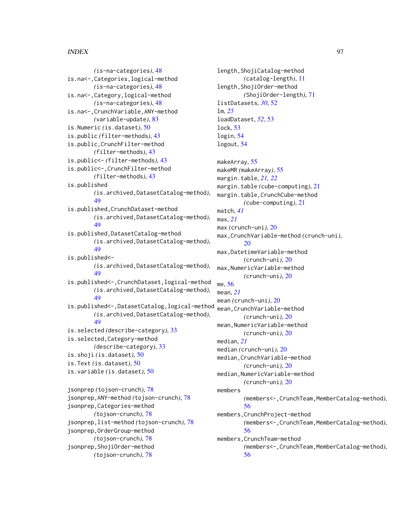## INDEX  $\sim$  97

*(*is-na-categories*)*, [48](#page-47-0) is.na<-,Categories,logical-method *(*is-na-categories*)*, [48](#page-47-0) is.na<-,Category,logical-method *(*is-na-categories*)*, [48](#page-47-0) is.na<-,CrunchVariable,ANY-method *(*variable-update*)*, [83](#page-82-0) is.Numeric *(*is.dataset*)*, [50](#page-49-0) is.public *(*filter-methods*)*, [43](#page-42-0) is.public,CrunchFilter-method *(*filter-methods*)*, [43](#page-42-0) is.public<- *(*filter-methods*)*, [43](#page-42-0) is.public<-,CrunchFilter-method *(*filter-methods*)*, [43](#page-42-0) is.published *(*is.archived,DatasetCatalog-method*)*, [49](#page-48-0) is.published,CrunchDataset-method *(*is.archived,DatasetCatalog-method*)*, [49](#page-48-0) is.published,DatasetCatalog-method *(*is.archived,DatasetCatalog-method*)*, [49](#page-48-0) is.published<- *(*is.archived,DatasetCatalog-method*)*, [49](#page-48-0) is.published<-,CrunchDataset,logical-method *(*is.archived,DatasetCatalog-method*)*, [49](#page-48-0) is.published<-,DatasetCatalog,logical-method *(*is.archived,DatasetCatalog-method*)*, [49](#page-48-0) is.selected *(*describe-category*)*, [33](#page-32-0) is.selected,Category-method *(*describe-category*)*, [33](#page-32-0) is.shoji *(*is.dataset*)*, [50](#page-49-0) is.Text *(*is.dataset*)*, [50](#page-49-0) is.variable *(*is.dataset*)*, [50](#page-49-0) jsonprep *(*tojson-crunch*)*, [78](#page-77-1) jsonprep,ANY-method *(*tojson-crunch*)*, [78](#page-77-1) jsonprep,Categories-method *(*tojson-crunch*)*, [78](#page-77-1) jsonprep,list-method *(*tojson-crunch*)*, [78](#page-77-1) jsonprep,OrderGroup-method *(*tojson-crunch*)*, [78](#page-77-1) jsonprep,ShojiOrder-method *(*tojson-crunch*)*, [78](#page-77-1)

length,ShojiCatalog-method *(*catalog-length*)*, [11](#page-10-0) length,ShojiOrder-method *(*ShojiOrder-length*)*, [71](#page-70-0) listDatasets, *[30](#page-29-1)*, [52](#page-51-0) lm, *[25](#page-24-0)* loadDataset, *[52](#page-51-0)*, [53](#page-52-0) lock, [53](#page-52-0) login, [54](#page-53-0) logout, [54](#page-53-0) makeArray, [55](#page-54-0) makeMR *(*makeArray*)*, [55](#page-54-0) margin.table, *[21,](#page-20-0) [22](#page-21-0)* margin.table *(*cube-computing*)*, [21](#page-20-0) margin.table,CrunchCube-method *(*cube-computing*)*, [21](#page-20-0) match, *[41](#page-40-0)* max, *[21](#page-20-0)* max *(*crunch-uni*)*, [20](#page-19-0) max,CrunchVariable-method *(*crunch-uni*)*, [20](#page-19-0) max,DatetimeVariable-method *(*crunch-uni*)*, [20](#page-19-0) max,NumericVariable-method *(*crunch-uni*)*, [20](#page-19-0) me, [56](#page-55-0) mean, *[21](#page-20-0)* mean *(*crunch-uni*)*, [20](#page-19-0) mean,CrunchVariable-method *(*crunch-uni*)*, [20](#page-19-0) mean,NumericVariable-method *(*crunch-uni*)*, [20](#page-19-0) median, *[21](#page-20-0)* median *(*crunch-uni*)*, [20](#page-19-0) median,CrunchVariable-method *(*crunch-uni*)*, [20](#page-19-0) median,NumericVariable-method *(*crunch-uni*)*, [20](#page-19-0) members *(*members<-,CrunchTeam,MemberCatalog-method*)*, [56](#page-55-0) members,CrunchProject-method *(*members<-,CrunchTeam,MemberCatalog-method*)*, [56](#page-55-0) members,CrunchTeam-method *(*members<-,CrunchTeam,MemberCatalog-method*)*, [56](#page-55-0)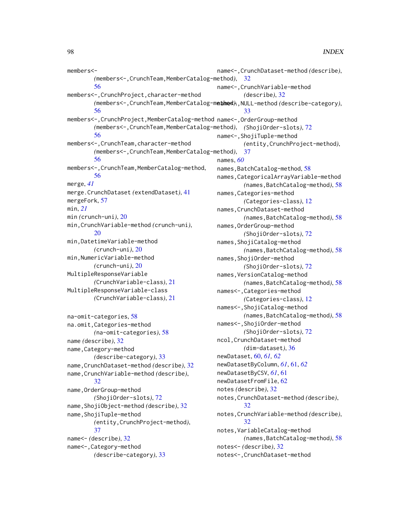members<- *(*members<-,CrunchTeam,MemberCatalog-method*)*, [32](#page-31-0) [56](#page-55-0) members<-,CrunchProject,character-method *(*members<-,CrunchTeam,MemberCatalog-method*)*, name<-,NULL-method *(*describe-category*)*, [56](#page-55-0) members<-,CrunchProject,MemberCatalog-method name<-,OrderGroup-method *(*members<-,CrunchTeam,MemberCatalog-method*)*, *(*ShojiOrder-slots*)*, [72](#page-71-0) [56](#page-55-0) members<-,CrunchTeam,character-method *(*members<-,CrunchTeam,MemberCatalog-method*)*, [37](#page-36-0) [56](#page-55-0) members<-,CrunchTeam,MemberCatalog-method, [56](#page-55-0) merge, *[41](#page-40-0)* merge.CrunchDataset *(*extendDataset*)*, [41](#page-40-0) mergeFork, [57](#page-56-0) min, *[21](#page-20-0)* min *(*crunch-uni*)*, [20](#page-19-0) min,CrunchVariable-method *(*crunch-uni*)*, [20](#page-19-0) min,DatetimeVariable-method *(*crunch-uni*)*, [20](#page-19-0) min,NumericVariable-method *(*crunch-uni*)*, [20](#page-19-0) MultipleResponseVariable *(*CrunchVariable-class*)*, [21](#page-20-0) MultipleResponseVariable-class *(*CrunchVariable-class*)*, [21](#page-20-0) na-omit-categories, [58](#page-57-1) na.omit,Categories-method *(*na-omit-categories*)*, [58](#page-57-1) name *(*describe*)*, [32](#page-31-0) name,Category-method *(*describe-category*)*, [33](#page-32-0) name,CrunchDataset-method *(*describe*)*, [32](#page-31-0) name,CrunchVariable-method *(*describe*)*, [32](#page-31-0) name,OrderGroup-method *(*ShojiOrder-slots*)*, [72](#page-71-0) name,ShojiObject-method *(*describe*)*, [32](#page-31-0) name,ShojiTuple-method *(*entity,CrunchProject-method*)*, [37](#page-36-0) name<- *(*describe*)*, [32](#page-31-0) name<-,Category-method *(*describe-category*)*, [33](#page-32-0) name<-,CrunchDataset-method *(*describe*)*, name<-,CrunchVariable-method *(*describe*)*, [32](#page-31-0) [33](#page-32-0) name<-,ShojiTuple-method *(*entity,CrunchProject-method*)*, names, *[60](#page-59-0)* names, BatchCatalog-method, [58](#page-57-1) names,CategoricalArrayVariable-method *(*names,BatchCatalog-method*)*, [58](#page-57-1) names,Categories-method *(*Categories-class*)*, [12](#page-11-0) names,CrunchDataset-method *(*names,BatchCatalog-method*)*, [58](#page-57-1) names,OrderGroup-method *(*ShojiOrder-slots*)*, [72](#page-71-0) names,ShojiCatalog-method *(*names,BatchCatalog-method*)*, [58](#page-57-1) names,ShojiOrder-method *(*ShojiOrder-slots*)*, [72](#page-71-0) names,VersionCatalog-method *(*names,BatchCatalog-method*)*, [58](#page-57-1) names<-,Categories-method *(*Categories-class*)*, [12](#page-11-0) names<-,ShojiCatalog-method *(*names,BatchCatalog-method*)*, [58](#page-57-1) names<-,ShojiOrder-method *(*ShojiOrder-slots*)*, [72](#page-71-0) ncol,CrunchDataset-method *(*dim-dataset*)*, [36](#page-35-0) newDataset, [60,](#page-59-0) *[61,](#page-60-0) [62](#page-61-0)* newDatasetByColumn, *[61](#page-60-0)*, [61,](#page-60-0) *[62](#page-61-0)* newDatasetByCSV, *[61](#page-60-0)*, [61](#page-60-0) newDatasetFromFile, [62](#page-61-0) notes *(*describe*)*, [32](#page-31-0) notes,CrunchDataset-method *(*describe*)*, [32](#page-31-0) notes,CrunchVariable-method *(*describe*)*, [32](#page-31-0) notes,VariableCatalog-method *(*names,BatchCatalog-method*)*, [58](#page-57-1) notes<- *(*describe*)*, [32](#page-31-0) notes<-,CrunchDataset-method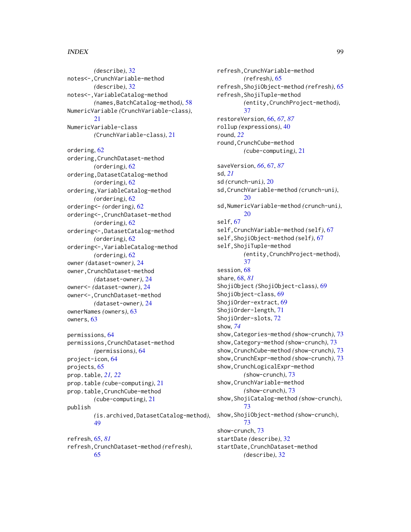## INDEX 99

*(*describe*)*, [32](#page-31-0) notes<-,CrunchVariable-method *(*describe*)*, [32](#page-31-0) notes<-,VariableCatalog-method *(*names,BatchCatalog-method*)*, [58](#page-57-1) NumericVariable *(*CrunchVariable-class*)*, [21](#page-20-0) NumericVariable-class *(*CrunchVariable-class*)*, [21](#page-20-0) ordering, [62](#page-61-0) ordering,CrunchDataset-method *(*ordering*)*, [62](#page-61-0) ordering,DatasetCatalog-method *(*ordering*)*, [62](#page-61-0) ordering,VariableCatalog-method *(*ordering*)*, [62](#page-61-0) ordering<- *(*ordering*)*, [62](#page-61-0) ordering<-,CrunchDataset-method *(*ordering*)*, [62](#page-61-0) ordering<-,DatasetCatalog-method *(*ordering*)*, [62](#page-61-0) ordering<-,VariableCatalog-method *(*ordering*)*, [62](#page-61-0) owner *(*dataset-owner*)*, [24](#page-23-0) owner,CrunchDataset-method *(*dataset-owner*)*, [24](#page-23-0) owner<- *(*dataset-owner*)*, [24](#page-23-0) owner<-,CrunchDataset-method *(*dataset-owner*)*, [24](#page-23-0) ownerNames *(*owners*)*, [63](#page-62-0) owners, [63](#page-62-0) permissions, [64](#page-63-0) permissions,CrunchDataset-method *(*permissions*)*, [64](#page-63-0) project-icon, [64](#page-63-0) projects, [65](#page-64-1)

prop.table, *[21,](#page-20-0) [22](#page-21-0)* prop.table *(*cube-computing*)*, [21](#page-20-0) prop.table,CrunchCube-method *(*cube-computing*)*, [21](#page-20-0) publish *(*is.archived,DatasetCatalog-method*)*, [49](#page-48-0) refresh, [65,](#page-64-1) *[81](#page-80-0)*

refresh,CrunchDataset-method *(*refresh*)*, [65](#page-64-1)

refresh,CrunchVariable-method *(*refresh*)*, [65](#page-64-1) refresh,ShojiObject-method *(*refresh*)*, [65](#page-64-1) refresh,ShojiTuple-method *(*entity,CrunchProject-method*)*, [37](#page-36-0) restoreVersion, [66,](#page-65-1) *[67](#page-66-1)*, *[87](#page-86-0)* rollup *(*expressions*)*, [40](#page-39-0) round, *[22](#page-21-0)* round,CrunchCube-method *(*cube-computing*)*, [21](#page-20-0) saveVersion, *[66](#page-65-1)*, [67,](#page-66-1) *[87](#page-86-0)* sd, *[21](#page-20-0)* sd *(*crunch-uni*)*, [20](#page-19-0) sd,CrunchVariable-method *(*crunch-uni*)*, [20](#page-19-0) sd,NumericVariable-method *(*crunch-uni*)*, [20](#page-19-0) self, [67](#page-66-1) self,CrunchVariable-method *(*self*)*, [67](#page-66-1) self,ShojiObject-method *(*self*)*, [67](#page-66-1) self,ShojiTuple-method *(*entity,CrunchProject-method*)*, [37](#page-36-0) session, [68](#page-67-1) share, [68,](#page-67-1) *[81](#page-80-0)* ShojiObject *(*ShojiObject-class*)*, [69](#page-68-0) ShojiObject-class, [69](#page-68-0) ShojiOrder-extract, [69](#page-68-0) ShojiOrder-length, [71](#page-70-0) ShojiOrder-slots, [72](#page-71-0) show, *[74](#page-73-0)* show,Categories-method *(*show-crunch*)*, [73](#page-72-0) show,Category-method *(*show-crunch*)*, [73](#page-72-0) show,CrunchCube-method *(*show-crunch*)*, [73](#page-72-0) show,CrunchExpr-method *(*show-crunch*)*, [73](#page-72-0) show,CrunchLogicalExpr-method *(*show-crunch*)*, [73](#page-72-0) show,CrunchVariable-method *(*show-crunch*)*, [73](#page-72-0) show,ShojiCatalog-method *(*show-crunch*)*, [73](#page-72-0) show,ShojiObject-method *(*show-crunch*)*, [73](#page-72-0) show-crunch, [73](#page-72-0) startDate *(*describe*)*, [32](#page-31-0) startDate,CrunchDataset-method *(*describe*)*, [32](#page-31-0)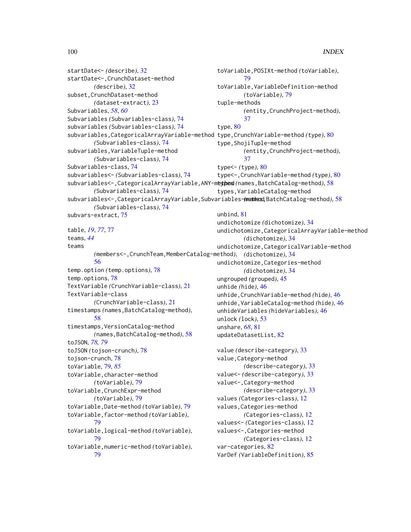```
startDate<- (describe), 32
startDate<-,CrunchDataset-method
        (describe), 32
subset,CrunchDataset-method
        (dataset-extract), 23
Subvariables, 58, 60
Subvariables (Subvariables-class), 74
subvariables (Subvariables-class), 74
subvariables,CategoricalArrayVariable-method
type,CrunchVariable-method (type), 80
        (Subvariables-class), 74
subvariables,VariableTuple-method
        (Subvariables-class), 74
Subvariables-class, 74
subvariables<- (Subvariables-class), 74
58
        (Subvariables-class), 74
subvariables<-,CategoricalArrayVariable,Subvariables-method
(names,BatchCatalog-method), 58
        (Subvariables-class), 74
subvars-extract, 75
table, 19, 77, 77
teams, 44
teams
        (members<-,CrunchTeam,MemberCatalog-method),
(dichotomize), 34
        56
temp.option (temp.options), 78
temp.options, 78
TextVariable (CrunchVariable-class), 21
TextVariable-class
        (CrunchVariable-class), 21
timestamps (names,BatchCatalog-method),
        58
timestamps,VersionCatalog-method
        (names,BatchCatalog-method), 58
toJSON, 78, 79
toJSON (tojson-crunch), 78
tojson-crunch, 78
toVariable, 79, 85
toVariable,character-method
        (toVariable), 79
toVariable,CrunchExpr-method
        (toVariable), 79
toVariable,Date-method (toVariable), 79
toVariable,factor-method (toVariable),
        79
toVariable,logical-method (toVariable),
        79
toVariable,numeric-method (toVariable),
        79
                                              toVariable,POSIXt-method (toVariable),
                                                      79
                                              toVariable,VariableDefinition-method
                                                      (toVariable), 79
                                              tuple-methods
                                                      (entity,CrunchProject-method),
                                                      37
                                              type, 80
                                              type,ShojiTuple-method
                                                      (entity,CrunchProject-method),
                                                      37
                                              type<- (type), 80
                                              type<-,CrunchVariable-method (type), 80
                                              types,VariableCatalog-method
                                              unbind, 81
                                              undichotomize (dichotomize), 34
                                              undichotomize,CategoricalArrayVariable-method
                                                      (dichotomize), 34
                                              undichotomize,CategoricalVariable-method
                                              undichotomize,Categories-method
                                                      (dichotomize), 34
                                              ungrouped (grouped), 45
                                              unhide (hide), 46
                                              unhide,CrunchVariable-method (hide), 46
                                              unhide,VariableCatalog-method (hide), 46
                                              unhideVariables (hideVariables), 46
                                              unlock (lock), 53
                                              unshare, 68, 81
                                              updateDatasetList, 82
                                              value (describe-category), 33
                                              value,Category-method
                                                      (describe-category), 33
                                              value<- (describe-category), 33
                                              value<-,Category-method
                                                      (describe-category), 33
                                              values (Categories-class), 12
                                              values,Categories-method
                                                      (Categories-class), 12
                                              values<- (Categories-class), 12
                                              values<-,Categories-method
                                                      (Categories-class), 12
                                              var-categories, 82
                                              VarDef (VariableDefinition), 85
```